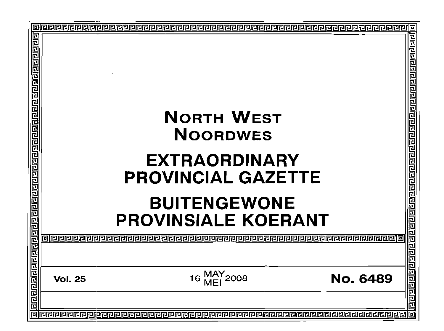| 回 |                                                         | 回              |
|---|---------------------------------------------------------|----------------|
|   |                                                         | 렌린민리리티티리리리리리리  |
|   | <b>NORTH WEST</b><br><b>NOORDWES</b>                    |                |
|   | <b>EXTRAORDINARY</b><br><b>PROVINCIAL GAZETTE</b>       |                |
|   | <b>BUITENGEWONE</b><br><b>PROVINSIALE KOERANT</b>       |                |
|   |                                                         | 리민민민민          |
|   | 16 MAY<br>MEI 2008<br><b>No. 6489</b><br><b>Vol. 25</b> | 리민민 <u>리</u> 리 |
|   |                                                         |                |
|   |                                                         | 回              |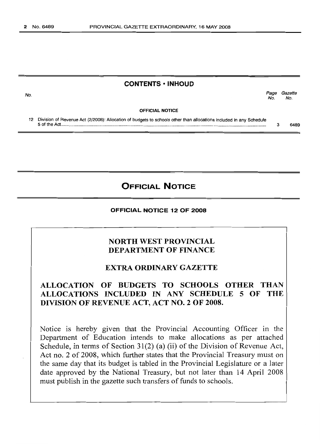## **CONTENTS • INHOUD**

Page Gazette No. No.

**OFFICIAL NOTICE**

12 Division of Revenue Act (2/2008): Allocation of budgets to schools other than allocations included in any Schedule 5 of the Act..................................................................................................................................................................... 3 6489

**OFFICIAL NOTICE**

### **OFFICIAL NOTICE 12 OF 2008**

# **NORTH WEST PROVINCIAL DEPARTMENT OF FINANCE**

## **EXTRA ORDINARY GAZETTE**

# **ALLOCATION OF BUDGETS TO SCHOOLS OTHER THAN ALLOCATIONS INCLUDED IN ANY SCHEDULE 5 OF THE DIVISION OF REVENUE ACT, ACT NO.2 OF 2008.**

Notice is hereby given that the Provincial Accounting Officer in the Department of Education intends to make allocations as per attached Schedule, in terms of Section 31(2) (a) (ii) of the Division of Revenue Act, Act no. 2 of 2008, which further states that the Provincial Treasury must on the same day that its budget is tabled in the Provincial Legislature or a later date approved by the National Treasury, but not later than 14 April 2008 must publish in the gazette such transfers of funds to schools.

No.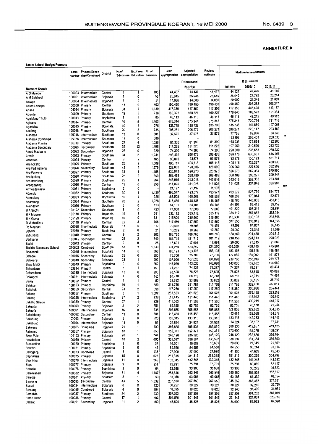#### Table: School Budget Formats

|                                        | <b>EMIS</b>      | Primary/Secon<br>number dary/Combined | District              | Nr.of    | Nr.of non- Nr. of<br>Educators Educators Learners |              | Main<br>appropriation | Adjusted<br>appropriation | Revised<br>estimate |                    | Medium-term estimates |                    |            |
|----------------------------------------|------------------|---------------------------------------|-----------------------|----------|---------------------------------------------------|--------------|-----------------------|---------------------------|---------------------|--------------------|-----------------------|--------------------|------------|
|                                        |                  |                                       |                       |          |                                                   |              |                       | R thousand                |                     |                    | R thousand            |                    |            |
| Name of Shools                         |                  |                                       |                       |          |                                                   |              |                       | 2007/08                   |                     | 2008/09            | 2009/10               | 2010/11<br>48,146  |            |
| A G Malebe                             |                  | 100003 Intermediate                   | Central               | 4<br>3   | 1<br>0                                            | 105<br>56    | 44,437<br>25,645      | 44,437<br>25,645          | 44,437<br>25,645    | 44,437<br>26,040   | 47,426<br>27,792      | 28,214             |            |
| A M Setshedi<br>Aalwyn                 | 100001<br>100004 | Intermediate<br>Intermediate          | Bojanala<br>Bojanala  | 3        | 0                                                 | 54           | 14,086                | 14,086                    | 14,086              | 20,000             | 21,345                | 21,669             |            |
| Aaron Letsapa                          | 100006           | Primary                               | Central               | 11       | 0                                                 | 402          | 190,450               | 190,450                   | 190,450             | 190,450            | 203,262               | 206,347            |            |
| Abana                                  | 104024           | Primary                               | Bojanala              | 34       | 1                                                 | 1,130        | 417,350               | 417,350                   | 417,350             | 417,350<br>176,640 | 445,425<br>188,523    | 452,187<br>191,384 |            |
| Abontle                                |                  | 100009 Primary                        | Southern<br>Bophinma  | 19<br>5  | 2<br>1                                            | 736<br>85    | 160,321<br>46,113     | 160,321<br>46,113         | 160,321<br>46,113   | 46,113             | 49,215                | 49,962             |            |
| Agelelang Thuto<br>Agisang             |                  | 100013 Primary<br>100014 Primary      | Central               | 39       | 5                                                 | 1,403        | 675,344               | 675,344                   | 675,344             | 675,344            | 720,774               | 731,716            |            |
| Agonkitse                              |                  | 100015 Primary                        | Bojanala              | 10       | 1                                                 | 275          | 135,738               | 135,738                   | 135,738             | 135,738            | 144,869               | 147,068            |            |
| Akofang                                |                  | 100018 Primary                        | Southern              | 26       | 3<br>0                                            | 735          | 206,271               | 206,271<br>37,575         | 206,271<br>37,575   | 206,271<br>77,755  | 220,147<br>82,986     | 223,489<br>84,246  |            |
| Alabama                                | 105018<br>105078 | Intermediate<br>Intermediate          | Southern<br>Southern  | 13<br>17 | 0                                                 | 501<br>680   | 37,575                |                           |                     | 193,392            | 206,401               | 209,535            | ×          |
| Alabama Combined<br>Alabama Primary    | 100019           | Primary                               | Southern              | 27       | 4                                                 | 1,056        | 81,300                | 81,300                    | 81,300              | 168,237            | 179,554               | 182,280            |            |
| Alabama Secondary                      | 100020           | Secondary                             | Southern              | 39       | 13                                                | 1,195        | 111,225               | 111,225                   | 111,225             | 197,259            | 210,529<br>235,653    | 213,725<br>239,230 |            |
| Alfred Maubane                         |                  | 100022 Secondary                      | Bojanala              | 23<br>34 | 0<br>2                                            | 920<br>1,241 | 74,300<br>596,476     | 74,300<br>596,476         | 74,300<br>596,476   | 220,800<br>596,476 | 636,601               | 646,265            |            |
| Amalia<br>Aobakwe                      | 100023<br>100024 | Primary<br>Primary                    | Southern<br>Central   | 9        | 1                                                 | 165          | 93,878                | 93,878                    | 93,878              | 93,878             | 100,193               | 101,714            |            |
| Are bokeng                             | 100025           | Primary                               | Southern              | 28       | 2                                                 | 1,009        | 405,115               | 405,115                   | 405,115             | 405,115            | 432,367               | 438,930            |            |
| Are Fadimeheng                         | 100026           | Secondary                             | Southern              | 42       | 4                                                 | 1,279        | 128,000               | 128,000                   | 128,000             | 306,960            | 327,609<br>562,423    | 332,582<br>570,960 |            |
| Are Fenyeng                            | 100027           | Primary                               | Southern              | 31<br>23 | 1<br>2                                            | 1,158<br>850 | 526,973<br>368,489    | 526,973<br>368,489        | 526,973<br>368,489  | 526,973<br>368,489 | 393,277               | 399,247            |            |
| Are ipeleng<br>Are Itshokeng           | 100028           | Primary<br>100029 Primary             | Southern<br>Southern  | 29       | 1                                                 | 964          | 243,016               | 243,016                   | 243,016             | 243,016            | 259,363               | 263,301            |            |
| Areaganeng                             |                  | 100030 Primary                        | Central               | 19       | 0                                                 | 650          | 311,025               | 311,025                   | 311,025             | 311,025            | 331,948               | 336,987            | $x \times$ |
| Armoedsvlakte                          |                  | 100031 Primary                        | Bophirima             | 2        | 0                                                 |              | 21,197                | 21,197                    | 21,197              | 493,577            | 526,779               | 534,776            |            |
| Atamela                                |                  | 100032 Primary                        | Southern<br>Bophinma  | 30<br>10 | 1<br>1                                            | 1,120<br>325 | 493,577<br>168,508    | 493,577<br>168,508        | 493,577<br>168,508  | 168,508            | 179,844               | 182,574            |            |
| Atamelang<br>Atlarelang                |                  | 100033 Primary<br>100034 Primary      | Southem               | 28       | 2                                                 | 1,078        | 418,486               | 418,486                   | 418,486             | 418,486            | 446,638               | 453,418            |            |
| Avondster                              |                  | 100036 Primary                        | Southern              | 6        | 0                                                 | 123          | 64,101                | 64,101                    | 64,101              | 64,101             | 68,413                | 69,452             |            |
| <b>BA</b> Seobi                        |                  | 105122 Secondary                      | Southern              | 8        | 0                                                 | 423          | 77,000                | 77,000                    | 77,000              | 101,520<br>335,112 | 108,349<br>357,655    | 109,994<br>363,084 |            |
| <b>B</b> F Morake                      |                  | 100110 Primary<br>105129 Primary      | Bojanala<br>Bojanala  | 19<br>16 | 1<br>0                                            | 581<br>631   | 335,112<br>215,600    | 335,112<br>215,600        | 335,112<br>215,600  | 215,600            | 230,103               | 233,596            |            |
| <b>B</b> K Guma<br><b>B</b> M Mokitime |                  | 100119 Primary                        | Central               | 21       | 3                                                 | 706          | 317,550               | 317,550                   | 317,550             | 317,550            | 338,912               | 344,056            |            |
| Ba Mogopa                              | 100038           | Intermediate                          | Bojanala              | 14       | 0                                                 | 317          | 79,508                | 79,508                    | 79,508              | 79,508             | 84,857                | 86,145             |            |
| Babala                                 |                  | 100039 Primary                        | Bophinma              | 2<br>9   | 0                                                 | 21           | 10,269<br>188,760     | 10,269<br>188,760         | 10,269<br>188,760   | 20,000<br>188,760  | 21,345<br>201,458     | 21,669<br>204,516  |            |
| Babuseng<br>Badibana                   | 100041           | 100040 Primary<br>Secondary           | Central<br>Central    | 25       | 2<br>2                                            | 302<br>740   | 181,719               | 181,719                   | 181,719             | 210,456            | 224,613               | 228,023            |            |
| Badiri                                 |                  | 100043 Primary                        | Central               | 2        | 0                                                 | 25           | 17,691                | 17,691                    | 17,691              | 20,000             | 21,345                | 21,669             |            |
| <b>Badirile Secondary School</b>       |                  | 270603 Combined                       | Southem               | 53       | 9                                                 | 1,830        | 134,250               | 134,250                   | 134,250             | 439,200            | 468,745               | 475,861<br>198,484 |            |
| Badumedi                               |                  | 100045 Intermediate                   | Bojanala              | 14<br>25 | 0<br>0                                            | 363<br>650   | 183,193<br>75,700     | 183,193<br>75,700         | 183,193<br>75,700   | 183,193<br>177,089 | 195,516<br>189,002    | 191,871            |            |
| Bafedile<br>Bafokeng                   | 100046<br>100048 | Secondary<br>Secondary                | Bojanala<br>Bojanala  | 28       | 1                                                 | 999          | 107,020               | 107,020                   | 107,020             | 239,760            | 255,889               | 259,773            |            |
| Baga Maidi                             |                  | 100049 Primary                        | Bophinma              | 9        | 0                                                 | 262          | 143,030               | 143,030                   | 143,030             | 143,030            | 152,652               | 154,969            |            |
| Bahentswe                              |                  | 103614 Primary                        | Central               | 5        | 1                                                 | 150          | 74,237                | 74,237                    | 74,237              | 74,237<br>78,528   | 79,231<br>83,810      | 80,434<br>85,082   |            |
| Bahwaduba                              | 100050<br>100051 | Intermediate<br>Intermediate          | Bojanala<br>Bojanala  | 11<br>7  | 0<br>0                                            | 200<br>140   | 78,528<br>68,718      | 78,528<br>68,718          | 78,528<br>68,718    | 68,718             | 73,341                | 74,454             |            |
| Baikagedi<br><b>Bailey</b>             |                  | 100052 Primary                        | Central               | 4        | 1                                                 | 52           | 33,882                | 33,882                    | 33,882              | 33,882             | 36,161                | 36,710             |            |
| Baisitse                               |                  | 100053 Primary                        | Bophirima             | 19       | 1                                                 | 580          | 311,786               | 311,786                   | 311,786             | 311,786            | 332,760               | 337,811            |            |
| Baitshoki                              | 100056           | Secondary                             | Central               | 23       | $\overline{2}$                                    | 698          | 117,250               | 117,250                   | 117,250             | 216,380            | 230,936<br>279,115    | 234,441<br>283,352 |            |
| Bakang                                 | 100057<br>100058 | Primary<br>Intermediate               | Southern<br>Bophirima | 8<br>27  | 1<br>2                                            | 1,002<br>239 | 261,523<br>111,445    | 261,523<br>111,445        | 261,523<br>111,445  | 261,523<br>111,445 | 118,942               | 120,747            |            |
| Bakang<br>Bakang Selebo                | 100059           | Primary                               | Central               | 27       | 1                                                 | 929          | 411,563               | 411,563                   | 411,563             | 411,563            | 439,249               | 445,917            |            |
| Bakgatla                               | 100060           | Primary                               | Bojanala              | 5        | 2                                                 | 251          | 65,755                | 65,755                    | 65,755              | 65,755             | 70,178                | 71,244             |            |
| Bakgofa                                |                  | 100061 Intermediate                   | Bojanala              | 16       | 0<br>۵                                            | 635<br>501   | 308,855               | 308,855<br>115,458        | 308,855<br>115,458  | 308,855<br>142,484 | 329,632<br>152,069    | 334,635<br>154,377 |            |
| Bakolobeng<br>Bakubung                 |                  | 100062 Secondary<br>100063 Primary    | Central<br>Bojanala   | 19<br>3  | 0                                                 | 520          | 115,458<br>133,315    | 133,315                   | 133,315             | 133,315            | 142,283               | 144,443            |            |
| Bakubung                               |                  | 100064 Intermediate                   | Bojanala              | 14       | 0                                                 | 81           | 34,824                | 34,824                    | 34,824              | 34,824             | 37,167                | 37,731             |            |
| Bakwena                                |                  | 100065 Combined                       | Bojanala              | 21       | 1                                                 | 600          | 386,835               | 386,835                   | 386,835             | 386,835            | 412,857               | 419,125            |            |
| Baleseng                               |                  | 100067 Primary                        | Bojanala              | 10       | 1<br>1                                            | 560<br>747   | 152,371<br>246,120    | 152,371<br>246,120        | 152,371<br>246,120  | 173,600<br>246,120 | 185,278<br>262,676    | 188,091<br>266,664 |            |
| Bana Pele<br>Banabakae                 |                  | 104103 Primary<br>100069 Primary      | Bojanala<br>Central   | 20<br>18 | 2                                                 | 660          | 338,597               | 338,597                   | 338,597             | 338,597            | 361,374               | 366,860            |            |
| Banabotihe                             |                  | 100070 Primary                        | Bophirima             | 3        | 0                                                 | 37           | 16,601                | 16,601                    | 16,601              | 20,000             | 21,345                | 21,669             |            |
| Bancho                                 |                  | 100071 Primary                        | Bophirima             | 2        | 0                                                 | 46           | 84,556                | 84,556                    | 84,556              | 84,556             | 90,244                | 91,614             |            |
| Banogeng                               |                  | 100073 Combined                       | Central               | 6<br>15  | 0<br>0                                            | 135<br>523   | 27,990<br>281,315     | 27,990<br>281,315         | 27,990<br>281,315   | 41,850<br>281,315  | 44,665<br>300,239     | 45,343<br>304,797  |            |
| Baphalane<br>Baphiring                 |                  | 100075 Primary<br>100076 Intermediate | Bojanala<br>Bojanala  | 11       | ٥                                                 | 245          | 132,345               | 132,345                   | 132,345             | 132,345            | 141,248               | 143,392            |            |
| Bapo                                   |                  | 100077 Primary                        | Bojanala              | 9        | 0                                                 | 251          | 75,791                | 75,791                    | 75,791              | 75,791             | 80,889                | 82,117             |            |
| Barakile                               |                  | 100078 Primary                        | Bophirima             | 3        | 0                                                 | 64           | 33,986                | 33,986                    | 33,986              | 33,986             | 36,272                | 36,823             |            |
| Barelwanedi                            |                  | 100082 Primary<br>100281 Primary      | Bojanala              | 31<br>3  | 4<br>1                                            | 1,107<br>59  | 263,846<br>63,088     | 263,846<br>63,088         | 263,846<br>63,088   | 265,680<br>63,088  | 283,552<br>67,332     | 287,857<br>68,354  |            |
| Baretse<br>Barolong                    |                  | 100083 Secondary                      | Southern<br>Central   | 43       | 5                                                 | 1,032        | 267,550               | 267,550                   | 267,550             | 345,262            | 368,487               | 374,081            |            |
| Basadi                                 |                  | 100084 Intermediate                   | Bojanala              | 6        | 0                                                 | 120          | 30,227                | 30,227                    | 30,227              | 30,227             | 32,260                | 32,750             |            |
| Bataung                                |                  | 100086 Combined                       | Bojanala              | 6        | 0                                                 | 104          | 18,025                | 18,025                    | 18,025              | 32,240             | 34,409                | 34,931             |            |
| Bathabile                              |                  | 100087 Primary<br>100088 Primary      | Southern<br>Central   | 24<br>17 | 2<br>1                                            | 930<br>502   | 357,203<br>301,546    | 357,203<br>301,546        | 357,203<br>301,546  | 357,203<br>301,546 | 381,232<br>321,831    | 387,019<br>326,716 |            |
| Batho Batho<br>Batleng                 |                  | 100091 Secondary                      | Bojanala              | 11       | 2                                                 | 260          | 48,825                | 48,825                    | 48,825              | 80,600             | 86,022                | 87,328             |            |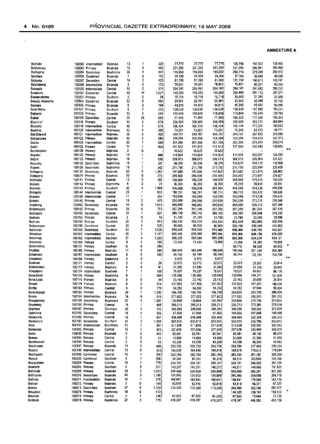$\bar{\epsilon}$ 

| Bathako                   |                                  | 100092 intermediate                | Bojanala             | 13      | 1                        | 325        | 77,775             | 77,775             | 77,775             | 100,750           | 107,527           | 109,160           |    |
|---------------------------|----------------------------------|------------------------------------|----------------------|---------|--------------------------|------------|--------------------|--------------------|--------------------|-------------------|-------------------|-------------------|----|
| Bathalerwa                |                                  | 100093 Primary                     | Bojanala             | 15      | 0                        | 480        | 231,292            | 231,292            | 231,292            | 231,292           | 246,851           | 250,598           |    |
| Bathaping                 |                                  | 100094 Secondary                   | Bophirima            | 35      | 4                        | 841        | 145,950            | 145,950            | 145,950            | 260,710           | 278,248           | 282,472           |    |
| Batiokwa                  | 100096                           | Combined                           | Bojanala             | 7       | 0                        | 153        | 24,109             | 24,109             | 24,109             | 37,184            | 39,685            | 40,288            |    |
| Batioung                  |                                  | 100097 Secondary                   | Central              | 18      | 2                        | 425        | 81,200             | 81,200             | 81,200             | 131,750           | 140,613           | 142,747           |    |
| Batshabeng                | 100098                           | Intermediate                       | Bojanala             | 8       | 0                        | 174        | 76,851             | 76,851             | 76,851             | 76,851            | 82,021            | <b>B3,266</b>     |    |
| Batsogile                 | 100100                           | Intermediate                       | Central              | 18      | 0                        | 574        | 264,181            | 264,181            | 264,181            | 264,181           | 281,952           | 286,232           |    |
| Batswana                  |                                  | 100101 Combined                    | Central              | 45      | 14                       | 1,527      | 145,000            | 145,000            | 145,000            | 366,4BO           | 391,133           | 397,071           |    |
| Bavisanskrans             |                                  | 100103 Primary                     | Southern             | 2       | 0                        | 34         | 15,718             | 15,718             | 15,718             | 20,000            | 21,345            | 21,669            |    |
| Bergsig Akademie          | 100504                           | Combined                           | Bojanala             | 32      | 6                        | 990        | 25,961             | 25,961             | 25,961             | 53,303            | 56,888            | 57,752<br>50,446  |    |
| Berseba                   |                                  | 100106 Primary                     | Bojanala             | 8<br>9  | 0<br>1                   | 194        | 44,815             | 44,815             | 44,815             | 46,560<br>138,639 | 49,692<br>147,965 | 150,211           |    |
| <b>Berts Bricks</b>       |                                  | 100107 Primary                     | Southern             | 12      | 1                        | 312<br>249 | 138,639<br>118,849 | 138,639<br>118,849 | 138,639<br>118,849 | 118,849           | 126,844           | 128,769           |    |
| Bethanie                  |                                  | 100108 Primary<br>100109 Secondary | Bojanala<br>Central  | 25      | 25                       | 693        | 71,900             | 71,900             | 71,900             | 166,320           | 177,508           | 180,203           |    |
| Bethel<br><b>Bloemhof</b> |                                  | 100116 Primary                     | Southem              | 13      | 2                        | 678        | 336.589            | 336,589            | 336,589            | 336,589           | 359,231           | 364,684           |    |
| Blydevile                 |                                  | 100118 Intermediate                | Central              | 19      | 1                        | 673        | 166,154            | 166,154            | 166,154            | 166,154           | 177.331           | 180,023           |    |
| Boareng                   |                                  | 100120 Intermediate                | Bophirima            | 13      | 1                        | 326        | 73,021             | 73,021             | 73,021             | 78,240            | 83,503            | 84,771            |    |
| Bob Edward                | 100121                           | Intermediate                       | Bojanala             | 26      | 0                        | 422        | 344,787            | 344,787            | 344,787            | 344,787           | 367,980           | 373,566           |    |
| Bobuantswa                |                                  | 100122 Primary                     | Bojanala             | 10      | 2                        | 289        | 154.294            | 154,294            | 154,294            | 154,294           | 164.673           | 167,173           |    |
| Bodibe                    | 100124                           | Intermediate                       | Central              | 20      | 1                        | 549        | 261,266            | 261,266            | 261,266            | 261,266           | 278.841           | 283,074           |    |
| Bodin                     | 100125                           | Primary                            | Central              | 11      |                          | 450        | 117,512            | 117,512            | 117,512            | 127,980           | 136,589           | 138,663           |    |
| Boetkloppers              | 100128                           | Primary                            | Bojanala             | 3       | 0                        |            | 16,622             | 16,622             | 16,622             |                   |                   |                   |    |
| Bogatsu                   |                                  | 100132 Primary                     | Bojanaia             | 14      |                          | 466        | 114.504            | 114,504            | 114,504            | 114,504           | 122,207           | 124,062           |    |
| Boposi                    |                                  | 100133 Primary                     | Bojanala             | 16      |                          | 538        | 306,073            | 306,073            | 306,073            | 306,073           | 326,663           | 331,621           |    |
| Bogosing                  |                                  | 100135 Secondary                   | Bophinma             | 19      | 1                        | 357        | 98,376             | 98,376             | 98,376             | 110,670           | 118,115           | 119,908           |    |
| Boijane                   | 100136                           | Secondary                          | Bophirima            | 16      | 1                        | 342        | 211,750            | 211,750            | 211,750            | 211,750           | 225,994           | 229,425           |    |
| Boikagong                 |                                  | 100137 Secondary                   | Bojanala             | 63      | 5                        | 1,257      | 147,600            | 147,600            | 147,600            | 301,680           | 321,974           | 326,862           |    |
| Boikagong                 |                                  | 105074 Primary                     | Bojanala             | 20      | 0                        | 272        | 255,500            | 255,500            | 255,500            | 255,500           | 272,687           | 276,827           |    |
| Boikhutso                 |                                  | 100141 Primary                     | Central              | 13      | ٥                        | 350        | 168,009            | 168,009            | 168,009            | 168,009           | 179,311           | 182,033           |    |
| Boikutlo                  |                                  | 100142 Primary                     | Bophirima            | 4       | O                        | 74         | 36,393             | 36,393             | 36,393             | 36,393            | 38,841            | 39,431            |    |
| Boineelo                  |                                  | 100143 Primary                     | Southern             | 32      | 4                        | 1,099      | 406,868            | 406,858            | 406,868            | 406,868           | 434,238           | 440,830           |    |
| Boingotic                 |                                  | 100144 Intermediate                | Central              | 23      | 1                        | 803        | 180,751            | 180,751            | 180,751            | 180,751           | 192,910           | 195,838           |    |
| Boipuso                   | 100145                           | Intermediate                       | Central              | 11      | 1                        | 354        | 163,059            | 163,059            | 163,059            | 163,059           | 174,028           | 176,670           |    |
| Boiteko                   | 100148                           | Primary                            | Central              | 15      | 2                        | 479        | 255,058            | 255,058            | 255,058            | 255,058           | 272,216           | 276,348           |    |
| Boitekong                 |                                  | 105062 Secondary                   | Bojanala             | 44      | 0                        | 1,613      | 495,950            | 495,950            | 495,950            | 495,950           | 529,313           | 537,348           |    |
| Boitemogelo               |                                  | 100150 Primary                     | Bojanala             | 20      | 0                        | 773        | 357,295            | 357,295            | 357,295            | 357,295           | 381,331           | 387,119           |    |
| Boithaopo                 |                                  | 100152 Secondary                   | Central              | 29      | 1                        | 621        | 289,100            | 289,100            | 289,100            | 289,100           | 308,548           | 313,232           |    |
| Boithato                  |                                  | 100153 Primary                     | Bojanala             | 3       | 0                        | 16         | 21,780             | 21,780             | 21,780             | 21,780            | 23,245            | 23,598            |    |
| Boitrelo                  |                                  | 100154 Primary                     | Southern             | 26      | 3                        | 913        | 452,434            | 452,434            | 452,434            | 452,434           | 482,869           | 490,199           |    |
| Boitseanape               |                                  | 100155 Combined                    | Central              | 38      | 4                        | 928        | 96,900             | 96,900             | 96,900             | 225,196           | 240,345           | 243,993           |    |
| Boitshoko                 | 100160                           | Secondary                          | Southern             | 53      | $\overline{\phantom{a}}$ | 1,538      | 599,469            | 599,469            | 599,469            | 599,469           | 639,795           | 649,507           |    |
| Boitshoko                 |                                  | 100161 Intermediate                | Central              | 38      | 3                        | 1,117      | 605,466            | 605,466            | 605,466            | 605,466           | 646,196           | 656,005           |    |
| Boitumelo                 | 100162                           | intermediate                       | Southern             | 37      | 4<br>0                   | 1,260      | 585,268            | 585,268            | 585,268            | 585,268           | 624,539           | 634,121<br>79,585 |    |
| Boitumelo                 | 100164                           | Primary                            | Central              | 5<br>6  | 0                        | 160<br>248 | 73,454             | 73,454             | 73,454             | 73,454<br>55,776  | 78,395<br>59,528  | 60,432            | π  |
| Boitumelong               | 105131<br>100165 Primary         | Primary                            | Southern             | 11      | 0                        | 369        | 188,648            | 188,648            | 188,648            | 188,548           | 201,338           | 204,395           |    |
| Bojating<br>Bokamoso      |                                  | 100167 Intermediate                | Bojanala<br>Southern | 5       | 0                        | 165        | 95,744             | 95 744             | 95,744             | 95,744            | 102,185           | 103,736           |    |
| Bokamoso                  | 100168 Primary                   |                                    | Bophirima            | 2       | 0                        |            | 6,970              | 6,970              | 6,970              |                   |                   |                   | 77 |
| Bokkraal                  | 100171 Primary                   |                                    | Central              | 2       | 0                        | 25         | 22,072             | 22,072             | 22,072             | 22,072            | 23,557            | 23,914            |    |
| Bollandokwe               | 100172 Primary                   |                                    | Bojanala             | 5       | 0                        | 61         | 31,050             | 31,050             | 31,050             | 31,050            | 33,139            | 33,642            |    |
| Bolopapelo                |                                  | 100174 Intermediate                | Southern             | 7       | $\mathbf{1}$             | 150        | 79,537             | 79,537             | 79,537             | 79,537            | 84,887            | 86,176            |    |
| Bona Bona                 | 100176 Primary                   |                                    | Bophirima            | 8       | $\overline{\phantom{a}}$ | 265        | 139,956            | 139,956            | 139,956            | 139,956           | 149,371           | 151,638           |    |
| Bona Louis                | 100175 Primary                   |                                    | Bojanala             | 3       | 0                        | 44         | 23,142             | 23,142             | 23,142             | 23,142            | 24,699            | 25,074            |    |
| Bonolo                    | 100179 Primary                   |                                    | Bojanala             | 8       | 0                        | 314        | 137,923            | 137,923            | 137,923            | 137,923           | 147,201           | 149,436           |    |
| Bontle                    | 100180 Primary                   |                                    | Central              | 5       | 0                        | 170        | 54,292             | 54,292             | 54,292             | 54 292            | 57,944            | 58,824            |    |
| Bonwakgogo                | 100182 Primary                   |                                    | Bojanala             | 29      | 1                        | 1,100      | 106,700            | 106,700            | 106,700            | 264,000           | 281,759           | 286,036           |    |
| Boons                     | 100184                           | Intermediate                       | Bojanala             | 19      | 9                        | 616        | 277,822            | 277,822            | 277,822            | 277,822           | 296,511           | 301,012           |    |
| Bopaganang                |                                  | 100185 Secondary                   | Bophirima            | 37      | 4                        | 1,057      | 130,894            | 130,894            | 130,894            | 253,680           | 270,745           | 274,855           |    |
| Bopanang                  | 100186 Primary                   |                                    | Central              | 16      |                          | 48B        | 255,213            | 255,213            | 255,213            | 255,213           | 272,381           | 276,516           |    |
| Bophepa                   | 100187 Primary                   |                                    | Southern             | 30      | 4                        | 743        | 345,090            | 345,090            | 345,090            | 345,090           | 368,304           | 373,895           |    |
| Bophirima                 |                                  | 100188 Secondary                   | Central              | 15      | 4                        | 326        | 67,900             | 67,900             | 67,900             | 101,060           | 107,858           | 109,496           |    |
| Borakalalo                | 100189 Primary                   |                                    | Central              | 19      | 1                        | 667        | 309,489            | 309,4B9            | 309,489            | 309,489           | 330,308           | 335,322           |    |
| Borakanelo                |                                  | 100190 Secondary                   | Southern             | 47      | з                        | 1,254      | 502,010            | 502,010            | 502,010            | 502,010           | 535,780           | 543.913           |    |
| Bore                      |                                  | 100191 Intermediate                | Bophirima            | 22      | 1                        | 591        | 311,628            | 311,628            | 311,628            | 311,628           | 332,591           | 337,540           |    |
| Boresetse                 | 100192 Primary                   |                                    | Central              | 12      | 1                        | 402        | 227,636            | 227,636            | 227,636            | 227,636           | 242,949           | 246,637           |    |
| Borite                    | 104039 Primary                   |                                    | Bojanala             | 9       | 0                        | 340        | 82,581             | 82,581             | 82,581             | 82,581            | 88,136            | 89,474            |    |
| Bomeo                     | 100194 Primary                   |                                    | Central              | 2       | 0                        | 41         | 14,580             | 14,580             | 14,580             | 20,000            | 21,345            | 21,669            |    |
| Borothamadi               | 100195 Primary                   |                                    | Central              | 5       | 0                        | 83         | 43,338             | 43,338             | 43,338             | 43,338            | 46,253            | 46.955            |    |
| Bosabosela                | 100197 Primary                   |                                    | Bojanala             | 14      | 0                        | 600        | 203,700            | 203,700            | 203,700            | 203,700           | 217,403           | 220,703           |    |
| Bosane                    |                                  | 100198 Intermediate                | Central              | 10      | 0                        | 243        | 164,918            | 164,918            | 164,918            | 164,918           | 176,012           | 178,684           |    |
| Boschpoort                |                                  | 100199 Cambined                    | Central              | 16      | 1                        | 550        | 282,765            | 282,765            | 282,765            | 282,765           | 301,787           | 306,368           |    |
| Boskuil                   |                                  | 100202 Combined                    | Southem              | 9       | 1                        | 208        | 94,314             | 94,314             | 94,314             | 94,314            | 100,659           | 102,186           |    |
| Bosugakobo                | 100204 Primary                   |                                    | Central              | 19      | 1                        | 779        | 324,101            | 324,101            | 324,101            | 324,101           | 345,903           | 351,154           |    |
| Bosworth                  | 100205 Primary                   |                                    | Southern             | 6       | 0                        | 277        | 140,217            | 140,217            | 140,217            | 140,217           | 149,650           | 151,921           |    |
| Bothibello                | 100209 Primary                   |                                    | Bojanala             | 29      | 2                        | 1,021      | 554,959            | 554,959            | 554,959            | 554,959           | 592,291           | 601,282           |    |
| Bolihabelo                |                                  | 100210 Secondary                   | Bojanala             | 41      | 5                        | 1,189      | 124,800            | 124,800            | 124,800            | 285,360           | 304,556           | 309,179           |    |
| Bothale                   |                                  | 100211 Intermediate                | Bojanala             | 10      | 1                        | 378        | 168,641            | 168,641            | 168,641            | 168,641           | 179,985           | 182,718           |    |
| Botman                    | 100212 Primary                   |                                    | Bojanals             | 3       | 0                        | 104        | 52,818             | 52,818             | 52,818             | 52,818            | 56,371            | 57,227            |    |
| Botoka                    |                                  | 100213 Secondary                   | Southem              | 37      | 4                        | 1,104      | 112,300            | 112,300            | 112,300            | 264,960           | 282,784           | 287,077           |    |
| Botsalano                 | 105079 Primary                   |                                    | Bophinma             | 19      | 0                        | 472        |                    |                    |                    | 146,320           | 156,163           | 158,533           |    |
| Botshelo<br>Botshelo      | 100215 Primary<br>100216 Primary |                                    | Central<br>Bophirima | 5<br>20 | 1<br>з                   | 140<br>775 | 67,503<br>418,247  | 67,503<br>418,247  | 67,503<br>418,247  | 67,503<br>418,247 | 72,044<br>446,382 | 73,138<br>453,159 |    |
|                           |                                  |                                    |                      |         |                          |            |                    |                    |                    |                   |                   |                   |    |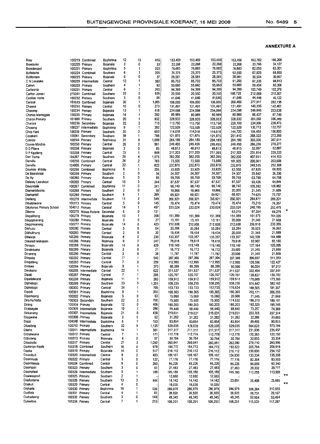| Bray                     |                | 100219 Combined     | Bophirima        | 12                       | 10                      | 416   | 153,459 | 153,459 | 153,459           | 153,459 | 163,782 | 166,268 |                |
|--------------------------|----------------|---------------------|------------------|--------------------------|-------------------------|-------|---------|---------|-------------------|---------|---------|---------|----------------|
| Breetsvlei               |                | 100220 Primary      | Bojanala         | 3                        | 0                       | 33    | 22,268  | 22,268  | 22,268            | 22,268  | 23,766  | 24,127  |                |
| Broedersput              |                | 100221 Primary      | Bophirima        | 5                        | 1                       | 203   | 76,883  | 76,883  | 76,883<br>$\cdot$ | 76,883  | 82,055  | 83,301  |                |
| Buffelsvlei              |                | 100224 Combined     | Southern         | 6                        | 1                       | 205   | 25,375  | 25,375  | 25,375            | 63,550  | 67,825  | 68,855  |                |
| Bultfontein              |                | 100225 Primary      | Bojanala         | 6                        | 0                       | 37    | 28,581  | 28,581  | 28,581            | 28,581  | 30,504  | 30,967  |                |
| C N Lekalake             | 100228         | Intermediate        | Central          | 13                       | 1                       | 380   | 85,703  | 85,703  | 85,703            | 91,200  | 97,335  | 98,813  |                |
|                          |                | 100229 Primary      | Southern         | 4                        | 1                       | 92    | 55,660  | 55,660  | 55,660            | 55,660  | 59,404  | 60,306  |                |
| Calvyn                   |                | 100231 Primary      |                  | 6                        | 1                       |       |         |         |                   |         |         |         |                |
| Carlisonia               |                |                     | Central          |                          | 5                       | 200   | 94,399  | 94,399  | 94,399            | 94,399  | 100,749 | 102,279 |                |
| Carlton Jones I          |                | 270041 Combined     | Southern         | 23                       |                         | 828   | 20,550  | 20,550  | 20,550            | 198,720 | 212,088 | 215,307 |                |
| Cecilias Home            |                | 100232 Primary      | Southern         | 3                        | 0                       | 64    | 41,646  | 41,646  | 41,646            | 41,646  | 44,448  | 45,122  |                |
| Central                  |                | 103619 Combined     | Bojanala         | 30                       | 1                       | 1,085 | 106,000 | 106,000 | 106,000           | 260,400 | 277,917 | 282,136 |                |
| Chaena                   |                | 100233 Primary      | Central          | 10                       | 0                       | 273   | 131,491 | 131,491 | 131,491           | 131,491 | 140,336 | 142,467 |                |
| Chaneng                  |                | 100234 Primary      | Bojanala         | 13                       | 1                       | 418   | 234,098 | 234,098 | 234,098           | 234,098 | 249,846 | 253,638 |                |
| Charles Mamogale         |                | 100235 Primary      | Bojanala         | 14                       | 1                       | 282   | 80,989  | 80,989  | 80,989            | 80,989  | 86,437  | 87,749  |                |
| Charon Primary           |                | 101888 Primary      | Southern         | 20                       | 1                       | 852   | 328,933 | 328,933 | 328,933           | 328,933 | 351,060 | 356,389 |                |
| Charora                  | 100236         | Secondary           | Bojanala         | 22                       | 2                       | 710   | 113,750 | 113,750 | 113,750           | 220,100 | 234,906 | 238.472 |                |
| Choseng                  | 100237         | Intermediate        | Bophirima        | 9                        | 1                       | 282   | 122,529 | 122,529 | 122,529           | 122,529 | 130,772 | 132,757 |                |
| Chris Hani               |                | 100238 Primary      | Southern         | 20                       | 2                       | 603   | 114,018 | 114,018 | 114,018           | 144,720 | 154,455 | 156,800 |                |
| Cocekani                 |                | 100241 Secondary    | Southern         | 38                       | 1                       | 788   | 121,875 | 121,875 | 121,875           | 251,410 | 268,322 | 272,395 |                |
| Colinda                  |                | 100244 Primary      | Bophirima        | 31                       | 4                       | 1,099 | 284,189 | 284,189 | 284,189           | 284,189 | 303,306 | 307,911 |                |
| Connie Minchin           | 100250         | Primary             | Central          | 26                       | 3                       | 961   | 249,455 | 249,455 | 249,455           | 249,455 | 266,236 | 270,277 |                |
| D D Pilane               | 100258         | Primary             | Bojanala         | 3                        | 0                       | 85    | 48,813  | 48,813  | 48,813            | 48,813  | 52,097  | 52,887  |                |
| D P Kgotleng             |                | 103259 Primary      | Central          | 23                       | 1                       | 849   | 217,203 | 217,203 | 217,203           | 217,203 | 231,814 | 235,333 |                |
| Dan Tiome                |                | 104267 Primary      | Southern         | 28                       | 4                       | 1,075 | 382,200 | 382,200 | 382,200           | 382,200 | 407,911 | 414,103 |                |
|                          |                |                     |                  | 24                       | $\overline{\mathbf{c}}$ |       |         |         |                   |         |         |         |                |
| Danville                 |                | 100255 Combined     | Central          |                          |                         | 783   | 73,500  | 73,500  | 73,500            | 187,920 | 200,561 | 203,606 |                |
| Danville                 |                | 104005 Primary      | Central          | 22                       | $\mathbf{1}$            | 822   | 232,870 | 232,870 | 232,870           | 232,870 | 248,535 | 252,308 |                |
| Daumas Middle            |                | 100256 Combined     | Bophirima        | 8                        | $\mathbf{1}$            | 205   | 33,925  | 33,925  | 33,925            | 63,550  | 67,825  | 68,855  |                |
| De Beerskraal            |                | 100259 Primary      | Southern         | 2                        | 0                       | 34    | 24,307  | 24,307  | 24,307            | 24,307  | 25,942  | 26,336  |                |
| De Hy                    |                | 100260 Primary      | Bojanala         | 5                        | 0                       | 95    | 59,769  | 59,769  | 59,769            | 59,769  | 63,790  | 64,758  |                |
| Delarey Laerskool        |                | 100265 Primary      | Central          | 15                       | 3                       | 344   | 87,537  | 87,537  | 87,537            | 87,537  | 93,426  | 94,844  |                |
| Devondale                |                | 100267 Combined     | Bophinma         | 11                       | 0                       | 241   | 98,740  | 98,740  | 98,740            | 98,740  | 105,382 | 106,982 |                |
| Diamantdooms             |                | 100268 Primary      | Southern         | 2                        | 0                       | 30    | 19,966  | 19,966  | 19,966            | 20,000  | 21,345  | 21,669  |                |
| Diamantrif               |                | 100269 Primary      | Southem          | 6                        | 1                       | 289   | 69,921  | 69,921  | 69,921            | 69,921  | 74,625  | 75,757  |                |
| Diatleng                 | 100270         | Intermediate        | Southern         | 11                       | 2                       | 549   | 266,921 | 266,921 | 266,921           | 266,921 | 284,877 | 289,201 |                |
| Dihatshwane              |                | 100273 Primary      | Central          | 5                        | 0                       | 145   | 70,474  | 70,474  | 70,474            | 70,474  | 75,215  | 76,357  |                |
| Dikakanyo Primary School |                | 104012 Primary      | Central          | 14                       | 1                       | 497   | 233,024 | 233,024 | 233,024           | 233,024 | 248,700 | 252,475 |                |
| Dikeme                   |                | 100275 Moses Kotane | Secondar         | 6                        | 0                       | 131   |         |         |                   | 63,015  | 67,254  | 68,275  | χ              |
| Dikgatlhong              | 100278         | Primary             | Bojanala         | 10                       | 1                       | 358   | 151,389 | 151,389 | 151,389           | 151,389 | 161,573 | 164,026 |                |
| Dikgophaneng             | 100280         | Primary             | Bojanala         | 3                        | 0                       | 27    | 13,161  |         |                   | 20,000  |         | 21,669  |                |
|                          | 100277         |                     |                  | 14                       | 0                       | 423   |         | 13,161  | 13,161            |         | 21,345  |         |                |
| Dikgorwaneng             |                | Primary             | Bojanala         |                          | 0                       |       | 212,608 | 212,608 | 212,608           | 212,608 | 226,910 | 230,355 |                |
| Dikhudu                  | 100282         | Primary             | Central          | 3                        |                         | 64    | 33,284  | 33,284  | 33,284            | 33,284  | 35,523  | 36.062  |                |
| Dikhukhung               | 100283         | Primary             | Central          | 2                        | 0                       | 30    | 19,434  | 19,434  | 19,434            | 20,000  | 21,345  | 21,669  |                |
| Dikweipi                 |                | 100285 Primary      | Bojanala         | 8                        | 0                       | 230   | 133,357 | 133,357 | 133,357           | 133,357 | 142,328 | 144,488 |                |
| Dilkeledi Makapan        | 100286         | Primary             | Bojanala         | 9                        | 2                       | 247   | 78,618  | 78,618  | 78,618            | 78,618  | 83,907  | 85,180  |                |
| Dimapo                   | 100288         | Primary             | Bojanala         | 14                       | 0                       | 429   | 119.149 | 119,149 | 119,149           | 119,149 | 127,164 | 129,095 |                |
| Dinaletsana              | 100289         | Primary             | Bojanala         | 3                        | 0                       | 21    | 16,772  | 16,772  | 16,772            | 20,000  | 21,345  | 21,669  |                |
| Dinareng                 | 100290         | Primary             | Central          | 3                        | 0                       | 38    | 11,787  | 11,787  | 11,787            | 20,000  | 21,345  | 21,669  |                |
| Dingake                  | 100292         | Primary             | Central          | 17                       | 1                       | 540   | 287,366 | 287,366 | 287,366           | 287,366 | 306,697 | 311,353 |                |
| Dingateng                | 100293         | Primary             | Central          | 7                        | 0                       | 259   | 112,995 | 112,995 | 112,995           | 112,995 | 120,596 | 122,427 |                |
| Dinkwe                   | 100294 Primary |                     | Bojanala         | 9                        | 1                       | 375   | 88,399  | 88,399  | 88,399            | 90,000  | 96,054  | 97,512  |                |
| Dinokana                 | 100295         | Intermediate        | Central          | 22                       | 1                       | 622   | 311,537 | 311,537 | 311,537           | 311,537 | 332,494 | 337,541 |                |
| Dipati                   | 100297         | Primary             | Central          | $\overline{\phantom{a}}$ | 1                       | 295   | 120,707 | 120,707 | 120,707           | 120,707 | 128,827 | 130,783 |                |
| Dipetlelwane             | 100298 Primary |                     | Bojanala         | 11                       | 1                       | 292   | 159,912 | 159,912 | 159,912           | 159,912 | 170,669 | 173,260 |                |
| Diphetogo                | 100299 Primary |                     | Southern         | 33                       | 3                       | 1,251 | 538,235 | 538,235 | 538,235           | 538,235 | 574.442 | 583,162 |                |
| Diphetogo                | 100300 Primary |                     | Central          | 24                       | 1                       | 709   | 153,733 | 153,733 |                   |         |         |         |                |
|                          |                |                     |                  |                          | 1                       |       |         |         | 153,733           | 176,624 | 188,505 | 191,367 |                |
| Dipodi                   | 100301         | Primary             | Bophirima        | 9                        |                         | 355   | 190,365 | 190,365 | 190,365           | 190,365 | 203,171 | 206,255 |                |
| Dipompong                | 100302 Primary |                     | Bojanala         | 5                        | 0                       | 63    | 15,060  | 15,060  | 15,060            | 20,000  | 21,345  | 21,669  |                |
| Dira Ka Natla            |                | 100303 Secondary    | Southern         | 22                       | 2                       | 700   | 75,500  | 75,500  | 75,500            | 174,532 | 186,273 | 189,101 |                |
| Dirang                   | 100304 Primary |                     | Bojanala         | 12                       | 0                       | 406   | 180,203 | 180,203 | 180,203           | 180,203 | 192,325 | 195,245 |                |
| Diratsagae               |                | 100305 Intermediate | Bojanala         |                          |                         | 286   | 58,440  | 58,440  | 58,440            | 68,640  | 73,257  | 74,369  |                |
| Dirisanang               |                | 100307 intermediate | Bojanala         | 21                       | 0                       | 439   | 219,031 | 219,031 | 219,031           | 219,031 | 233,765 | 237,314 |                |
| Disigwane                | 100308 Primary |                     | Bojanala         | 3                        | 0                       | 62    | 31,282  | 31,282  | 31,282            | 31,282  | 33,386  | 33,893  |                |
| Disipi                   |                | 104046 Intermediate | <b>Bophirima</b> | 6                        | 1                       | 153   | 83,854  | 83,854  | 83,854            | 83,854  | 89,495  | 90,853  |                |
| Ditaelong                | 100310 Primary |                     | Southern         | 32                       | 5                       | 1,125 | 529,035 | 529,035 | 529,035           | 529,035 | 564,623 | 573,194 |                |
| Diteho                   |                | 100311 Intermediate | Bophirima        | 14                       | 1                       | 361   | 217,317 | 217,317 | 217,317           | 217,317 | 231,936 | 235,457 |                |
| Dithakwana               | 100312 Primary |                     | Central          | 7                        | 1                       | 171   | 112,778 | 112,778 | 112,778           | 112,778 | 120,365 | 122,192 |                |
| Dithoteng                | 100313 Primary |                     | Bojanala         | 4                        | 0                       | 67    | 30,784  | 30,784  | 30,784            | 30,784  | 32,855  | 33,354  |                |
| Ditsobotla               | 100317 Primary |                     | Central          | 27                       | 3                       | 1,092 | 260,941 | 260,941 | 260,941           | 262,080 | 279,710 | 283,956 |                |
| Dominion Reefs           |                | 100318 Combined     | Southern         | 16                       | 0                       | 678   | 184,772 | 184,772 | 184,772           | 192,823 | 205,794 | 208,918 |                |
| Dooka                    | 100319 Primary |                     | Bojanala         | 14                       | 0                       | 517   | 216,112 | 216,112 | 216,112           | 216,112 | 230,650 | 234,152 |                |
| Doornbult                |                | 100320 Intermediate | Central          | 8                        | 2                       | 403   | 109,167 | 109,167 | 109,167           | 124,930 | 133,334 | 135,358 |                |
| Doornhoek                | 100322 Primary |                     | Central          | 5                        | 0                       | 122   | 77,116  | 77,116  |                   |         |         | 83,553  |                |
| Doornlaagte              |                | 104034 Combined     |                  | 9                        | 0                       |       |         |         | 77,116            | 77,116  | 82,304  |         |                |
|                          |                |                     | Central          |                          |                         | 260   | 85,226  | 85,226  | 85,226            | 85,226  | 90,959  | 92,340  |                |
| Doompan                  | 100323 Primary |                     | Southern         | 3                        | 0                       | 61    | 27,483  | 27,483  | 27,483            | 27,483  | 29,332  | 29,777  |                |
| Doomplaat                |                | 100324 Intermediate | Southern         | 5                        | 1                       | 188   | 105,180 | 105,180 | 105,180           | 105,180 | 112,255 | 113,959 | **             |
| Dowwespruit              | 100325 Primary |                     | Southern         | 2                        | 1                       |       | 12,660  | 12,660  | 12,660            |         |         |         |                |
| Driefonteine             | 100328 Primary |                     | Southern         | 13                       | 3                       | 444   | 14,142  | 14,142  | 14,142            | 23,891  | 25,498  | 25,885  | $\overline{R}$ |
| Driekuil                 | 100329 Primary |                     | Central          | 4                        | 0                       |       | 18,035  | 18,035  | 18,035            |         |         |         |                |
| Dryharts                 | 100330 Primary |                     | Bophirima        | 19                       | 1                       | 536   | 286,979 | 286,979 | 286,979           | 286,979 | 306,284 | 310,933 |                |
| Dudfield                 | 100331 Primary |                     | Central          | 4                        | 1                       | 45    | 26,920  | 26,920  | 26,920            | 26,920  | 28,731  | 29,167  |                |
| Duduetsang               | 100332 Primary |                     | Southern         | 3                        | 0                       | 149   | 49,345  | 49,345  | 49,345            | 49,345  | 52,664  | 53,464  |                |
| Duikerbos                | 100334 Primary |                     | Central          | 7                        | 1                       | 215   | 108,251 | 108,251 | 108,251           | 108,251 | 115,533 | 117,287 |                |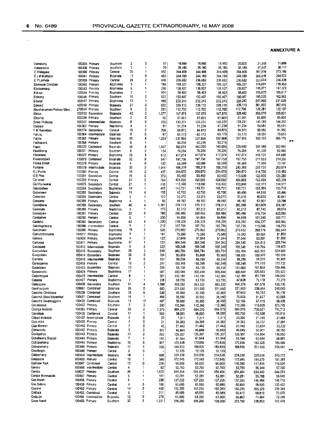$\overline{\phantom{a}}$ 

| Dumelang                  |                 | 100335 Primary      | Southern        | 2  | o              | 37    | 19,990  | 19,990  | 19,990  | 20,000            | 21,345  | 21,669   |                      |
|---------------------------|-----------------|---------------------|-----------------|----|----------------|-------|---------|---------|---------|-------------------|---------|----------|----------------------|
| Dupperspos                |                 | 100336 Primary      | Southem         | 3  | 1              | 70    | 35,180  | 35,180  | 35,180  | 35,180            | 37,547  | 38,117   |                      |
| E H Mogase                |                 | 100340 Primary      | Cantral         | 20 | 1              | 552   | 344.408 | 344,408 | 344,408 | 344,408           | 367,576 | 373,156  |                      |
| E J M Mahlabe             |                 | 100341 Primary      | Bojanala        | 13 | 0              | 463   | 244,189 | 244,189 | 244,189 | 244,189           | 260,616 | 264,572  |                      |
| E P Lekhela               |                 | 100359 Primary      | Central         | 24 | 2              | 849   | 236,682 | 236,682 | 236,682 | 236,682           | 252,604 | 256,438  |                      |
| Ebenezer Christian        |                 | 100342 Primary      | Bophirima       | 5  | 1              | 189   | 109,327 | 109,327 | 109,327 | 109,327           | 116,681 | 118,453  |                      |
| Ebetsamang                |                 | 100343 Primary      | Bophirima       | 9  | 1              | 295   | 135,927 | 135,927 | 135,927 | 135,927           | 145,071 | 147,273  |                      |
| Eckron                    |                 | 100344 Primary      | Bophirima       | 7  | 1              | 191   | 98,403  | 98,403  | 98,403  | 98,403            | 105,023 | 106,617  |                      |
| Edisang                   |                 | 100346 Primary      | Southern        | 19 | 0              | 522   | 150,407 | 150,407 | 150,407 | 150,407           | 160,525 | 162,962  |                      |
| Educar                    |                 | 100347 Primary      | Bophirima       | 13 | 1              | 488   | 232,243 | 232,243 | 232,243 | 232,243           | 247,866 | 251,629  |                      |
| Edward                    | 100349          | Primary             | Bojanala        | 21 | 0              | 622   | 339,110 | 339,110 | 339,110 | 339,110           | 361,922 | 367,416  |                      |
| Ekuphakameni Primary Mine | 270694          | Primary             | Southern        | 6  | $\overline{c}$ | 331   | 112,700 | 112,700 | 112,700 | 112,700           | 120,281 | 122,107  |                      |
| Eletsa                    |                 | 100353 Secondary    | Bojanala        | 42 | 0              | 1,077 | 167,875 | 167,875 | 167,875 | 328,482           | 350,579 | 355,901  |                      |
| Elkomia                   | 100354          | Primary             | Southern        | 3  | 0              | 92    | 61,661  | 61.661  | 61,661  | 61,661            | 65,809  | 66,808   |                      |
| Ennis Thabong             | 100357          | Intermediate        | Bojanala        | 8  | 0              | 235   | 133,231 | 133,231 | 133,231 | 133,231           | 142,193 | 144,352  |                      |
| Etebare                   | 100362          | Primary             | Bophirima       | 4  | 1              | 91    | 51,234  | 51,234  | 51,234  | 51,234            | 54,681  | 55,511   |                      |
| F M Ramaboa               | 100374          | Secondary           | Central         | 19 | 2              | 266   | 84,875  | 84,875  | 84,875  | 84,875            | 90,585  | 91,960   |                      |
| Fafung                    | 100364          | Intermediate        | Bolanala        | 8  | 0              | 97    | 65,173  | 65,173  | 65,173  | 65,173            | 69,557  | 70,613   |                      |
| Fapha                     | 100365          | Primary             | <b>Bojanala</b> | 35 | 4              | 1,254 | 337,968 | 337,968 | 337,968 | 337,968           | 360,703 | 366,179  |                      |
| Fathosang                 | 100368          | Primary             | Southern        | 6  | 1              |       | 50,215  | 50,215  | 50,215  |                   |         |          |                      |
| Fields                    | 100370          | Combined            | Bojanala        | 34 | 4              | 1,357 | 160,093 | 160,093 | 160,093 | 325,680           | 347,588 | 352,865  |                      |
| Fikadibeng                | 100371          | Primary             | Southern        | 6  | 2              | 134   | 76,204  | 76,204  | 76,204  | 76,204            | 81,330  | 82,565   |                      |
| Floradene                 |                 | 100372 Primary      | Bophirima       | 25 | 3              | 812   | 417,074 | 417,074 | 417,074 | 417.074           | 445,131 | 451,888  |                      |
| Freedompark               | 105075          | Combined            | Bojanala        | 32 | 0              | 547   | 197,750 | 197,750 | 197,750 | 197,750           | 211,053 | 214,256  |                      |
| Frikkie Smidt             |                 | 100378 Primary      |                 | 4  | 0              | 192   |         |         |         |                   |         |          |                      |
| Fumane                    |                 | 100379 Intermediate | Bojanala        | 30 | 0              |       | 66,589  | 66,589  | 66,589  | 66,589<br>243.360 | 71,068  | 72,147   |                      |
| G J Podile                |                 |                     | Bojanala        | 18 | $\overline{c}$ | 1.014 | 188,319 | 188,319 | 188,319 |                   | 259.731 | 263,674  |                      |
|                           | 100380          | Primary             | Central         |    |                | 497   | 294,870 | 294,870 | 294,870 | 294,870           | 314,706 | 319.483  |                      |
| G S Phoi<br>Ga israel     | 100381          | Secondary           | Central         | 18 | 0              | 373   | 93,450  | 93,450  | 93,450  | 115,630           | 123,408 | 125.282  |                      |
|                           |                 | 100382 Primary      | Central         | 27 | 2              | 764   | 424,855 | 424,855 | 424,855 | 424,855           | 453.435 | 460.318  |                      |
| Ga Khunwana               | 104075          | Secondary           | Central         | 21 | 1              | 516   | 113,400 | 113,400 | 113,400 | 123,840           | 132.171 | 134, 177 |                      |
| Gabobidiwe                | 100384          | Secondary           | Bophirima       | 14 | 1              | 465   | 143,721 | 143,721 | 143,721 | 143,721           | 153.389 | 155,718  |                      |
| Gabonewe                  | 100385          | Secondary           | Bojanala        | 11 | 4              | 195   | 42,700  | 42,700  | 42,700  | 60,450            | 64,516  | 65,496   |                      |
| Gaborone                  | 100386          | Secondary           | Central         | 5  | 1              | 121   | 23.275  | 23.275  | 23,275  | 37,510            | 40,033  | 40,641   |                      |
| Gaegane                   | 100388          | Primary             | Bophinma        | 4  | 1              | 95    | 49.192  | 49.192  | 49,192  | 49,192            | 52,501  | 53,298   |                      |
| Gaenthone                 | 100389          | Secondary           | Southern        | 40 | 4              | 1,101 | 176.113 | 176.113 | 176,113 | 282,598           | 301,609 | 306,187  |                      |
| Gaeonala                  | 100390          | Primary             | Bophirima       | 5  | 1              | 172   | 82.212  | 82,212  | 82,212  | 82,212            | 87,742  | 89,074   |                      |
| Gaesegwe                  | 100391          | Primary             | Ce⊓tral         | 22 | 0              | 780   | 390,486 | 390,486 | 390,486 | 390,486           | 416,754 | 423,080  |                      |
| Gaetsalwe                 | 100392          | Primary             | Central         | 6  | 1              | 230   | 94,859  | 94,859  | 94,859  | 94,859            | 101,240 | 102,777  |                      |
| Gaetsho                   | 100393          | Secondary           | Central         | 42 | 4              | 1,320 | 218,225 | 218,225 | 218,225 | 409,200           | 436,727 | 443,356  |                      |
| Gakologelwang             | 100396          | intermediate        | Central         | 8  | 1              | 210   | 107,795 | 107,795 | 107,795 | 107,795           | 115,046 | 116,793  |                      |
| Galeshewe                 | 100399          | Primary             | Bophirima       | 15 | 0              | 525   | 270,952 | 270,952 | 270,952 | 270,952           | 289,179 | 293,569  |                      |
| Gamonchonyane             | 104017 Primary  |                     | Bophinma        | 5  | 1              | 161   | 75,580  | 75,580  | 75,580  | 75,580            | 80,664  | 81,889   |                      |
| Ganoke                    | 100409 Primary  |                     | Bophinma        | 4  | 0              | 122   | 57,044  | 57,044  | 57,044  | 57,044            | 60,881  | 61,806   |                      |
| Ganyesa                   | 100411 Primary  |                     | Bophirima       | 17 | 1              | 722   | 304,340 | 304,340 | 304,340 | 304,340           | 324,813 | 329,744  |                      |
| Gaoiebale                 |                 | 100412 Intermediate | Bojanala        | ā  | $\overline{2}$ | 222   | 109,348 | 109,348 | 109,348 | 109,348           | 116,704 | 118,475  |                      |
| Gaopalalwa                | 100413          | Secondary           | Southern        | 28 | 3              | 948   | 585,784 | 585,784 | 585,784 | 585,784           | 625,190 | 634,680  |                      |
| Gaopotlake                |                 | 100414 Secondary    | Bojanala        | 26 | 0              | 704   | 85,969  | 85,969  | 85,969  | 168,955           | 180,320 | 183,058  |                      |
| Gaotime                   | 100416          | Intermediate        | Bojanala        | 8  | 0              | 161   | 88,299  | 88,299  | 88,299  | 88,299            | 94,239  | 95,669   |                      |
| Gareogenya                | 100419 Primary  |                     | Central         | 15 | 2              | 311   | 160,348 | 160,348 | 160,348 | 160,348           | 171,135 | 173,732  |                      |
| Gaseitsiwe                | 100423          | Secondary           | Bojanala        | 13 | 1              | 326   | 66,150  | 66,150  | 66,150  | 101,060           | 107,858 | 109,496  |                      |
| Gaseonane                 | 100424          | Primary             | Bophirima       | 17 | 1              | 587   | 300,444 | 300,444 | 300,444 | 300,444           | 320,655 | 325,522  |                      |
| Gaserengwe                | 100425          | Intermediate        | Central         | 8  | 1              | 307   | 142,184 | 142,184 | 142,184 | 142,184           | 151,749 | 154,052  |                      |
| Gataote                   | 100427          | Primary             | Bophirima       | 7  | 1              | 228   | 63,739  | 63,739  | 63,739  | 67,628            | 72,178  | 73,273   |                      |
| Gatelapele                | 100428          | Secondary           | Southern        | 51 | 4              | 1,568 | 393,332 | 393,332 | 393,332 | 404,376           | 431,578 | 438,130  |                      |
| Geelhoutpark              | 105061          | Combined            | Bojanala        | 26 | 0              | 682   | 221,550 | 221,550 | 221,550 | 221,550           | 236,454 | 240,043  |                      |
| Gekomb Christiana         | 100239          | Combined            | Southern        | 18 | 6              | 530   | 42,450  | 42,450  | 42,450  | 87,843            |         |          |                      |
| Gekomb Skool Bloemhof     | 100431          | Combined            | Southern        | 16 | 1              | 494   | 35,550  | 35,550  | 35,550  | 76,669            | 93,752  | 95,176   |                      |
| Gekomb Swartruggens       | 100430          | Combined            | Bojanala        | 13 | 13             | 407   |         |         | 30,450  |                   | 81,827  | 83,069   |                      |
| Galuksoord                | 100432 Primary  |                     | Southern        | 7  | 3              | 290   | 30,450  | 30,450  |         | 63.166            | 67,415  | 68,439   |                      |
| George Madoda             |                 |                     |                 |    |                |       | 112,366 | 112,366 | 112,366 | 112,366           | 119,925 | 121,745  |                      |
|                           | 104283 Primary  |                     | Central         | 29 | 2              | 1,375 | 684,570 | 684,570 | 684,570 | 684,570           | 730,621 | 741,712  |                      |
| Geysdorp                  |                 | 100436 Combined     | Central         | 17 | 1              | 583   | 98,000  | 98,000  | 98,000  | 180,730           | 192,888 | 195,816  |                      |
| Gilbert Motsepe           |                 | 100437 Intermediate | Bojanata        | 4  | 0              | 33    | 7,311   | 7,311   | 7,311   | 20,000            | 21,345  | 21,669   |                      |
| Gien Alice                | 100439 Primary  |                     | Central         | 4  | 0              | 31    | 34,393  | 34,393  | 34,393  | 34,393            | 36,707  | 37,264   |                      |
| Gl <b>en B</b> erwyn      | 100440 Primary  |                     | Central         | 2  | 0              | 42    | 21,442  | 21,442  | 21,442  | 21,442            | 22,884  | 23,232   |                      |
| Glenwoods                 | 100442 Primary  |                     | Bojanala        | 3  | 0              | 101   | 46,849  | 46,849  | 46,849  | 46,849            | 50,001  | 50,760   |                      |
| Goakganya                 | 100443 Primary  |                     | Bojanala        | 11 | 0              | 260   | 126,307 | 126,307 | 126,307 | 126,307           | 134,804 | 136,850  |                      |
| Gobakwang Bogosi          | 100444 Primary  |                     | Bojanala        | 7  |                | 140   | 61,544  | 61,544  | 61,544  | 61,544            | 65,684  | 66,681   |                      |
| Gobopamang                | 100445 Primary  |                     | Bophirima       | 10 | 0              | 307   | 170,836 | 170,836 | 170,836 | 170,836           | 182,328 | 185,096  |                      |
| Gobusamang                | 100446 Primary  |                     | Bojanala        | 11 | 1              | 336   | 188,835 | 188,835 | 188,835 | 188,835           | 201,538 | 204,597  |                      |
| Goedbegin                 | 100448 Primary  |                     | Central         | 2  | 0              |       | 12,125  | 12,125  | 12,125  |                   |         |          | $\pmb{\pi}\pmb{\pi}$ |
| G <b>oit</b> semang       |                 | 100454 Intermediate | Bojanala        | 18 | 1              | 509   | 224,530 | 224,530 | 224,530 | 224,530           | 239,634 | 243,272  |                      |
| Goilseone                 | 100455 Primary  |                     | Central         | 10 | 1              | 369   | 172,945 | 172.945 | 172,945 | 172,945           | 184,579 | 187,381  |                      |
| Golfview Park             |                 | 105067 Combined     | Central         | 12 | 0              | 226   | 96,600  | 96,600  | 96,600  | 110,390           | 117,816 | 119,604  |                      |
| Gontse                    |                 | 100456 Intermediate | Central         | 4  | 1              | 62    | 52,793  | 52,793  | 52,793  | 52,793            | 56,344  | 57,200   |                      |
| Gontse                    | 104027 Primary  |                     | Southem         | 39 | 1              | 1,522 | 594,454 | 594,454 | 594,454 | 594,454           | 634,443 | 644,074  |                      |
| Gontse Monnapula          | 100457 Primary  |                     | Central         | 5  | 1              | 101   | 52,281  | 52,281  | 52,281  | 52,281            | 55,798  | 56,645   |                      |
| G <b>oo M</b> olefi       | 100458 Primary  |                     | Central         | в  | 1              | 258   | 137,255 | 137,255 | 137,255 | 137,255           | 146,488 | 148,712  |                      |
| Goo Selaka                | 100459 Primary  |                     | Central         | 4  | 0              | 166   | 92,685  | 92,685  | 92,685  | 92,685            | 98,920  | 100,422  |                      |
| Gopane                    | 100462 Primary  |                     | Central         | 14 | 0              | 405   | 192,293 | 192,293 | 192,293 | 192,293           | 205,229 | 208,344  |                      |
| Gothata                   | 100463 Combined |                     | Central         | 9  | 1              | 211   | 45,689  | 45,689  | 45,689  | 65,410            | 69,810  | 70,870   |                      |
| Gotsube                   |                 | 100464 Intermediate | Bojanala        | 10 | 0              | 279   | 61,000  | 61,000  | 61,000  | 66,960            | 71,464  | 72,549   |                      |
| Goue Arend                | 100466 Primary  |                     | Southern        | 32 | 5              | 1,331 | 109,200 | 109,200 | 109,200 | 223,798           | 238,853 | 242,479  |                      |
|                           |                 |                     |                 |    |                |       |         |         |         |                   |         |          |                      |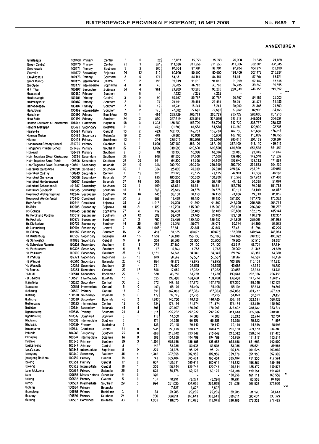| Graslaagte                            |                | 100468 Primary      | Central   | 3              | 0              | 22    | 15,053  | 15,053  | 15,053  | 20,000  | 21,345  | 21,669       |
|---------------------------------------|----------------|---------------------|-----------|----------------|----------------|-------|---------|---------|---------|---------|---------|--------------|
| Green Central                         |                | 100470 Primary      | Central   | 20             | 1              | 651   | 311,356 | 311,356 | 311,356 | 311,356 | 332.301 | 337,345      |
|                                       |                |                     |           | 9              | 2              | 300   | 97,704  | 97.704  | 97,704  | 97,704  | 104,277 | 105.859      |
| Greenspark                            |                | 100471 Primary      | Southern  |                | 13             |       |         |         |         | 194,400 | 207,477 | 210,627      |
| Grenville                             |                | 100472 Secondary    | Bojanala  | 26             |                | 810   | 80,600  | 80,600  | 80,600  |         |         |              |
| Greylingsrus                          | 100473         | Primary             | Southern  | 3              | 0              | 171   | 54,151  | 54,151  | 54,151  | 54,151  | 57,794  | 58,671       |
| Groot Marico                          |                | 100475 Intermediate | Central   | 9              | $\overline{c}$ | 198   | 91,019  | 91,019  | 91,019  | 91,019  | 97,142  | 98,616       |
| Grootpan                              | 100477         | Intermediate        | Bophirima | 4              | 0              | 45    | 36,785  | 36,785  | 36,785  | 36,785  | 39,260  | 39,855       |
| HF Tlou                               | 100497         | Secondary           | Bojanala  | 34             | 4              | 961   | 93,200  | 93,200  | 93,200  | 230,640 | 246,155 | 249,892      |
| Haaskraal                             | 100480         | Primary             | Southern  | 1              | 0              |       | 7,232   | 7,232   | 7,232   |         |         |              |
| Hakboslaagte                          | 100481         | Primary             | Central   | 3              | 0              | 90    | 50,767  | 50,767  | 50,767  | 50,767  | 54,182  | 55.005       |
| Hallowaysrust                         |                | 100482 Primary      | Southern  | $\overline{c}$ | 1              | 74    | 29,491  | 29,491  | 29,491  | 29.491  | 31.475  | 31.953       |
| Hanebeespan                           |                | 100487 Primary      | Southern  | $\overline{c}$ | 0              | 12    | 18,241  | 18,241  | 18,241  | 20,000  | 21,345  | 21,669       |
| Hartsfontein                          | 100489         | Intermediate        | Southern  | 7              | 2              | 175   | 77,682  | 77,682  | 77,682  | 77,682  | 82,908  | 84,166       |
| Hartsrivier                           | 100490         | Primary             | Bophirima | 13             | 1              | 484   | 265,729 | 265,729 | 265,729 | 265,729 | 283.605 | 287,910      |
| Hata Butle                            | 100491         | Primary             | Southern  | 24             | 2              | 830   | 327,519 | 327,519 | 327,519 | 327,519 | 349,551 | 354,857      |
| Hebron Technical & Commercial         | 101448         | Combined            | Bojanala  | 48             | 3              | 1,303 | 156,700 | 156,700 | 156,700 | 312,720 | 333,757 | 338,823      |
| Hendrik Makapan                       | 100493         | Secondary           | Bojanala  | 21             | 1              | 472   | 81,588  | 81,588  | 81,588  | 113,280 | 120.900 | 122,736      |
| Henryville                            |                | 100494 Primary      | Central   | 10             | 2              | 423   | 162,733 | 162,733 | 162,733 | 162,733 | 173,680 | 176,317      |
| Herman Thebe                          | 100495         | Secondary           | Bojanala  | 19             | 2              | 449   | 60,860  | 60,860  | 60,860  | 107,760 | 115,009 | 116,755      |
| Hikane                                |                |                     |           | 12             | 1              | 214   | 285,016 | 285,016 | 285,016 | 285,016 | 304,189 | 308,807      |
|                                       |                | 100498 Primary      | Bophirima |                | 1              |       |         |         |         |         |         | 419,412      |
| Hiangabeza Primary School             |                | 270736 Primary      | Southern  | 8              |                | 1,098 | 387,100 | 387,100 | 387,100 | 387,100 | 413,140 |              |
| Hlanganani Primary School             |                | 271495 Primary      | Southern  | 27             | 7              | 1,096 | 610,500 | 610,500 | 610,500 | 610,500 | 651,568 | 661,459      |
| Hoëkraal                              |                | 100499 Primary      | Southern  | 2              | 0              | 19    | 10,336  | 10,336  | 10,336  | 20,000  | 21,345  | 21,669       |
| Hoër Tegniese Skool Klerksdorp        |                | 100734 Secondary    | Southern  | 33             | 9              | 918   | 67,500  | 67,500  | 67,500  | 139,680 | 149,076 | 151,339      |
| Hoër Tegniese Skool Potch             | 100500         | Secondary           | Southern  | 23             | 26             | 661   | 64,300  | 64,300  | 64,300  | 158,640 | 169,312 | 171,882      |
| Hoër Tegniese Skool Rustenburg 100501 |                | Secondary           | Bojanala  | 26             | 10             | 686   | 280,700 | 280,700 | 280,700 | 280,700 | 299,583 | 304,130      |
| Hoerskool Carltonville                |                | 270090 Combined     | Southern  | 32             | 7              | 954   | 25,800  | 25,800  | 25,800  | 239,837 | 255,971 | 259,856      |
| Hoerskool Coligny                     |                | 100243 Secondary    | Central   | 8              | 15             | 161   | 23,125  | 23,125  | 23,125  | 42,994  | 45,886  | 46,583       |
| Hoerskool Grenswag                    | 100506         | Secondary           | Bojanala  | 34             | 3              | 885   | 100,200 | 100,200 | 100,200 | 213,576 | 227,943 | 231,403      |
| Hoerskool Hartbeespoort               | 100507         | Secondary           | Bojanala  | 37             | 16             | 906   | 26,489  | 26,489  | 26,489  | 47,162  | 50,335  | 51,099       |
| Hoërskool Schoonspruit                | 101887         | Secondary           | Southern  | 24             | 4              | 699   | 68,681  | 68,681  | 68,681  | 167,760 | 179,045 | 181,763      |
| Hoerskool Stilfontein                 | 102035         | Secondary           | Southern  | 15             | 3              | 356   | 28,575  | 28,575  | 28,575  | 59,131  | 63,109  | 64,067       |
| Hoerskoo! Wolmaransstad               | 102344         | Secondary           | Southern  | 18             | 16             | 445   | 36,150  | 36,150  | 36,150  | 74,806  | 79,839  | 81,051       |
| Hoerskool Wonderfontein               | 270140         | Combined            |           | 20             | 5              | 655   | 16.450  | 16,450  | 16,450  | 157,200 | 167,775 | 170,322      |
|                                       |                |                     | Southern  |                |                |       |         |         |         |         |         |              |
| Holy Family                           |                | 100511 Combined     | Boianala  | 25             | 2              | 1.018 | 91,300  | 91,300  | 91,300  | 244,320 | 260,755 | 264,714      |
| Hs Brits                              |                | 100505 Secondary    | Bojanala  | 40             | 21             | 1,120 | 115,200 | 115,200 | 115,200 | 268,800 | 286,882 | 291,237      |
| Hs Colinda                            | 100245         | Secondary           | Bophirima | 27             | 6              | 712   | 82,400  | 82,400  | 82,400  | 170,880 | 182.375 | 185,144      |
| Hs Ferdinand Postma                   |                | 100517 Secondary    | Southern  | 23             | 12             | 509   | 53,400  | 53,400  | 53,400  | 122,160 | 130,378 | 132,357      |
| Hs Fochville                          |                | 100376 Secondary    | Southern  | 27             | 3              | 780   | 135,450 | 135,450 | 135,450 | 241,800 | 258,066 | 261,983      |
| Hs Klerksdorp                         | 100733         | Secondary           | Southern  | 44             | 25             | 952   | 25,075  | 25,075  | 25,075  | 50,774  | 54,190  | 55,013       |
| Hs Lichtenburg                        |                | 100904 Secondary    | Central   | 41             | 28             | 1,045 | 32,841  | 32,841  | 32,841  | 57,431  | 61,294  | 62,225       |
| <b>Hs Orkney</b>                      |                | 101582 Secondary    | Southern  | 16             | 2              | 418   | 80,675  | 80,675  | 80,675  | 132,060 | 140,944 | 143,083      |
| <b>Hs Rustenburg</b>                  |                | 100509 Secondary    | Bojanala  | 49             | 16             | 1,559 | 156,100 | 156,100 | 156,100 | 374.160 | 399,330 | 405,392      |
| Hs Sannieshof                         |                | 101883 Secondary    | Central   | 9              | 9              | 205   | 20,500  | 20,500  | 20,500  | 49,200  | 52,510  | 53,307       |
| Hs Schweizer Reneke                   |                | 100503 Secondary    | Southern  | 11             | 18             | 233   | 27,100  | 27,100  | 27,100  | 62,516  | 66.721  | 67,734       |
| Hs Ventersdorp                        |                | 102305 Secondary    | Southern  | 6              | 5              | 117   | 4,763   | 4,763   | 4,763   | 20,000  | 21,345  | 21,669       |
| Hs Volkskool                          |                | 100502 Secondary    | Southern  | 38             | 17             | 1,151 | 34,341  | 34,341  | 34,341  | 59,392  | 63,387  | 64,350       |
| Hs Vryburg                            |                | 102321 Secondary    | Bophirima | 23             | 18             | 679   | 58,567  | 58,567  | 58,567  | 58,567  | 62,507  | 63.456       |
| Hs Wagpos                             |                | 100510 Secondary    | Bojanala  | 23             | 45             | 634   | 49,875  | 49,875  | 49,875  | 103,208 | 110,151 | 111,823      |
| Hs Wesvalia                           |                |                     | Southern  | 31             | 4              | 791   |         | 26,520  |         | 43,086  |         | 46,682       |
|                                       |                | 102335 Secondary    |           |                | 17             |       | 26,520  |         | 26,520  |         | 45,984  |              |
| Hs Zeerust                            |                | 102353 Secondary    | Central   | 20             |                | 598   | 17,082  | 17,082  | 17,082  | 30,857  | 32,933  | 33,433       |
| Huhudi                                |                | 100518 Secondary    | Bophinma  | 22             | 3              | 670   | 83,750  | 83,750  | 83,750  | 190,548 | 203,366 | 206,453      |
| i B Damons                            |                | 100521 Intermediate | Bojanala  | 15             | 0              | 525   | 138,460 | 138,460 | 138,460 | 138,460 | 147,774 | 150,017      |
| Ikageleng                             |                | 100522 Secondary    | Central   | 30             | 5              | 572   | 147,175 | 147,175 | 147,175 | 177,320 | 189,248 | 192,121      |
| ikagisano                             |                | 100525 Intermediate | Central   | 6              | 0              | 107   | 55,106  | 55,106  | 55,106  | 55,106  | 58,813  | 59,706       |
| Ikalafeng                             | 100527         | Primary             | Central   | 17             | 2              | 691   | 367,083 | 367,083 | 367,083 | 367,083 | 391,777 | 397,724      |
| kaneng                                | 100528         | Secondary           | Bojanala  | 8              | 0              | 177   | 32,725  | 32,725  | 32,725  | 54,870  | 58,561  | 59,450       |
| ikatisong                             | 100530         | Secondary           | Bojanala  | 45             | 3              | 1,263 | 146,750 | 146,750 | 146,750 | 303,120 | 323,511 | 328,422      |
| Ikelleetseng                          |                | 100533 Intermediate | Central   | 12             | 0              | 324   | 171,174 | 171,174 | 171,174 | 171,174 | 182,689 | 185,462      |
| keuerso                               |                | 100534 Secondary    | Bojanala  | 45             |                | 1,305 | 1/0,99/ | 170,997 | 170,997 | 326,522 | 348,487 | 353,777      |
| ikoomotseng                           | 100536 Primary |                     | Southern  | 29             | 4              | 1,311 | 292,232 | 292.232 | 292,232 | 314,640 | 335,806 | 340,903      |
| ikgomolseng                           |                | 100537 Combined     | Bojanala  | 8              | 1              | 119   | 14,500  | 14,500  | 14,500  | 30,212  | 32,244  | 32,734       |
| ikhutseng                             |                | 100538 Intermediate | Southern  | 5              | 1              | 171   | 66,358  | 66,358  | 66,358  | 66,358  | 70,822  | 71,897       |
| lkhutseng                             | 100539 Primary |                     | Bophirima | 5              | 1              | 135   | 70,140  | 70,140  | 70,140  | 70,140  | 74,858  | 75,995       |
| ikopanyeng                            |                | 100541 Combined     | Central   | 31             | 0              | 936   | 160,475 | 160,475 | 160,475 | 290,160 | 309,679 | 314,380      |
| Imfundo                               |                | 104269 Secondary    |           |                | 0              | 889   |         |         |         |         |         |              |
|                                       |                |                     | Southern  | 25             |                |       | 213,642 | 213,642 | 213,642 | 213,642 | 228,014 | 231,475      |
| inkonjane                             | 100546 Primary | 100544 Intermediate | Bojanala  | 16             | 0<br>3         | 302   | 104,769 | 104,769 | 104,769 | 104,769 | 111,817 | 113,514      |
| Invatelo                              |                |                     | Southern  | 39             |                | 1,504 | 638,688 | 638,688 | 638,688 | 638,688 | 681,653 | 692,000      |
| Ipaakanyeng                           | 100547 Primary |                     | Central   | 5              | ٤              | 142   | 83,035  | 83,035  | 83,035  | 83,035  | 88,621  | 89,966       |
| lpelafatseng                          |                | 100548 Intermediate | Bophirima | 8              | 0              | 221   | 95,126  | 95,126  | 95,126  | 95,126  | 101,525 | 103,066      |
| lpelegeng                             |                | 100549 Secondary    | Southern  | 46             | 4              | 1,342 | 307,956 | 307,956 | 307,956 | 329,776 | 351,960 | 357,302      |
| Ipelegeng Batiharo                    | 100550 Primary |                     | Central   | 18             | 1              | 741   | 385,404 | 385,404 | 385,404 | 385,404 | 411,330 | 417,574      |
| Ipeleng                               | 100551 Primary |                     | Central   | 17             | 2              | 607   | 160,611 | 160,611 | 160,611 | 174,622 | 186,369 | 189,198      |
| lpokeng                               |                | 100552 Intermediate | Central   | 10             | 1              | 209   | 129,744 | 129,744 | 129,744 | 129,744 | 138,472 | 140,574      |
| Isaac Mokoena                         | 100554 Primary |                     | Bojanala  | 20             | 0              | 623   | 50,175  | 50,175  | 50,175  | 103,208 | 110,151 | 111,823      |
| lsang                                 |                | 100558 Moses Kotane | Secondar  | 11             | 0              | 326   |         |         |         | 150,956 | 161.111 | π<br>163,556 |
| ltekeng                               | 100562 Primary |                     | Central   | 5              | 0              | 131   | 78,291  | 78,291  | 78,291  | 78,291  | 83,558  | 84,826       |
| iterele                               |                | 100563 Intermediate | Southern  | 29             | 5              | 994   | 251,036 | 251,036 | 251,036 | 251,036 | 267,923 | 271,990      |
| Itholeng                              | 100564 Primary |                     | Bojanala  |                |                |       | 7,527   | 7,527   | 7,527   |         |         | xх           |
| lthumeleng                            | 100565 Primary |                     | Bophirima | 3              | 1              | 34    | 29,205  | 29,205  | 29,205  | 29,205  | 31,170  | 31,643       |
| thuseng                               | 100566 Primary |                     | Southern  | 24             | 1              | 980   | 368,611 | 368,611 | 368,611 | 368,611 | 393,407 | 399,379      |
| lthuteng                              |                | 100567 Combined     | Bojanala  | 33             | 0              | 1,001 | 118,075 | 118,075 | 118,075 | 256,105 | 273,333 | 277,482      |
|                                       |                |                     |           |                |                |       |         |         |         |         |         |              |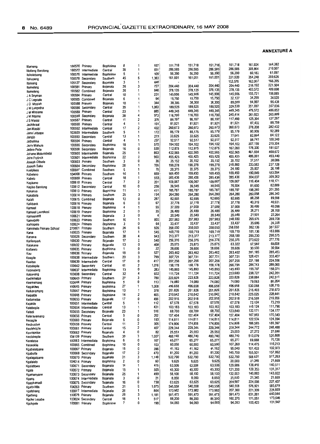|                         |        |                                    |           | 8  | 1 | 197   | 151,718 | 151,718 | 151,718          | 151,718 | 161,924 | 164,382 |
|-------------------------|--------|------------------------------------|-----------|----|---|-------|---------|---------|------------------|---------|---------|---------|
| Itlameng                |        | 100570 Primary                     | Bophirima | 28 | 1 | 691   | 286,585 | 286,585 | 286,585          | 286,585 | 305,864 | 310,507 |
| Itlotleng Barolong      |        | 100572 Intermediate                | Central   | 5  | 1 | 109   | 56,390  | 56,390  | 56,390           | 56,390  | 60,183  | 61,097  |
| Itsholetseng            | 100576 | intermediate                       | Bophirima |    | 5 |       | 161,001 | 161,001 | 161,001          | 331,920 | 354,248 | 359,626 |
| itshupeng               | 100578 | Secondary                          | Southern  | 45 |   | 1,383 |         |         |                  | 153,576 | 163,907 | 166,395 |
| <b>Itsoseng</b>         | 105127 | Secondary                          | Bojanala  | 3  | 1 | 448   |         | 204,440 | 204,440          | 204,440 | 218,192 | 221,504 |
| Itumeleng               |        | 100581 Primary                     | Bojanala  | 26 | 3 | 727   | 204,440 | 378,135 | 378,135          | 378,135 | 403,572 | 409,698 |
| Itumeleng               |        | 100582 Combined                    | Bojanala  | 26 | 1 | 846   | 378,135 |         | 145,906          | 145,906 | 155,721 | 158,085 |
| J A Snyman              |        | 100584 Primary                     | Central   | 10 | 1 | 231   | 145,906 | 145,906 |                  | 32,137  | 34,299  | 34,820  |
| J C Legoale             |        | 100585 Combined                    | Bojanala  | 6  | 1 | 94    | 15,750  | 15,750  | 15,750<br>38,300 | 89,009  | 94,997  | 96,439  |
| JD Mosiah               | 100588 | Primary                            | Bojanala  | 10 | 1 | 344   | 38,300  | 38,300  |                  | 329,530 | 351,697 | 357,036 |
| J M Lekgetha            | 100586 | Secondary                          | Central   | 35 | 1 | 1,063 | 189,525 | 189,525 | 189,525          |         | 479,572 | 486,852 |
| J M Mosiane             | 100589 | Primary                            | Central   | 23 | 1 | 885   | 449,345 | 449,345 | 449,345          | 449,345 |         | 265,899 |
| J M Ntsime              | 100599 | Secondary                          | Bojanala  | 38 | 4 | 973   | 116,700 | 116,700 | 116,700          | 245,414 | 261,923 | 127,297 |
| J S Masisi              |        | 100587 Primary                     | Central   | 11 | 2 | 378   | 86,197  | 86,197  | 86,197           | 117,490 | 125,394 | 88,759  |
| Jachtkraal              | 100590 | Primary                            | Central   | 4  | 1 | 191   | 81,921  | 81,921  | 81,921           | 81,921  | 87,432  |         |
| Jan Masibi              | 100592 | Intermediate                       | Central   | 17 | 2 | 432   | 260,673 | 260,673 | 260,673          | 260,673 | 278,208 | 282,432 |
| Jane Letsapa            | 103609 | Intermediate                       | Southern  | 5  | 1 | 172   | 85,179  | 85,179  | 85,179           | 85,179  | 90,909  | 92,289  |
| Jangjo                  | 100593 | Secondary                          | Central   | 13 | 1 | 273   | 33,625  | 33.625  | 33,625           | 77,641  | 82,864  | 84,122  |
| Jatholima               | 100594 | Primary                            | Central   | 4  | 1 | 237   | 92,517  | 92,517  | 92,517           | 92,517  | 98,741  | 100,240 |
| Jerry Mahura            | 100596 | Secondary                          | Bophinma  | 18 | 1 | 570   | 194,102 | 194,102 | 194,102          | 194,102 | 207,159 | 210,304 |
| Jethro Pelle            | 100598 | Secondary                          | Bojanala  | 16 | 0 | 539   | 112,875 | 112,875 | 112,875          | 167,090 | 178,330 | 181,037 |
| Johane Mokolobetsi      | 100600 | Intermediate                       | Bojanala  | 25 | 1 | 863   | 432,565 | 432,565 | 432,565          | 432,565 | 461,664 | 468,672 |
| John Frylinck           | 100601 | Intermediate                       | Bophinma  | 22 | 2 | 960   | 455,425 | 455,425 | 455,425          | 455,425 | 486,061 | 493,440 |
| Joseph Ditsele          | 100603 | Primary                            | Southern  | 3  | 0 | 36    | 35,152  | 35,152  | 35,152           | 35,152  | 37,517  | 38,086  |
| Joseph Saku             | 100604 | Secondary                          | Bophinma  | 28 | 1 | 706   | 199,278 | 199,278 | 199,278          | 218,860 | 233,583 | 237,128 |
| Kaalplaas               | 100607 | Combined                           | Southern  | 6  | 1 | 78    | 20,375  | 20,375  | 20,375           | 24,180  | 25,807  | 26,198  |
|                         | 104068 | Primary                            | Southern  | 16 | 1 | 669   | 169,450 | 169,450 | 169,450          | 169,450 | 180,849 | 183,594 |
| Kabelano                | 100609 | Primary                            | Central   | 18 | 1 | 553   | 285,436 | 285.436 | 285,436          | 285,436 | 304,637 | 309,262 |
| Kabelo                  |        | 100610 Primary                     | Central   | 7  | 2 | 201   | 109,067 | 109,067 | 109,067          | 109,067 | 116,404 | 118,171 |
| Kagisano                |        |                                    | Central   | 10 | 0 | 256   | 39,545  | 39,545  | 39,545           | 76,504  | 81,650  | 82,889  |
| Kagiso Barolong         |        | 100612 Secondary<br>100613 Primary | Bophirima | 11 | 1 | 411   | 185,787 | 185,787 | 185,787          | 185,787 | 198,285 | 201,295 |
| Kakanyo                 |        |                                    | Southern  | 25 | 3 | 754   | 264,280 | 264,280 | 264,280          | 264,280 | 282,058 | 286,340 |
| Kakatlela               |        | 100614 Primary                     |           | 13 | 0 | 287   | 82,695  | 82,695  | 82,695           | 82,695  | 88,258  | 89,598  |
| Kalafi                  |        | 100615 Combined                    | Bojanala  | 6  | 0 | 67    | 37,778  | 37,778  | 37,778           | 37,778  | 40,319  | 40,931  |
| Kalkbank                |        | 100616 Primary                     | Bojanala  |    | 1 | 55    | 37,009  | 37,009  | 37,009           | 37,009  | 39,499  | 40,098  |
| Kameel                  | 100618 | Primary                            | Bophinma  | 4  | 0 |       |         | 26,489  | 26,489           | 26,489  | 28,271  | 28,700  |
| Kameel Laerskool        |        | 100619 Primary                     | Bophinma  | 2  |   | 35    | 26,489  | 20,549  | 20,549           | 20,549  | 21,931  | 22,264  |
| Kameeldnft              |        | 100621 Primary                     | Bojanala  | 3  | 0 | 4     | 20,549  |         | 207,983          | 248,930 | 265,676 | 269,708 |
| Kamogelo                | 100623 | Primary                            | Southern  | 10 | 1 | 803   | 207,983 | 207,983 |                  | 33,437  | 35,686  | 36,228  |
| Kamogelo                | 100624 | Primary                            | Bophinma  | 3  | 0 | 64    | 33,437  | 33,437  | 33,437           | 358,050 | 382,136 | 387,937 |
| Kamohelo Primary School | 270801 | Primary                            | Southern  | 26 | 6 | 926   | 358,050 | 358,050 | 358,050          |         |         | 183,886 |
| Kana                    |        | 100625 Primary                     | Bojanala  | 17 | 1 | 545   | 169,719 | 169,719 | 169,719          | 169,719 | 181,136 | 290,575 |
| Kanana                  | 100626 | Secondary                          | Southern  | 38 | 4 | 943   | 213,377 | 213,377 | 213,377          | 268,189 | 286,230 |         |
| Karlienpark             | 100630 | Primary                            | Bojanala  | 17 | 2 | 540   | 256,376 | 256,376 | 256,376          | 256,376 | 273,622 | 277,776 |
| Katakane                | 100632 | Primary                            | Bojanala  | 13 | 0 | 408   | 25,875  | 25,875  | 25,875           | 63,322  | 67,582  | 68,608  |
| Katlarelo               |        | 100635 Primary                     | Bophinma  | 1  | 0 | 32    | 28,606  | 28,606  | 28,606           | 28,606  | 30,530  | 30,994  |
| Kau                     |        | 100636 Primary                     | Bojanala  | 18 | 0 | 527   | 263,462 | 263,462 | 263,462          | 263,462 | 281,185 | 285,453 |
| Keagile                 |        | 100638 Intermediate                | Southern  | 20 | 3 | 799   | 307,721 | 307,721 | 307,721          | 307,721 | 328.421 | 333,407 |
| Koaitse                 | 100639 | Intermediate                       | Central   | 17 | 0 | 417   | 207,256 | 207,256 | 207,256          | 207,256 | 221,198 | 224,556 |
| Kebalepile              |        | 100642 Secondary                   | Central   | 41 | 2 | 1,016 | 158,178 | 158,178 | 158,178          | 266,795 | 284,743 | 289,065 |
| Kebinelang              | 100637 | Intermediate                       | Bophirima | 13 | 0 | 283   | 145,893 | 145,893 | 145,893          | 145,893 | 155,707 | 158,071 |
| Kebonang                | 103608 | Secondary                          | Central   | 32 | 4 | 932   | 111,724 | 111,724 | 111,724          | 223,680 | 238,727 | 242,351 |
| Kediemetse              | 100643 | Primary                            | Southern  | 27 | 3 | 780   | 223,828 | 223,828 | 223,828          | 223,828 | 238,884 | 242,511 |
| Keememang               |        | 100644 Primary                     | Bophirima | 5  | 0 | 113   | 74,080  | 74,080  | 74,080           | 74,080  | 79,063  | 80,264  |
| Kegakilwe               |        | 100645 Primary                     | Bophirima | 27 | 1 | 1,008 | 496,658 | 496,658 | 496,658          | 496,658 | 530,068 | 538,115 |
| Keikanamang             |        | 100647 Primary                     | Bophirima | 13 | 1 | 378   | 201,826 | 201.826 | 201,826          | 201,826 | 215,403 | 218,673 |
|                         | 100648 | Primary                            | Bophirima | 14 | 2 | 465   | 210,842 | 210,842 | 210,842          | 210,842 | 225,025 | 228,441 |
| Keipatile<br>Keitumetse | 100650 | Primary                            | Bojanala  | 17 | 0 | 496   | 202,918 | 202,918 | 202,918          | 202,918 | 216,568 | 219,856 |
| Kejakile                | 100651 | Intermediate                       | Central   | 5  | 1 | 112   | 67,578  | 67,578  | 67,578           | 67,578  | 72,124  | 73,219  |
|                         |        | 100654 Intermediate                | Central   | 13 | 1 | 431   | 103,183 | 103,183 | 103,183          | 103,183 | 110,124 | 111,796 |
| Kelebogile              |        | 100655 Secondary                   | Bojanala  | 23 | ı | 516   | 68,700  | 68,700  | 68,700           | 123,840 | 132,171 | 134,177 |
| Keledi                  |        | 100656 Primary                     | Central   | 9  | 0 | 262   | 157,404 | 157,404 | 157,404          | 157,404 | 167,993 | 170,543 |
| Kelerayamang            |        | 100660 Primary                     | Bojanala  | 6  | 0 | 193   | 114,811 | 114,811 | 114,811          | 114,811 | 122,534 | 124,394 |
| Keoagile                |        |                                    | Central   | 11 | 2 | 305   | 174,806 | 174,806 | 174,806          | 174,806 | 186,565 | 189,397 |
| Keobusitse              |        | 100659 Primary                     |           | 15 | 2 | 407   | 229,344 | 229,344 | 229,344          | 229,344 | 244,772 | 248,488 |
| Keolebogile             |        | 100661 Primary                     | Central   | 4  | 0 | 82    | 25,553  | 25,553  | 25,553           | 25,553  | 27,272  | 27,686  |
| Keorapetse              |        | 100662 Primary                     | Bojanala  |    | 3 | 1,007 | 480,740 | 480,740 | 480,740          | 480,740 | 513,079 | 520,868 |
| Keotshepile             |        | 104139 Primary                     | Southern  | 30 |   |       |         |         | 65,277           | 65,277  | 69,668  | 70,726  |
| Keretetse               |        | 100663 Intermediate                | Bophirima | 6  | 0 | 167   | 65,277  | 65,277  | 60,550           | 107,260 | 114,475 | 116,213 |
| Keseokile               |        | 100665 Combined                    | Bophirima | 10 | 0 | 103   | 60,550  | 60,550  |                  | 95,040  | 101,433 | 102,973 |
| Kgabalatsane            |        | 100667 Primary                     | Bojanala  | 15 | 0 | 396   | 41,162  | 41,162  | 41,162           | 145,700 | 155,501 | 157,862 |
| Kgabutle                |        | 100668 Secondary                   | Bojanala  | 17 | 2 | 470   | 81,200  | 81,200  | 81,200           |         | 568,631 | 577,263 |
| Kgalagatsane            |        | 100670 Primary                     | Bojanala  | 31 | 3 | 1,148 | 532,790 | 532,790 | 532,790          | 532,790 |         | 21,669  |
| Kgalalelo               |        | 104014 Primary                     | Bophinma  | 2  | 0 | 60    | 9,625   | 9,625   | 9,625            | 20,000  | 21,345  |         |
| Kgalatlowe              |        | 100671 Secondary                   | Bojanala  | 14 | 1 | 416   | 63,506  | 63,506  | 63,506           | 129,686 | 138,410 | 140,511 |
| Kgale                   |        | 100672 Primary                     | Bojanala  | 15 | 1 | 505   | 45,300  | 45,300  | 45,300           | 121,200 | 129,353 | 131,317 |
| Kgamanyane              |        | 100673 Secondary                   | Bojanala  | 25 | 1 | 499   | 58,100  | 58,100  | 58,100           | 132,003 | 140,883 | 143,022 |
| Kgang                   |        | 100674 Intermediate                | Bojanala  | 3  | 0 | 21    | 8,050   | 8,050   | 8,050            | 20,000  | 21,345  | 21,669  |
| Kgaphamadi              |        | 100675 Secondary                   | Bojanala  | 16 | 0 | 738   | 63,625  | 63,625  | 63,625           | 209,887 | 224,006 | 227,407 |
| Kgato-Ntle              |        | 104263 Primary                     | Southern  | 31 | ٥ | 1,075 | 540,558 | 540,558 | 540,558          | 540,558 | 576,921 | 585,679 |
| Kgatsheng               |        | 100677 Intermediate                | Bojanala  | 26 | 1 | 864   | 173,982 | 173,982 | 173,982          | 207,360 | 221,309 | 224,669 |
| Kgetleng                |        | 100679 Primary                     | Bojanala  | 29 | 3 | 1,181 | 591,473 | 591,473 | 591,473          | 591,473 | 631,261 | 640,844 |
| Kgoke Lesabe            |        | 103624 Secondary                   | Central   | 18 | 1 | 517   | 88,200  | 88,200  | 88,200           | 160,270 | 171,051 | 173,648 |
| Kgokgole                |        | 100681 Primary                     | Bophirima | 7  | 0 | 198   | 94,093  | 94,093  | 94,093           | 94,093  | 100,423 | 101,947 |
|                         |        |                                    |           |    |   |       |         |         |                  |         |         |         |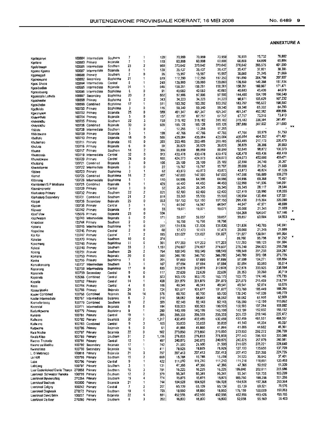| Kgolaganyo                    | 100684         | Intermediate        | Southern        | 7                        |                         | 120   | 70,959  | 70,959  | 70,959  | 70,959  | 75,732  | 76,882  |              |
|-------------------------------|----------------|---------------------|-----------------|--------------------------|-------------------------|-------|---------|---------|---------|---------|---------|---------|--------------|
| Koolane                       |                | 100683 Primary      | Bojanala        | 7                        | 1                       | 118   | 60,808  | 60,808  | 60,808  | 60.808  | 64,899  | 65,884  |              |
| Kgolplosego                   |                | 100685 Intermediate | Southern        | 23                       | 2                       | 980   | 370,642 | 370,642 | 370.642 | 370,642 | 395,575 | 401,580 |              |
|                               |                |                     | Bojanala        | 8                        | 1                       | 139   | 35,437  | 35,437  | 35,437  | 35,437  | 37,821  | 38,395  |              |
| Kgomo Kgomo                   | 100687         | Intermediate        |                 |                          | 0                       | 26    | 15,997  | 15,997  | 15,997  | 20,000  | 21,345  | 21,669  |              |
| Kgomogadi                     | 100688         | Primary             | Southern        | 2                        |                         |       |         |         |         | 191,890 | 204,798 | 207,907 |              |
| Kgononyane                    | 100692         | Secondary           | Bophirima       | 21                       | 1                       | 619   | 117,250 | 117,250 | 117,250 |         |         |         |              |
| Kgosi Shope                   | 100694         | Intermediate        | Central         | 8                        | 1                       | 240   | 139,860 | 139,860 | 139,860 | 139,860 | 149,268 | 151,534 |              |
| Kgosibodiba                   |                | 100695 Intermediate | Bojanala        | 24                       | 1                       | 646   | 158,261 | 158,261 | 158,261 | 158,261 | 168,907 | 171,471 |              |
| Kgosiebuang                   | 100696         | Intermediate        | Bophirima       | 6                        | 0                       | 91    | 40,683  | 40,683  | 40,683  | 40,683  | 43,420  | 44,079  |              |
|                               | 100697         | Secondary           | Bophinma        | 20                       | 2                       | 602   | 97,906  | 97,906  | 97,906  | 144,480 | 154,199 | 156,540 |              |
| Kgosietsile Lethola           |                |                     |                 | 8                        | 2                       | 343   | 34,223  | 34,223  | 34,223  | 98,971  | 105,629 | 107,232 |              |
| Kgosikeehe                    |                | 100698 Primary      | Bophirima       |                          |                         |       |         |         |         |         | 195,622 | 198,592 |              |
| Kgosithebe                    | 100699         | Combined            | Bophirima       | 17                       | 1                       | 511   | 183,292 | 183,292 | 183,292 | 183,292 |         |         |              |
| Kgotlelefa                    |                | 100700 Primary      | Bophirima       | 3                        | 0                       | 116   | 59,340  | 59,340  | 59,340  | 59,340  | 63,332  | 64,293  |              |
| Kgwanyape                     |                | 100702 Primary      | Bojanala        | 25                       | 0                       | 989   | 461,347 | 461,347 | 461,347 | 461,347 | 492,382 | 499,856 |              |
| Khayakhulu                    |                | 100704 Primary      | Bojanala        | 5                        | 0                       | 157   | 67,757  | 67,757  | 67,757  | 67,757  | 72,315  | 73,413  |              |
|                               |                | 100705 Primary      | Southern        | 22                       | 3                       | 750   | 315,182 | 315,182 | 315,182 | 315,182 | 336,384 | 341,491 |              |
| Khayalethu                    | 100706         | Combined            | Bojanala        | 30                       | 0                       | 928   | 185,128 | 185,128 | 185,128 | 287,680 | 307,032 | 311,693 |              |
| Khayalethu                    |                |                     |                 | 3                        | 0                       |       | 17,255  | 17,255  | 17,255  |         |         |         | $\pi$        |
| Khibidu                       | 100708         | intermediate        | Southern        |                          |                         |       |         |         |         | 47,766  | 50,979  | 51,753  |              |
| Khibitswane                   |                | 100709 Primary      | Bojanala        | 5                        | 1                       | 198   | 47,766  | 47,766  | 47,766  |         |         |         |              |
| Khothalo                      |                | 100710 Primary      | Bojanala        | 18                       | 0                       | 566   | 435,084 | 435,084 | 435,084 | 435,084 | 464,352 | 471,401 |              |
| Khubamelo                     |                | 100711 Primary      | Bojanala        | 15                       | 0                       | 393   | 203,485 | 203,485 | 203,485 | 203,485 | 217,173 | 220,470 |              |
| Khulusa                       |                | 100716 Primary      | Bojanala        | 6                        | 0                       | 59    | 36,829  | 36,829  | 36,829  | 36,829  | 39,306  | 39,903  |              |
| Khuma                         |                | 100717 Primary      | Southern        | 14                       | 2                       | 386   | 88,859  | 88,859  | 88,859  | 92,640  | 98,872  | 100,373 |              |
|                               |                |                     |                 | 32                       | 0                       | 913   | 430,478 | 430,478 | 430.478 | 430,478 | 459,436 | 466,410 |              |
| Khumoseje                     | 100719         | Intermediate        | Central         |                          | 0                       |       |         | 424,073 | 424,073 | 424,073 | 452,600 | 459,471 |              |
| Khunotswane                   | 100720         | Primary             | Central         | 24                       |                         | 850   | 424,073 |         |         |         |         | 35,267  |              |
| Khutsang                      |                | 100721 Combined     | Bojanala        | 5                        | 0                       | 105   | 25,109  | 25,109  | 25,109  | 32,550  | 34,740  |         |              |
| Khwezilomso                   |                | 100722 Intermediate | Bojanala        | 3                        | 0                       | 22    | 15,767  | 15,767  | 15,767  | 20,000  | 21,345  | 21,669  |              |
| Kibitwe                       |                | 100723 Primary      | Bophirima       | 3                        | 1                       | 62    | 43,873  | 43,873  | 43,873  | 43,873  | 46,824  | 47,535  |              |
| Kismet                        |                | 100725 Combined     | Bophirima       | 14                       | $\overline{2}$          | 407   | 147,000 | 147,000 | 147,000 | 147,000 | 156,889 | 159,270 |              |
|                               | 100726         |                     | Bophirima       | 5                        | 1                       | 110   | 64,996  | 64,996  | 64,996  | 64,996  | 69,368  | 70,421  |              |
| Kitlanang                     |                | Intermediate        |                 |                          |                         |       | 44.450  | 44,450  | 44,450  | 132,990 | 141,936 | 144,091 |              |
| Kleinfontein/S P Modisane     | 100728         | Combined            | Bojanala        | 9                        | 1                       | 429   |         |         |         |         |         |         |              |
| Kleinsimonsvlei               | 100729         | Primary             | Central         | 3                        | 0                       | 52    | 26,345  | 26,345  | 26,345  | 26,345  | 28,117  | 28,544  |              |
| Klerksdorp Primary            |                | 100732 Primary      | Southern        | 22                       | $\overline{c}$          | 821   | 62,400  | 62,400  | 62,400  | 127,419 | 135,990 | 138,055 |              |
| <b>Klerksdorp Secondary</b>   |                | 100731 Combined     | Southern        | 21                       | 2                       | 818   | 55,500  | 55,500  | 55,500  | 126,954 | 135,494 | 137,551 |              |
|                               | 100736         | Secondary           | Bojanala        | 25                       | 0                       | 953   | 157,150 | 157,150 | 157,150 | 295,430 | 315,304 | 320,090 |              |
| Klipgat                       |                |                     |                 | 3                        | 1                       | 71    | 44,947  | 44,947  | 44,947  | 44,947  | 47,971  | 48,699  |              |
| Klippan                       | 100738         | Primary             | Central         |                          | 0                       |       |         |         |         | 20,000  | 21,345  | 21,669  |              |
| Klipvoor                      |                | 100742 Primary      | Bojanala        | 7                        |                         | 33    | 19,071  | 19,071  | 19,071  |         |         |         |              |
| Kloof View                    |                | 105076 Primary      | Bojanala        | 23                       | $\Omega$                | 994   |         |         |         | 154,269 | 164,647 | 167,146 |              |
| Kloofwaters                   |                | 100743 Intermediate | Bojanala        | 5                        | 0                       | 171   | 59,857  | 59,857  | 59,857  | 59,857  | 63,884  | 64,853  | $\mathbf{x}$ |
| Knapdaar                      |                | 100744 Primary      | Southern        | $\overline{\mathbf{2}}$  | 0                       |       | 16,798  | 16,798  | 16,798  |         |         |         |              |
| Kobane                        |                | 100745 Intermediate | Bophirima       | 9                        | O                       | 222   | 131,836 | 131,836 | 131,836 | 131,836 | 140,705 | 142,841 |              |
|                               |                | 100746 Primary      | Central         | $\overline{\mathbf{2}}$  | 0                       | 60    | 17,473  | 17,473  | 17,473  | 20,000  | 21,345  | 21,669  |              |
| Kogodimo                      |                |                     |                 | $\overline{\phantom{a}}$ | $\overline{2}$          | 195   | 131,027 | 131,027 | 131,027 | 131,027 | 139,841 | 141,964 |              |
| Koi Koi                       |                | 100747 Primary      | Central         |                          |                         |       |         |         |         |         |         |         | π            |
| Koketso                       | 105170         | Primary             | Southern        | 10                       | 0                       | 374   |         |         |         | 89,760  | 95,798  | 97,252  |              |
| Kokomeng                      |                | 100748 Primary      | Bophinma        | 11                       | O                       | 361   | 177,203 | 177,203 | 177,203 | 177,203 | 189,123 | 191,994 |              |
| Kokosi                        |                | 100749 Primary      | Southern        | 33                       | 2                       | 1,151 | 274.607 | 274,607 | 274,607 | 276,240 | 294.823 | 299,298 |              |
| Kolong                        |                | 100751 Primary      | Southern        | 25                       | 2                       | 764   | 188,549 | 188,549 | 188,549 | 188,549 | 201,233 | 204,287 |              |
|                               |                | 100753 Primary      | Bojanala        | 20                       | 0                       | 560   | 346,780 | 346,780 | 346,780 | 346,780 | 370,108 | 375,726 |              |
| Komane                        |                |                     |                 | 7                        | 0                       |       |         | 97,699  | 97,699  | 97,699  | 104,271 | 105,854 |              |
| Konke                         |                | 100755 Primary      | Bophirima       |                          |                         | 201   | 97,699  |         |         |         |         |         |              |
| Konyakonyang                  |                | 100757 Intermediate | Southern        | 3                        | 1                       | 167   | 87,694  | 87,694  | 87,694  | 87,694  | 93,593  | 95,014  |              |
| Kopanang                      | 100758         | Intermediate        | Bophinma        | 17                       | 0                       | 635   | 312,878 | 312,878 | 312,878 | 312,878 | 333,925 | 338,994 |              |
| Kopanelo                      | 100759         | Secondary           | Central         | 9                        | 0                       | 117   | 22,639  | 22,639  | 22,639  | 28,353  | 30,260  | 30,719  |              |
| Kopanelo                      | 105066         | Combined            | Central         | 9                        | 0                       | 323   | 163,170 | 163,170 | 163,170 | 163,170 | 174.146 | 176,790 |              |
|                               |                | 100762 Primary      | Central         | 14                       | 1                       | 438   | 201,879 | 201,879 | 201,879 | 201,879 | 215,459 | 218,730 |              |
| Kopella                       |                |                     |                 | 4                        | 0                       |       |         | 49,541  | 49,541  | 49,541  | 52,874  | 53,676  |              |
| Kopo                          | 100764         | Primary             | Central         |                          |                         | 106   | 49,541  |         |         |         |         |         |              |
| Ko <b>sea Moe</b> ka          | 100766         | Primary             | Bojanala        | 24                       | 0                       | 724   | 101,677 | 101,677 | 101,677 | 173,760 | 185,449 | 188,264 |              |
| Koster Combined               | 100768         | Combined            | Bojanala        | 24                       | 14                      | 576   | 60,700  | 60,700  | 60,700  | 138,240 | 147,539 | 149,779 |              |
| Koster Intermediate           |                | 100767 Intermediate | <b>Bojanala</b> | 6                        | 2                       | 210   | 58,062  | 58,062  | 58,062  | 58,062  | 61,968  | 62,909  |              |
| Kromellanboog                 |                | 100770 Combined     | Southern        | 10                       | 2                       | 339   | 82,143  | 82,143  | 82,143  | 105,090 | 112,159 | 113,862 |              |
| Kroondal                      |                | 100771 Intermediate | Bojanala        | ö                        | U                       | 184   | 100,503 | 100,503 | 100,503 | 100,503 | 107,264 | 108,892 |              |
| Kudunkgwane                   |                | 100779 Primary      | Bophirima       | 9                        | 1                       | 280   | 143,199 | 143,199 | 143,199 | 143,199 | 152,832 | 155,152 |              |
|                               |                |                     |                 | 19                       | 1                       | 395   | 205,333 | 205,333 | 205,333 | 205,333 | 219,146 | 222,472 |              |
| Kunana                        |                | 100781 Primary      | Central         |                          |                         |       |         |         |         |         |         | 468,557 |              |
| Kuthvano                      |                | 100782 Primary      | Bojanala        | 32                       | 2                       | 1,317 | 432,459 | 432,459 | 432,459 | 432,459 | 461,551 |         |              |
| Kuliwano                      |                | 100783 Combined     | Central         | 9                        | 3                       | 105   | 33,833  | 33,833  | 33,833  | 41,540  | 44,334  | 45,007  |              |
| Kutswane                      |                | 100786 Primary      | Bojanala        | 5                        | 0                       | 61    | 41,866  | 41,866  | 41,866  | 41,866  | 44,682  | 45,361  |              |
| Kwa Mocha                     |                | 100787 Primary      | Bojanala        | 22                       | 0                       | 902   | 273,850 | 273,850 | 273,850 | 273,850 | 292,272 | 296,709 |              |
| Kwala Kitso                   |                | 100789 Primary      | Southem         | 31                       | 2                       | 1,156 | 276,833 | 276,833 | 276,833 | 277,440 | 296,103 | 300,598 |              |
|                               |                |                     |                 | 12                       | 1                       | 497   | 240,875 | 240,875 | 240,875 | 240,875 | 257,079 | 260,981 |              |
| Kwena Thakadu                 |                | 100791 Primary      | Central         |                          |                         |       |         |         |         |         |         | 228,640 |              |
| Kwena ya Madiba               |                | 100792 Secondary    | Bojanala        | 17                       | 1                       | 742   | 21,500  | 21,500  | 21,500  | 211,025 | 225,221 |         |              |
| Kwenatlase                    |                | 100793 Secondary    | Bojanala        | 16                       | 1                       | 411   | 78,925  | 78,925  | 78,925  | 127,100 | 135,650 | 137,709 |              |
| L. D Matshego                 |                | 100818 Primary      | Bojanala        | 21                       | O                       | 757   | 207,413 | 207,413 | 207,413 | 207,413 | 221,366 | 224,726 |              |
| La Hoff                       |                | 100795 Primary      | Southern        | 15                       | 2                       | 669   | 15,788  | 15,788  | 15,788  | 34,520  | 36,842  | 37,401  |              |
| Laba                          |                | 100796 Primary      | Central         | 9                        | 1                       | 422   | 111,210 | 111,210 | 111,210 | 111,210 | 118,691 | 120,493 |              |
| Labojang                      |                | 100797 Primary      | Southern        | 3                        | 1                       | 131   | 47,366  | 47,366  | 47,366  | 47,366  | 50,552  | 51,320  |              |
|                               |                |                     |                 |                          | 3                       | 791   | 16,225  | 16.225  | 16,225  | 189,840 | 202,611 | 205,686 |              |
| Laer Gedenkskool Danie Theron | 270058 Primary |                     | Southern        | 16                       |                         |       |         |         |         |         |         |         |              |
| Laerskool Schweizer Reneke    |                | 100799 Primary      | Southern        | 12                       | 2                       | 379   | 95,341  | 95,341  | 95,341  | 95,341  | 101,755 | 103,299 |              |
| Laerskool Blyvooruitsig       |                | 270264 Primary      | Southern        | 15                       | 4                       | 774   | 15,875  | 15,875  | 15,875  | 185,760 | 198,256 | 201,266 |              |
| Laerskool Boshoek             |                | 100800 Primary      | Bojanala        | 21                       | 1                       | 744   | 184,928 | 184,928 | 184,928 | 184,928 | 197,368 | 200,364 |              |
| Laerskool Coligny             |                | 100242 Primary      | Central         | 7                        | $\overline{\mathbf{c}}$ | 207   | 65,139  | 65,139  | 65,139  | 65,139  | 69,521  | 70,576  |              |
| Laerskool Dagbreek            |                | 270272 Primary      | Southern        | 19                       | 4                       | 705   | 18,950  | 18,950  | 18,950  | 176,159 | 188,009 | 190,863 |              |
|                               |                |                     |                 | 22                       | 4                       |       | 452,956 | 452,956 | 452,956 | 452,956 | 483,426 | 490,765 |              |
| Laerskool David Brink         |                | 100257 Primary      | Bojanala        |                          |                         | 891   |         |         |         |         |         | 56,403  |              |
| Laerskool De Beer             |                | 270280 Primary      | Southern        | 6                        | 3                       | 202   | 16,800  | 16,800  | 16,800  | 52,058  | 55,560  |         |              |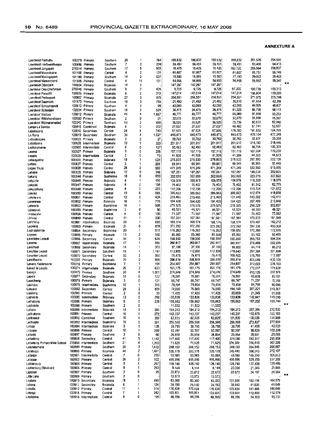| Laerskool Fochville            | 100375         | Primary             | Southern        | 20 | 1                       | 764   | 188,832 | 188,832 | 188,832          | 188,832          | 201,535 | 204,594 |                         |
|--------------------------------|----------------|---------------------|-----------------|----|-------------------------|-------|---------|---------|------------------|------------------|---------|---------|-------------------------|
| Laerskool Hartbeesfontein      | 100486         | Primary             | Southern        | 7  | $\overline{\mathbf{2}}$ | 224   | 59.451  | 59,451  | 59.451           | 59,451           | 63,450  | 64,413  |                         |
| Laerskool Jongspan             | 270314         | Primary             | Southern        | 17 | 5                       | 803   | 16,425  | 16,425  | 16,425           | 192,720          | 205,684 | 208,807 |                         |
| Laerskool Mareetsane           | 101100         | Primary             | Central         | 4  | 2                       | 131   | 61,607  | 61,607  | 61,607           | 61,607           | 65,751  | 66,749  |                         |
| Laerskool Meiringspark         | 101180         | Primary             | Southern        | 14 | 2                       | 527   | 15,583  | 15,583  | 15,583           | 27,193           | 29,022  | 29,463  |                         |
| Lasrskool Nietverdiend         | 101505         | Primary             | Central         | 4  | 11                      | 101   | 54,955  | 54,955  | 54,955           | 54,955           | 58,652  | 59,542  |                         |
| Laerskool Olienpark            | 100804         | Primary             | Bojanala        | 14 | 2                       |       | 147.297 | 147,297 | 147,297          |                  |         |         | $\mathbf{x}$            |
| Laerskool Oos-Driefontein      | 270348         | Primary             | Southern        | 9  | 2                       | 405   | 9,725   | 9,725   | 9,725            | 97.200           | 103,739 | 105,313 |                         |
| Laerskool Pansdrif             | 100806         | Primary             | Bojanala        | 6  | 2                       | 310   | 147,014 | 147,014 | 147,014          | 147,014          | 156,904 | 159,285 |                         |
| Laerskool Proteapark           | 100807         | Primary             | Bojanala        | 27 | 3                       | 975   | 254,551 | 254,551 | 254,551          | 254,551          | 271,675 | 275,799 |                         |
| Laerskool Saamtrek             | 101873         | Primary             | Southern        | 18 | 3                       | 756   | 21,492  | 21,492  | 21,492           | 39,010           | 41,634  | 42,266  |                         |
|                                |                |                     | Southern        | 4  | 3                       | 98    | 42,093  | 42,093  | 42,093           | 42,093           | 44,925  | 45,607  |                         |
| Laerskool Schoonspruit         |                | 100810 Primary      |                 | 18 | 2                       | 524   | 38,475  | 38,475  | 38,475           | 81,325           | 86,796  | 88,113  |                         |
| Laerskool Stilfontein          |                | 102034 Primary      | Southern        | 41 | 4                       |       |         | 46,777  | 46,777           | 86,069           | 91,859  | 93,253  |                         |
| Laerskool Vastrap              |                | 100812 Primary      | Bojanala        |    |                         | 1.667 | 46,777  |         |                  |                  | 34,868  | 35,397  |                         |
| Laerskool Wildehondepan        | 100950         | Primary             | Southern        | 2  | 0                       | 51    | 32,670  | 32,670  | 32,670<br>36,525 | 32,670<br>75,738 | 80,833  | 82,060  |                         |
| Laerskool Wolmaransstad        |                | 102343 Primary      | Southern        | 13 | 2<br>٥                  | 488   | 36,525  | 36,525  |                  | 48,480           | 51,741  | 52,527  |                         |
| Langa La Sombo                 |                | 100815 Combined     | Bojanala        | 6  | 4                       | 202   | 27,637  | 27,637  | 27,637<br>67,505 | 179,750          | 191,852 | 194,765 |                         |
| Lapologang                     |                | 100816 Secondary    | Central         | 24 | 4                       | 749   | 67,505  | 67,505  |                  | 440,473          | 470,104 | 477,240 |                         |
| Le Rona                        |                | 100819 Secondary    | Southern        | 38 |                         | 1.027 | 440,473 | 440,473 | 440,473          |                  |         | 33,330  |                         |
| Leboalangwe                    |                | 100823 Primary      | Bojanala        | 3  | ٥                       | 27    | 30,762  | 30,762  | 30,762           | 30,762           | 32,831  | 218,446 |                         |
| Lebotloane                     |                | 100826 Intermediate | Bojanala        | 13 | 1                       | 323   | 201,617 | 201,617 | 201,617          | 201,617          | 215,180 |         |                         |
| Lecholonyane                   | 100900         | Intermediate        | Central         | 6  | 0                       | 137   | 92,483  | 92,483  | 92,483           | 92,483           | 98,704  | 100,203 |                         |
| Leema                          |                | 100827 Primary      | Bojanala        | 9  | 0                       | 286   | 157,115 | 157,115 | 157,115          | 157,115          | 167,684 | 170,230 |                         |
| Leepile                        | 100828         | Intermediate        | Central         | 3  | 0                       | 73    | 41,508  | 41,508  | 41,508           | 41,508           | 44,300  | 44,973  |                         |
| Lefaragatihe                   | 100835         | Primary             | Bojanala        | 18 | 1                       | 624   | 278,833 | 278,833 | 278,833          | 278,833          | 297,590 | 302,108 |                         |
| Lefoko                         | 100837         | Primary             | Central         | 5  | 1                       | 208   | 89.941  | 89,941  | 89,941           | B9.941           | 95,991  | 97,448  |                         |
| Legae Thuto                    | 100838         | Primary             | Central         | 28 | 2                       | 902   | 471.249 | 471,249 | 471,249          | 471,249          | 502,950 | 510,585 |                         |
| Lehabe                         |                | 100839 Primary      | Bojanala        | 12 | 0                       | 346   | 187,051 | 187,051 | 187,051          | 187,051          | 199,634 | 202,665 |                         |
| Lekang                         |                | 100844 Primary      | Bophirima       | 18 | 0                       | 650   | 302,659 | 302,659 | 302,659          | 302,659          | 323,019 | 327,922 |                         |
| Lekgatle                       |                | 100846 Primary      | Bojanala        | 8  | 1                       | 190   | 108,978 | 108,978 | 108,978          | 108,978          | 116,309 | 118,075 |                         |
| Lekgolo                        |                | 100847 Primary      | Bojanala        | 6  | 0                       | 156   | 76,402  | 76,402  | 76,402           | 76,402           | 81,542  | 82,779  |                         |
| Lekgophung                     |                | 100848 Primary      | Central         | 8  | 1                       | 222   | 112,206 | 112,206 | 112,206          | 112,206          | 119,754 | 121,572 |                         |
| Lekoko                         | 100850         | Primary             | Central         | 19 | 0                       | 685   | 386,663 | 386,663 | 386,663          | 386,663          | 412,674 | 418,938 |                         |
| Lekolwane                      | 100851         | Primary             | Central         | 12 | 2                       | 424   | 215,465 | 215,465 | 215,465          | 131,440          | 140,282 | 142,411 |                         |
| Lekwakwa                       | 100852         | Primary             | Bojanala        | 16 | 1                       | 770   | 194,420 | 194,420 | 194,420          | 194,420          | 207,499 | 210,648 |                         |
| Lekwene                        |                | 100853 Primary      | Bophirima       | 16 | 1                       | 606   | 279,525 | 279,525 | 279,525          | 279,525          | 298.329 | 302,857 |                         |
| Leliespruit                    | 100855         | Primary             | Bophirima       | 3  | 0                       | 90    | 45,521  | 45,521  | 45,521           | 45,521           | 48,583  | 49,321  |                         |
| Lelokwane                      | 100856         | Primary             | Central         | 4  | 0                       | 130   | 71,587  | 71,587  | 71,587           | 71,587           | 76.403  | 77,562  |                         |
| Lencoe                         | 100860         | Primary             | Central         | 11 | 1                       | 330   | 167,561 | 167,561 | 167,561          | 167,561          | 178,833 | 181,548 |                         |
| Lentheng                       | 100861         | Intermediate        | Bojanala        | 24 | $\mathbf{1}$            | 655   | 168,174 | 168,174 | 168,174          | 168,174          | 179,487 | 182,212 |                         |
| Leokeng                        | 100863         | Primary             | Bojanala        | 21 | 0                       | 878   | 372,292 | 372,292 | 372,292          | 372,292          | 397,336 | 403,368 |                         |
|                                | 100864         | Secondary           | Bophirima       | 20 | 1                       | 515   | 116,282 | 116,282 | 116,282          | 159,650          | 170,390 | 172,976 |                         |
| Lephatshimile                  |                |                     | Bojanala        | 13 | $\overline{c}$          | 332   | 85,360  | 85,360  | 85,360           | 85,360           | 91,102  | 92,485  |                         |
| Lepono                         |                | 100865 Primary      |                 | 34 | 3                       | 628   |         | 158,550 | 158,550          | 280,860          | 299,753 | 304,304 |                         |
| Leretletse Lesedi              | 100866         | Secondary           | Central         |    | $\mathbf{1}$            |       | 158,550 |         |                  |                  |         | 282,696 |                         |
| Lerome                         | 100867         | Intermediate        | Bojanata        | 17 |                         | 556   | 260,917 | 260,917 | 260,917          | 260,917          | 278,469 |         |                         |
| Lerothodi                      | 100868         | Secondary           | Bojanala        | 14 | 1                       | 370   | 37,100  | 37,100  | 37,100           | 88,800           | 94,774  | 96,212  |                         |
| Leruntse Lesedi                |                | 100871 Secondary    | Southem         | 16 | 1                       | 1,161 | 112,800 | 112,800 | 112,800          | 278,640          | 297,384 | 301,898 |                         |
| Leruntse Lesedi                |                | 100872 Secondary    | Central         | 32 | 3                       | 350   | 76,475  | 76,475  | 76,475           | 108,500          | 115,799 | 117,557 |                         |
| Leruthware                     |                | 102203 Primary      | Bojanala        | 20 | 0                       | 848   | 398,819 | 398,819 | 398,819          | 398,819          | 425,648 | 432,109 |                         |
| Lesang Kasienyane              |                | 104016 Primary      | Bophirima       | 7  | 1                       | 194   | 254,887 | 254,887 | 254,887          | 254,887          | 272,033 | 276,163 |                         |
| Lesedi le Legolo               |                | 100874 Intermediate | Bojanala        | 26 | 3                       | 633   | 161,175 | 161,175 | 161, 175         | 161,175          | 172,017 | 174,628 |                         |
| Lesego                         |                | 100875 Primary      | Southern        | 30 | 4                       | 1.001 | 274,649 | 274,649 | 274,649          | 274,649          | 293,125 | 297.574 |                         |
| Lesele                         |                | 100877 Secondary    | Bojanala        | 10 | 0                       | 122   | 78,591  | 78,591  | 78,591           | 78,591           | 83,878  | 85,151  |                         |
| Lesetiheng                     |                | 100878 Primary      | <b>Bojanala</b> | 3  | 0                       | 131   | 66,747  | 66,747  | 66,747           | 66,747           | 71,237  | 72,318  |                         |
| Leshobo                        | 100879         | Intermediate        | Bophirima       | 10 | 1                       | 315   | 79,454  | 79,454  | 79,454           | 79,454           | 84,799  | 86,086  |                         |
| Leteane                        | 100882         | Secondary           | Central         | 28 | 2                       | 809   | 76,000  | 76,000  | 76,000           | 194,160          | 207,221 | 210,367 |                         |
| Letelang                       | 100883         | Primary             | Central         | 2  | 0                       | 33    | 17,425  | 17,425  | 17,425           | 20,000           | 21,345  | 21,669  |                         |
| Lethebile                      | 100885         | Intermediate        | Bojanala        | 13 | 0                       | 260   | 133,838 | 133,838 | 133,838          | 133,838          | 142,841 | 145,010 |                         |
| Lethabong                      |                | 100886 Primary      | Bojanala        | 9  | 0                       | 239   | 156,663 | 156,663 | 156,663          | 156,663          | 167,202 | 169,740 |                         |
| Letihabile                     |                | 100888 Primary      | Southern        | 2  | 0                       |       | 11,533  | 11,533  | 11,533           |                  |         |         | $\times$ $\times$       |
| Letlape                        |                | 100889 Intermediate | Bojanala        | 14 | 1                       | 391   | 194,313 | 194,313 | 194,313          | 194,313          | 207,384 | 210,533 |                         |
| Letihakane                     |                | 100891 Primary      | Central         | 10 | 1                       | 272   | 143,237 | 143,237 | 143,237          | 143,237          | 152,873 | 155,193 |                         |
| Letihasedi                     |                | 100892 Combined     | Southern        | 10 | 1                       | 393   | 62,825  | 62,825  | 62,825           | 121,830          | 130,026 | 131,999 |                         |
| Letihogile                     |                | 100893 Intermediate | Bophinma        | 16 | 0                       | 551   | 256,568 | 256,568 | 256,568          | 256,568          | 273,827 | 277,984 |                         |
| Letlopi                        |                | 100894 Intermediate | Bojanaia        | 5  | 1                       | 128   | 38,795  | 38.795  | 38,795           | 38,795           | 41,405  | 42,033  |                         |
| Letsapa                        | 100896 Primary |                     | Central         | 10 | 1                       | 259   | 92,597  | 92,597  | 92,597           | 92,597           | 98,826  | 100,326 |                         |
| Letsatsi                       | 100897 Primary |                     | Southern        | 3  | 0                       | 60    | 26,854  | 26,854  | 26,854           | 26,854           | 28,661  | 29,096  |                         |
| Letsatsing                     |                | 100898 Secondary    | Central         | 41 | 5                       | 1,142 | 117,400 | 117,400 | 117;400          | 274,080          | 292,517 | 296,958 |                         |
| Letsatsing Primary Mine School |                | 270850 Intermediate | Southern        | 21 | 4                       | 1,393 | 71,625  | 71,625  | 71,625           | 334,320          | 356,810 | 362,226 |                         |
|                                |                |                     |                 |    | 3                       |       |         |         | 248,153          | 248,153          | 264,846 | 268,867 |                         |
| Letshelemane                   | 100899 Primary |                     | Southern        | 28 | 2                       | 1,022 | 248,153 | 248,153 |                  |                  |         | 372,107 |                         |
| Letsibogo                      | 100880 Primary |                     | Bojanala        | 44 |                         | 1,431 | 335,178 | 335,178 | 335,178          | 343,440          | 366,543 |         |                         |
| Letsogo                        |                | 100901 Intermediate | Centrat         | 7  | 0                       | 200   | 93,969  | 93,969  | 93,969           | 93,969           | 100,290 | 101,813 |                         |
| Letsopa                        | 100902 Primary |                     | Central         | 26 | 2                       | 922   | 495,896 | 495,896 | 495,896          | 495,896          | 529,255 | 537,289 |                         |
| Lichtenburg                    | 100906 Primary |                     | Central         | 9  | 1                       | 267   | 128,740 | 128,740 | 126,740          | 128,740          | 137,400 | 139,486 |                         |
| Lichtenburg (Shukran)          | 100905 Primary |                     | Central         | 8  | 1                       | 263   | 8,144   | 8,144   | 8,144            | 20,000           | 21,345  | 21,669  |                         |
| Ligstraal                      | 100907 Primary |                     | Southem         | 2  | 0                       | 45    | 22,672  | 22,672  | 22,672           | 22,672           | 24,197  | 24,564  | $\overline{\mathbf{x}}$ |
| Litue Lake                     | 100909 Primary |                     | Southern        | 2  | 0                       |       | 13,573  | 13,573  | 13,573           |                  |         |         |                         |
| Loalane                        |                | 100910 Secondary    | Bojanala        | 18 | 1                       | 490   | 83,300  | 83,300  | 83,300           | 151,900          | 162,118 | 164,579 |                         |
| Lobang                         |                | 100911 Secondary    | Bojanala        | 6  | 1                       | 124   | 24,150  | 24,150  | 24,150           | 38,440           | 41,026  | 41,649  |                         |
| Lobatla                        | 100912 Primary |                     | Central         | 11 | 1                       | 314   | 170,424 | 170,424 | 170,424          | 170,424          | 181,888 | 184,649 |                         |
| Logaga                         | 100915 Primary |                     | Central         | 7  | 1                       | 292   | 103,901 | 103,901 | 103,901          | 103,901          | 110,890 | 112,574 |                         |
| Logagane                       |                | 100916 Intermediate | Central         | 6  | 0                       | 195   | 88,356  | 88,356  | 88,356           | 88,356           | 94,300  | 95,731  |                         |

 $\langle \cdot \rangle$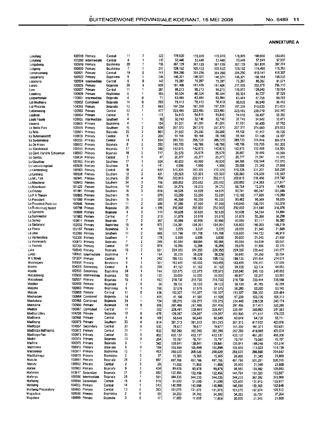|                           |                |                     | Central          | 11           | 2                 | 322   | 178,920 | 178,920 | 178,920 | 178,920 | 190,956            | 193,855 |
|---------------------------|----------------|---------------------|------------------|--------------|-------------------|-------|---------|---------|---------|---------|--------------------|---------|
| Lokaleng                  | 103260         | 100918 Primary      | Central          | 4            | 1                 | 110   | 53,446  | 53,446  | 53,446  | 53,446  | 57.041             | 57,907  |
| Lokaleng                  |                | Intermediate        |                  | 20           | 1                 |       |         | 367,129 | 367,129 | 367,129 | 391,826            | 397,774 |
| Lokgabeng                 | 100919         | Primary             | Bophirima        | 7            | 1                 | 756   | 367,129 |         |         | 109,152 | 116,495            | 118,263 |
| Lokgeng                   | 100920         | Primary             | Bophinma         |              |                   | 217   | 109,152 | 109,152 | 109,152 |         |                    |         |
| Lomanyaneng               | 100921         | Primary             | Central          | 19           | 0<br>$\mathbf{1}$ | 741   | 384,290 | 384,290 | 384,290 | 384,290 | 410.141            | 416,367 |
| Longaneng                 | 100922         | Primary             | Bophirima        | 9            |                   | 246   | 146,321 | 146,321 | 146,321 | 146,321 | 156,164            | 158,535 |
| Loporung                  | 100924         | Intermediate        | Central          | 6            | 0                 | 142   | 75,287  | 75,287  | 75,287  | 75,287  | 80,352             | 81,571  |
| Lorato                    | 100925         | Primary             | Bojanala         | 28           | 4                 | 908   | 181,406 | 181,406 | 181,406 | 217,920 | 232,579            | 236,110 |
| Lore                      | 100927         | Primary             | Central          | 11           | 1                 | 387   | 98,273  | 98,273  | 98,273  | 119,970 | 128,040            | 129.984 |
| Loselong                  | 100929         | Primary             | Bophinma         | 6            | 1                 | 165   | 80,324  | 80,324  | 80,324  | 80,324  | 85,727             | 87.029  |
| Losperformein             | 100931         | Intermediate        | Bojanala         | 4            | 0                 | 71    | 63,484  | 63,484  | 63,484  | 63,484  | 67,755             | 68,783  |
| Lot Mashiane              | 100932         | Combined            | Bojanala         | 14           | 0                 | 293   | 78,413  | 78,413  | 78,413  | 90,830  | 96,940             | 98.412  |
| Lol Phalatse              | 104246         | Primary             | Bojanala         | 13           | 2                 | 693   | 197,359 | 197,359 | 197,359 | 197,359 | 210,635            | 213,833 |
| Lotlamoreng               | 100933         | Primary             | Central          | 13           | 1                 | 477   | 223,485 | 223,485 | 223,485 | 223,485 | 238,519            | 242.140 |
| Louisdal                  | 100934         | Primary             | Central          | 5            | 1                 | 113   | 54,810  | 54,810  | 54,810  | 54,810  | 58,497             | 59,385  |
| Louia Fourie              | 100935         | Intermediate        | Southern         | 4            | 1                 | 90    | 32,740  | 32,740  | 32,740  | 32,740  | 34,942             | 35.473  |
| Louwna                    | 100936         | Primary             | Bophirima        | 4            | 1                 | 154   | 81,001  | 81,001  | 81,001  | 81,001  | 86,450             | 87,762  |
| Ls Baillie Park           |                | 100938 Primary      | Southern         | 15           | 2                 | 538   | 257,370 | 257,370 | 257,370 | 257,370 | 274,683            | 278.853 |
| <b>Ls Brits</b>           | 100801         | Primary             | Bojanala         | 25           | 3                 | 861   | 24,550  | 24,550  | 24,550  | 44,428  | 47,417             | 48,136  |
| Ls Buhrmansdrift          | 100939         | Primary             | Central          | 6            | 2                 | 204   | 59,168  | 59,168  | 59,168  | 59,168  | 63,148             | 64.107  |
| Ls Burgersdorp            | 100226         | Primary             | Central          | 14           | 2                 | 534   | 285,723 | 285,723 | 285,723 | 285,723 | 304,944            | 309.573 |
| Ls De Kroon               |                | 100802 Primary      | Bojanala         | 8            | 2                 | 280   | 148,786 | 148,786 | 148,786 | 148,786 | 158,795            | 161,205 |
| Ls Elandskraal            |                | 100351 Primary      | Bojanala         | 17           | 1                 | 580   | 142,875 | 142,875 | 142,875 | 142,875 | 152,486            | 154,801 |
| Ls Genl. Hendrik Schoeman | 100803         | Primary             | Bojanala         | 18           | 2                 | 717   | 25,579  | 25,579  | 25,579  | 36,997  | 39.486             | 40,085  |
| Ls Gerdau                 |                | 100434 Primary      | Central          | 3            | 0                 | 47    | 20,277  | 20,277  | 20,277  | 20,277  | 21,641             | 21,970  |
| <b>Ls Goudkop</b>         |                | 100465 Primary      | Southern         | 17           | 3                 | 604   | 49,800  | 49,800  | 49,800  | 94,206  | 100,544            | 102,070 |
| Ls Leeudoringstad         | 100829         | Primary             | Southern         | 8            | 1                 | 141   | 4,998   | 4,998   | 4,998   | 20,000  | 21,345             | 21,669  |
| Ls Lichtenburg            | 100903         | Primary             | Central          | 18           | 2                 | 642   | 310.325 | 310,325 | 310,325 | 310,325 | 331,201            | 336,228 |
| Ls Losberg                | 100928         | Primary             | Southem          | 12           | 2                 | 421   | 120,503 | 120,503 | 120,503 | 120,503 | 128,609            | 130,562 |
| Ls M L Fick               |                | 100941 Primary      | Southern         | 22           | 4                 | 784   | 202,813 | 202.813 | 202,813 | 202,813 | 216.456            | 219,742 |
| Ls Mooirivier             | 100943         | Primary             | Southem          | 24           | 3                 | 796   | 200,852 | 200.852 | 200,852 | 200,852 | 214,363            | 217,617 |
| Ls Noordvaal              | 101522         | Primary             | Southern         | 14           | $\overline{c}$    | 443   | 34,275  | 34.275  | 34,275  | 68,754  | 73,379             | 74,493  |
|                           | 101581         | Primary             | Southern         | 16           | 3                 | 604   | 44,925  | 44,925  | 44,925  | 93,741  | 100,047            | 101,566 |
| Ls Orkney                 |                | 100805 Primary      |                  | 16           | 1                 | 679   | 53.250  |         |         | 110.192 | 117,605            | 119,390 |
| Ls P A Theron             | 101680         |                     | Southern         |              | 3                 | 583   |         | 53,250  | 53,250  |         |                    | 98,035  |
| <b>Ls President</b>       |                | Primary             | Southern         | 16           |                   |       | 46,350  | 46,350  | 46,350  | 90.482  | 96,569             |         |
| Ls President Pretorius    | 100946         | Primary             | Scuthern         | 11           | $\overline{2}$    | 586   | 97,590  | 97,590  | 97,590  | 140,640 | 150,101            | 152,379 |
| Ls Rustenburg Noord       | 100798         | Primary             | Bojanala         | 35           | 4                 | 1,188 | 292,002 | 292,002 | 292,002 | 292,002 | 311,645            | 316,376 |
| Ls Sanddrift              |                | 100809 Primary      | Bojanala         | 4            | 2                 | 110   | 50,628  | 50.628  | 50,628  | 50,628  | 54,034             | 54,854  |
| Ls Sannieshof             |                | 101882 Primary      | Central          | 7            | 3                 | 213   | 51,878  | 51,878  | 51,878  | 51,878  | 55,368             | 56,208  |
| Ls Sonop                  | 100811 Primary |                     | Bojanala         | 7            | 2                 | 367   | 90,996  | 90,996  | 90,996  | 90.996  | 97,117             | 98.592  |
| Ls Stellaland             | 102032 Primary |                     | <b>Bophirima</b> | 15           | 9                 | 570   | 134,391 | 134,391 | 134,391 | 136,800 | 146,003            | 148,219 |
| Ls Tosca                  | 102197 Primary |                     | Bophinma         | 3            | 4                 | 53    | 3,225   | 3,225   | 3,225   | 20,000  | 21,345             | 21,669  |
| Ls Unie                   | 102288 Primary |                     | Southern         | 11           | 2                 | 565   | 131.798 | 131,798 | 131,798 | 135,600 | 144,722            | 146,919 |
| Ls Ventersdorp            | 102306         | Primary             | Southern         | 7            | 2                 | 179   | 5,939   | 5,939   | 5,939   | 20,000  | 21,345             | 21,669  |
| Ls Voorwaarts             | 100813 Primary |                     | Bojanala         | 7            | 2                 | 246   | 60,584  | 60,584  | 60,584  | 60,584  | 64,659             | 65,641  |
| Ls Zeerust                | 102354 Primary |                     | Central          | 17           | 0                 | 579   | 16,288  | 16,288  | 16,288  | 29,876  | 31,886             | 32.370  |
| Luka                      | 100949         | Primary             | Bojanala         | 16           | 2                 | 631   | 224,350 | 224,350 | 224,350 | 224,350 | 239,442            | 243.077 |
| Lykso                     | 100951         | intermediate        | Bophirima        | 7            | 1                 | 164   | 38,229  | 38,229  | 38,229  | 50,840  | 54.260             | 55,084  |
| M K Moeti                 | 101204         | Primary             | Central          | g            | 1                 | 342   | 198,135 | 198.135 | 198,135 | 198,135 | 211,464            | 214,674 |
| Maamogwa                  | 100954 Primary |                     | Bophirima        | g            | 1                 | 301   | 163,455 | 153,455 | 163,455 | 163,455 | 174,451            | 177.099 |
| Maano                     | 104001         | Secondary           | Central          | 8            | 0                 | 208   | 41,162  | 41,162  | 41,162  | 59,155  | 63,134             | 64,093  |
| Maatla                    | 100955         | Secondary           | Bophirima        | 24           | 1                 | 744   | 122,675 | 122,675 | 122,675 | 230,640 | 246,155            | 249,892 |
| Mabalaneng                | 100956         | intermediate        | Bojanala         | 10           | 0                 | 130   | 33,000  | 33,000  | 33,000  | 48,917  | 52,207             | 53,000  |
| Mabeskraal                | 100957         | Primary             | Bojanala         | 15           | $\mathbf{1}$      | 462   | 218,730 | 218,730 | 218,730 | 218,730 | 233,444            | 236,988 |
| Mabitse                   | 100959         | Primary             | Bojanala         | 2            | 0                 | 58    | 39,133  | 39,133  | 39,133  | 39,133  | 41,765             | 42,399  |
| Mabone                    | 100960         | Primary             | Bophirima        | 6            | 1                 | 188   | 57,676  | 57,676  | 57,676  | 58,280  | 62,200             | 63,145  |
| Mabule                    | 100963         | Primary             | Central          | 11           | 0                 | 436   | 193,327 | 193,327 | 193,327 | 193,327 | 206,332            | 209,464 |
| Machadam                  |                | 100964 Combined     | Bojanala         | 14           | $\mathbf{1}$      | 405   | 41,100  | 41,100  | 41.100  | 97,200  | 103,739            | 105,313 |
| Machekela                 |                | 100965 Combined     | Bojanala         | 24           | $\mathbf{1}$      | 724   | 128,275 | 128,275 | 128,275 | 224,440 | 239,538            | 243,174 |
| Machama                   | 100966 Primary |                     | Bojanala         | 19           | 0                 | 606   | 297,466 | 297,466 | 297,466 | 297,466 | 317,477            | 322,296 |
| Madiba                    |                | 100967 Combined     | Central          | 17           | 1                 | 502   | 228,491 | 228,491 | 228,491 | 228,491 |                    | 247,563 |
| Madiba Uliwa              | 104250 Primary |                     | Bojanala         | 10           | 0                 | 670   | 128,067 | 128,067 | 128,067 | 160,800 | 243,862<br>171,617 | 174,222 |
|                           | 100968 Primary |                     |                  | 4            | 0                 |       |         |         |         |         |                    |         |
| Madibana                  |                |                     | Central          |              | 4                 | 108   | 60,649  | 60,649  | 60,649  | 60,649  | 64,729             | 65,711  |
| Madibeng                  | 100970 Primary |                     | Southern         | 23           |                   | 814   | 391,313 | 391,313 | 391,313 | 391,313 | 417,637            | 423,976 |
| Madibogo                  |                | 104057 Secondary    | Central          | 23           | 0                 | 630   | 78,677  | 78,677  | 78,677  | 151,200 | 161,371            | 163,821 |
| Madibogo Bathaping        | 100972 Primary |                     | Central          | 21           | 1                 | 833   | 392,280 | 392,280 | 392,280 | 392,280 | 418,669            | 425,024 |
| Madibogo Pan              | 100973 Primary |                     | Central          | 23           | 0                 | 852   | 432,137 | 432,137 | 432,137 | 432,137 | 461,207            | 468,208 |
| Madidi                    | 100974 Primary |                     | Bojanala         | 13           | Û                 | 264   | 70,797  | 70,797  | 70,797  | 70,797  | 75,560             | 76,707  |
| Madima                    | 100975 Primary |                     | Bojanala         | 6            | 1                 | 342   | 139,841 | 139,841 | 139,841 | 139,841 | 149,248            | 151,514 |
| Madinvane                 | 100976 Primary |                     | Bojanala         | 6            | 0                 | 159   | 105,899 | 105,899 | 105,899 | 105,899 | 113,023            | 114,739 |
| Madipelesa                | 100977 Primary |                     | Bophirima        | 12           | 1                 | 463   | 268,620 | 268,620 | 268,620 | 268,620 | 286,690            | 291,042 |
| Madithamaga               | 100979 Primary |                     | Bophirima        | 2            | 0                 | 37    | 15,365  | 15,365  | 15,365  | 20,000  | 21,345             | 21,669  |
| Madutle                   | 100981 Primary |                     | Bojanala         | 24           | 2                 | 897   | 497,766 | 497,766 | 497,766 | 497,766 | 531,251            | 539,315 |
| Madutu                    | 100982 Primary |                     | Central          | $\mathbf{z}$ | 0                 | 28    | 11,956  | 11,956  | 11,956  | 20,000  | 21,345             | 21,669  |
| Mafale                    | 100983 Primary |                     | Bojanala         | 9            | 1                 | 404   | 89,878  | 89,878  | 89,878  | 96,960  | 103,482            | 105,053 |
| Mafanela                  |                | 103617 Secondary    | Bojanala         | 21           | 0                 | 580   | 122,456 | 122,456 | 122,456 | 141,764 | 151,300            | 153,597 |
| Maferiya                  |                | 100986 Intermediate | Bojanala         | 25           | 1                 | 581   | 344,235 | 344,235 | 344,235 | 344,235 | 367,392            | 372,969 |
| Mafikeng                  |                | 100984 Secondary    | Central          | 15           | 4                 | 515   | 51,600  | 51,600  | 51,600  | 123,600 | 131,915            | 133,917 |
| Mafikeng                  | 104055 Primary |                     | Central          | 14           | 1                 | 543   | 140,888 | 140,888 | 140,888 | 140,888 | 150,366            | 152,648 |
| Mafikeng Preparatory      | 100985 Primary |                     | Central          | 13           | 0                 | 393   | 101,075 | 101,075 | 101,075 | 101,075 | 107,874            | 109,512 |
| Magaabue                  | 100988 Primary |                     | Bophirima        | 2            | 0                 | 59    | 34,393  | 34,393  | 34,393  | 34,393  | 36,707             | 37,264  |
| Magalane                  | 100989 Primary |                     | Bojanala         | 3            | 0                 | 17    | 17,869  | 17,869  | 17,869  | 20,000  | 21,345             | 21,669  |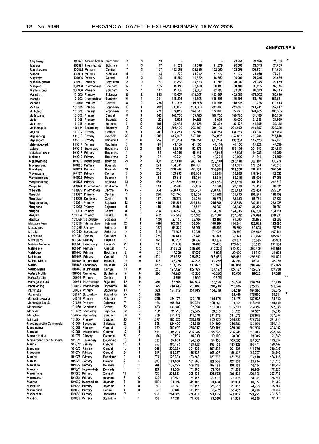|                         | 100990         | Moses Kotane        | Secondar  | 3                       | 0                       | 49    |         |         |         | 23,355  | 24,926  | ×<br>25,304                         |
|-------------------------|----------------|---------------------|-----------|-------------------------|-------------------------|-------|---------|---------|---------|---------|---------|-------------------------------------|
| Magareng                |                |                     |           |                         |                         |       |         |         |         |         |         |                                     |
| Magata                  | 100991         | Intermediate        | Bojanala  | 1                       | 0                       | 17    | 11,679  | 11.679  | 11,679  | 20,000  | 21,345  | 21,669                              |
| Magokgwane              |                | 100992 Primary      | Central   | 7                       | $\overline{\mathbf{c}}$ | 197   | 102,965 | 102,965 | 102.965 | 102,965 | 109,891 | 111,560                             |
| Magong                  |                | 100994 Primary      | Bojanala  | 5                       | 1                       | 143   | 71,272  | 71,272  | 71,272  | 71,272  | 76,066  | 77.221                              |
| Magwape                 |                | 100996 Primary      | Central   | 2                       | O                       | 25    | 16,882  | 16,882  | 16,882  | 20,000  | 21,345  | 21,669                              |
|                         |                |                     |           | $\overline{\mathbf{2}}$ | 0                       | 31    |         |         |         |         |         | 21,669                              |
| Mahahakgetwa            | 100997         | Primary             | Boohirima |                         |                         |       | 11,863  | 11.863  | 11,863  | 20,000  | 21,345  |                                     |
| Maheelo                 | 100998         | Intermediate        | Southern  | 6                       | 1                       | 195   | 90,188  | 90.188  | 90.188  | 90.188  | 96,255  | 97,716                              |
| Mahlomabedi             | 101000         | Primary             | Southern  | 5                       | 1                       | 147   | 82,803  | 82,803  | 82,803  | 82,803  | 88,373  | 89,715                              |
| Mahobotle               |                | 101303 Primary      | Bojanala  | 27                      | $\overline{2}$          | 913   | 443,657 | 443,657 | 443,657 | 443,657 | 473,502 | 480,690                             |
| Mahube                  |                | 101002 Intermediate | Southern  | 6                       | 1                       | 311   | 145,395 |         |         | 145.395 | 155.176 | 157,531                             |
|                         |                |                     |           |                         |                         |       |         | 145,395 | 145,395 |         |         |                                     |
| Mahube                  |                | 104010 Primary      | Central   | 8                       | $\overline{2}$          | 216   | 110,306 | 110,306 | 110,306 | 110,306 | 117,726 | 119,513                             |
| Maikao                  |                | 101005 Primary      | Bophirima | 13                      | 1                       | 492   | 233,063 | 233,063 | 233,063 | 233,063 | 248,741 | 252,517                             |
| Maiketso                |                | 101006 Primary      | Bophirima | 15                      | 1                       | 776   | 374,043 | 374,043 | 374,043 | 374,043 | 399,205 | 405,265                             |
|                         |                | 101007 Primary      | Central   | 11                      | 1                       | 343   | 169,760 | 169,760 | 169,760 | 169.760 | 181,180 | 183.930                             |
| Mailakgang              |                |                     |           |                         |                         |       |         |         |         |         |         |                                     |
| Maile                   |                | 101008 Primary      | Bojanala  | 2                       | 0                       | 30    | 19,603  | 19,603  | 19,603  | 20,000  | 21,345  | 21,669                              |
| Maimane                 |                | 101009 Primary      | Bojanala  | 7                       | 0                       | 108   | 32,428  | 32,428  | 32,428  | 32,428  | 34,609  | 35,135                              |
| Maitemonelo             |                | 105124 Secondary    | Southern  | 15                      | 0                       | 622   | 205,100 | 205,100 | 205,100 | 205,100 | 218,897 | 222,220                             |
| Majabe                  |                | 101012 Primary      | Central   | 9                       | 1                       | 281   | 134,284 | 134,284 | 134,284 | 134,284 | 143,317 | 145,493                             |
|                         |                |                     |           | 32                      | 1                       |       |         |         |         |         |         |                                     |
| Majakaneng              |                | 101013 Primary      | Bojanala  |                         |                         | 1,288 | 657,007 | 657,007 | 657,007 | 657,007 | 701,204 | 711,848                             |
| Majeakgoro              |                | 101015 Primary      | Bophirima | 9                       | ٥                       | 257   | 136,254 | 136,254 | 136,254 | 136,254 | 145,420 | 147,627                             |
| Maje-motswedi           |                | 101014 Primary      | Southern  | 3                       | 0                       | 94    | 41.160  | 41,160  | 41.160  | 41,160  | 43,929  | 44,596                              |
| Majeng                  |                | 101016 Secondary    | Bophinma  | 25                      | 2                       | 665   | 82,875  | 82,875  | 82,875  | 189,126 | 201,849 | 204,913                             |
|                         |                |                     |           |                         | 1                       |       |         |         |         |         |         |                                     |
| Makalaathutwa           | 101017         | Primary             | Bophirima | 4                       |                         | 89    | 45,945  | 45,945  | 45,945  | 45,945  | 49,036  | 49,780                              |
| Makame                  |                | 101018 Primary      | Bophirima | $\overline{2}$          | 0                       | 37    | 19,704  | 19,704  | 19,704  | 20,000  | 21,345  | 21,669                              |
| Makanyaneng             | 101019         | intermediate        | Bojanala  | 20                      | 0                       | 407   | 283,140 | 283,140 | 283,140 | 283,140 | 302,187 | 306,774                             |
| Makapanstad             | 101020         | Primary             | Bojanala  | 9                       | 2                       | 271   | 164,301 | 164,301 | 164,301 | 164,301 | 175,354 | 178,015                             |
|                         |                |                     |           |                         |                         |       |         |         |         |         |         |                                     |
| Makekeng                | 101021         | Primary             | Bojanala  | 18                      | 1                       | 740   | 356,308 | 356,308 | 356,308 | 356,308 | 380,277 | 386,049                             |
| Makgabana               | 104107         | Primary             | Central   | 8                       | 0                       | 208   | 103,955 | 103,955 | 103,955 | 103,955 | 110,948 | 112,632                             |
| Makgabettoane           | 101022         | Primary             | Bojanala  | 6                       | 0                       | 133   | 53,316  | 53,316  | 53,316  | 53,316  | 56,903  | 57,766                              |
| Makgatihanong           | 101023         | Primary             | Bojanala  | 13                      | 0                       | 465   | 251,524 | 251,524 | 251,524 | 251,524 | 268,444 | 272,519                             |
|                         |                |                     |           |                         |                         |       |         |         |         |         |         |                                     |
| Makgethe                |                | 101024 Intermediate | Bophirima | 7                       | 0                       | 144   | 72,536  | 72.536  | 72.536  | 72,536  | 77,415  | 78,591                              |
| Makgetia                | 101025         | Intermediate        | Central   | 15                      | 2                       | 364   | 208,433 | 208,433 | 208 433 | 208,433 | 222,454 | 225,831                             |
| Makgobi                 | 101027         | Primary             | Central   | 7                       | ٥                       | 220   | 101,700 | 101,700 | 101,700 | 101,700 | 108,541 | 110,189                             |
| Makgojwa                | 101029         | Combined            | Centra!   | 9                       | 1                       | 187   | 25,375  | 25,375  | 25,375  | 53,183  | 56,761  | 57,622                              |
|                         |                |                     |           |                         |                         |       |         |         |         |         |         |                                     |
| Makgophaneng            | 101031 Primary |                     | Bojanala  | 12                      | 1                       | 410   | 215,888 | 215,888 | 215,888 | 215,888 | 230,411 | 233,908                             |
| Makgophe                | 101032 Primary |                     | Bojanala  | 5                       | D                       | 118   | 35,887  | 35,887  | 35,887  | 35,887  | 38,301  | 38,883                              |
| Makgori                 | 101033 Primary |                     | Central   | 8                       | 0                       | 268   | 124,336 | 124,336 | 124,336 | 124,336 | 132,700 | 134,714                             |
| Makgwe                  | 101034 Primary |                     | Central   | 16                      | 0                       | 462   | 257,502 | 257,502 | 257,502 | 257 502 | 274,824 | 278,996                             |
|                         |                |                     |           |                         |                         |       |         |         |         |         |         |                                     |
| Makoba                  |                | 101036 Secondary    | Bojanala  | 7                       | 1                       | 100   | 23,100  | 23,100  | 23,100  | 31,000  | 33,085  | 33,588                              |
| Makopye More            |                | 101038 Intermediate | Bojanala  | 23                      | 1                       | 409   | 106,264 | 106,264 | 106,264 | 114,341 | 122,033 | 123,885                             |
| Makoshong               | 101039 Primary |                     | Bojanala  | 6                       | 0                       | 127   | 65,300  | 65,300  | 65,300  | 65,300  | 69,693  | 70,751                              |
| Makuka                  |                | 101040 Secondary    | Bojanala  | 14                      | C                       | 319   | 71,925  | 71,925  | 71,925  | 98.890  | 105,542 | 107 144                             |
|                         | 101041 Primary |                     |           | 4                       | 1                       | 225   | 97.441  | 97,441  |         |         |         | 105,575                             |
| Makwassie               |                |                     | Southem   |                         |                         |       |         |         | 97,441  | 97,441  | 103,996 |                                     |
| Makweleng               | 101042 Primary |                     | Bojanala  | 10                      | 0                       | 161   | 80,237  | 80,237  | 80,237  | 80,237  | 85,635  | 86,934                              |
| Malatse Motsepe         |                | 101043 Secondary    | Bojanala  | 29                      | 4                       | 736   | 76,400  | 76,400  | 76,400  | 176,640 | 188,523 | 191,384                             |
| Malebelele              | 101044 Primary |                     | Central   | 15                      | $\overline{\mathbf{z}}$ | 455   | 315,205 | 315,205 | 315,205 | 315,205 | 336.409 | 341,516                             |
| Malebogo                | 101045 Primary |                     | Bophirima | 2                       | 0                       | 34    | 17,058  | 17,058  | 17,058  | 20,000  | 21,345  | 21,669                              |
|                         |                |                     |           |                         |                         |       |         |         |         |         |         |                                     |
| Malebogo                | 101046 Primary |                     | Central   | 12                      | 0                       | 574   | 268,582 | 268,582 | 268,582 | 268,582 | 286,650 | 291,001                             |
| Maledu Molepa           |                | 101047 Intermediate | Bojanala  | 12                      | 0                       | 176   | 42,236  | 42,236  | 42,236  | 42,240  | 45,081  | 45,766                              |
| Malefo                  |                | 101048 Secondary    | Bojanala  | 24                      | 1                       | 655   | 133,875 | 133,875 | 133,875 | 203,050 | 216,709 | 219,999                             |
| Malefo Melea            |                | 101049 Intermediate | Central   | 11                      | 0                       | 253   | 127,127 | 127.127 | 127,127 | 127,127 | 135,679 | 137,738                             |
|                         |                |                     |           |                         |                         |       |         |         |         |         |         |                                     |
| Malepe Middle           |                | 101051 Combined     | Bophinma  | 9                       | 0                       | 260   | 40,250  | 40,250  | 40,250  | 80,600  | 86,022  | 87,328                              |
| Malgasfontein           | 101052 Primary |                     | Central   | 1                       | 0                       |       | 9,899   | 9,899   | 9.899   |         |         | $\pi\pi$                            |
| Mamagalieskraal         |                | 101054 intermediate | Bojanala  | 12                      | 0                       | 365   | 182,504 | 182,504 | 182,504 | 182,504 | 194,781 | 197,738                             |
| Mamalebang              |                | 101055 Intermediate | Bophinma  | 16                      | 1                       | 375   | 210,946 | 210,946 | 210,946 | 210.946 | 225,136 | 228,554                             |
|                         |                |                     |           |                         |                         |       |         |         |         |         |         |                                     |
| Mammutla                | 101065 Primary |                     | Bophinma  | 11                      | 1                       | 323   | 154,019 | 154,019 | 154,019 | 154,019 | 164,380 | 166,875                             |
| Mammutla                |                | 105077 Secondary    | Bophinma  | 25                      | 0                       | 638   |         |         |         | 165,469 | 176,600 | $\overline{\phantom{a}}$<br>179,281 |
| Mamodimakwana           | 101058 Primary |                     | Bojanala  | 7                       | 0                       | 225   | 124,175 | 124,175 | 124,175 | 124,175 | 132,528 | 134,540                             |
| Mamogale Segale         | 101059 Primary |                     | Bolanala  | 7                       | 0                       | 186   | 109,361 | 109,361 | 109,361 | 109.361 | 116,718 | 118,489                             |
|                         |                |                     |           |                         |                         |       |         |         |         |         |         |                                     |
| mamoratwa               |                | 101060 Combined     | Central   | 22                      | 2                       | 663   | 137,900 | 137,900 | 137,900 | 205,530 | 219,356 | 222,686                             |
| Mampadi                 |                | 101062 Secondary    | Bojanala  | 12                      | 2                       | 192   | 39,515  | 39,515  | 39,515  | 51,128  | 54,567  | 55,396                              |
| Mampho                  |                | 104004 Secondary    | Southern  | 19                      | 1                       | 706   | 311,678 | 311,678 | 311,678 | 311,678 | 332,645 | 337,694                             |
| Mamusa                  | 101064 Primary |                     | Southern  | 30                      | 4                       | 1,077 | 260,220 | 260,220 | 260,220 | 260,220 | 277,725 | 281,941                             |
|                         |                |                     |           |                         |                         |       |         |         |         |         |         |                                     |
| Manamakgotha Commercial |                | 101066 Secondary    | Boianala  | 23                      | 0                       | 698   | 124,600 | 124,600 | 124,600 | 216,380 | 230,936 | 234,441                             |
| Manamolela              | 101068 Primary |                     | Central   | 13                      | 1                       | 550   | 280,997 | 280,997 | 280,997 | 280,997 | 299,900 | 304,452                             |
| Manana                  |                | 101069 Intermediate | Central   | 12                      | 1                       | 413   | 205,235 | 205,235 | 205,235 | 205,235 | 219,041 | 222,366                             |
| Mankgekgethe            | 101070 Primary |                     | Bojanala  | 5                       | 0                       | 64    | 10,000  | 10,000  | 10,000  | 20,000  | 21,345  | 21,669                              |
| Mankuroane Tech & Comm. |                | 101071 Secondary    |           | 19                      | 1                       |       |         |         |         |         |         |                                     |
|                         |                |                     | Boohinma  |                         |                         | 535   | 94,850  | 94,850  | 94,850  | 165,850 | 177,007 | 179,694                             |
| Manno                   | 101072 Primary |                     | Central   | 10                      | 1                       | 350   | 183,122 | 183,122 | 183,122 | 183,122 | 195,441 | 198,407                             |
| Manoane                 | 101073 Primary |                     | Central   | 15                      | 1                       | 341   | 201,239 | 201,239 | 201,239 | 201,239 | 214,776 | 218,037                             |
| Manogelo                | 101074 Primary |                     | Central   | 9                       | 1                       | 347   | 155,337 | 155,337 | 155,337 | 155,337 | 165,787 | 168,303                             |
|                         |                |                     |           |                         |                         |       |         |         |         |         |         |                                     |
| Manthe                  | 101075 Primary |                     | Bophirima | 9                       | 1                       | 274   | 123,783 | 123,783 | 123,783 | 123,783 | 132,110 | 134,115                             |
| Mantsa                  | 101076 Primary |                     | Central   | 7                       | 2                       | 298   | 121,566 | 121,566 | 121,566 | 121,566 | 129,744 | 131,713                             |
| Mantserre               | 101077 Primary |                     | Bojanala  | 6                       | 1                       | 201   | 109,123 | 109,123 | 109,123 | 109,123 | 116,464 | 118,232                             |
| Manisho                 |                | 101078 Intermediate | Bojanala  | 3                       | 1                       | 124   | 71,368  | 71,368  | 71,368  | 71,368  | 76,169  | 77,325                              |
|                         |                |                     |           |                         |                         |       |         |         |         |         |         |                                     |
| Mackaneng               | 101080 Primary |                     | Central   | 12                      | 1                       | 420   | 206,533 | 206,533 | 206,533 | 206,533 | 220,426 | 223,773                             |
| Maologane               | 101081 Primary |                     | Bojanala  | 7                       | 0                       | 139   | 79,597  | 79,597  | 79,597  | 79,597  | 84,951  | 86,241                              |
| Maotwe                  |                | 101082 Intermediate | Bojanala  | 6                       | ٥                       | 106   | 31,888  | 31,888  | 31,888  | 38,394  | 40,977  | 41,599                              |
| Mapaputle               | 101083 Primary |                     | Bojanala  | 5                       | ٥                       | 96    | 23,357  | 23,357  | 23,357  | 23,357  | 24,928  | 25,307                              |
|                         |                |                     |           | 4                       | ٥                       |       |         |         |         |         |         |                                     |
| Maphepane               | 101086 Primary |                     | Central   |                         |                         | 30    | 36,482  | 36,482  | 36,482  | 36,482  | 38,936  | 39,527                              |
| Maphoitsile             | 101088 Primary |                     | Bophinma  | 17                      | 1                       | 531   | 274,805 | 274,805 | 274,805 | 274,805 | 293,291 | 297,743                             |
| Mapitiki                | 101089 Primary |                     | Bophirima | 5                       | 1                       | 136   | 71,538  | 71,538  | 71,538  | 71,538  | 76,350  | 77,509                              |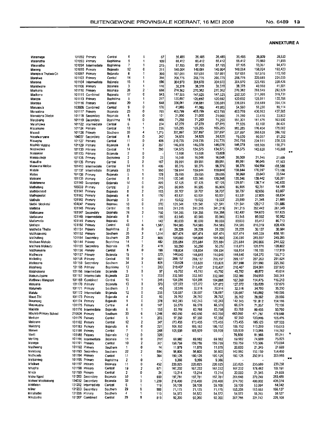| Maramage                          |                                  | 101092 Primary                 | Central               | 6                       | 1                       | 67           | 36,485             | 36,485             | 36,485             | 36,485             | 38,939             | 39,530                             |  |
|-----------------------------------|----------------------------------|--------------------------------|-----------------------|-------------------------|-------------------------|--------------|--------------------|--------------------|--------------------|--------------------|--------------------|------------------------------------|--|
| Maranatha                         |                                  | 101093 Primary                 | Bophinma              | 5                       | 1                       | 109          | 66,412             | 66,412             | 66,412             | 66,412             | 70,880             | 71,955                             |  |
| Maranatha                         |                                  | 101094 Intermediate            | Bophinma              | 7                       | 1                       | 215          | 87,195             | 87,195             | 87,195             | 87,195             | 93,061             | 94,473                             |  |
| Marang                            |                                  | 101095 Primary                 | Bojanala              | 12                      | 0                       | 311          | 148.064            | 148,064            | 148,064            | 148,064            | 158,024            | 160,423                            |  |
| Marapo a Thutwa Co                |                                  | 101097 Primary                 | Bojanala              | 8                       | 1                       | 300          | 157,051            | 157,051            | 157,051            | 157,051            | 167,616            | 170,160                            |  |
| Marekwa                           |                                  | 101103 Primary                 | Central               | 14                      | 1                       | 356          | 206,775            | 206,775            | 206,775            | 206,775            | 220.685            | 224,035                            |  |
| Marema                            |                                  | 101104 Intermediate            | Bojanala              | 15                      | 1                       | 596          | 304,970            | 304,970            | 304,970            | 304,970            | 325,485            | 330.426                            |  |
| Maretwane                         |                                  | 101106 Primary                 | Bojanala              | 3                       | 1                       | 116          | 38,378             | 38,378             | 38,378             | 38,378             | 40,960             | 41,581                             |  |
| Marikana                          |                                  | 101110 Primary                 | Bojanala              | 26                      | 2                       | 658          | 270,362            | 270,362            | 270,362            | 270,362            | 288,549            | 292,929                            |  |
| Marikana                          |                                  | 101111 Combined                | Bojanala              | 17                      | 0                       | 943          | 147,525            | 147,525            | 147,525            | 292,330            | 311,995<br>128,811 | 316,731<br>130,766                 |  |
| Marope                            |                                  | 101113 Primary                 | Bophirima             | 5                       | 1<br>1                  | 217          | 120,692            | 120,692            | 120,692<br>336,081 | 120,692<br>336,081 | 358,689            | 364,134                            |  |
| Marotse                           |                                  | 101116 Primary                 | Central               | 20<br>9                 | 0                       | 648<br>176   | 336,081<br>41,985  | 336,081<br>41,985  | 41,985             | 54,560             | 58,230             | 59,114                             |  |
| Maruapula<br>Maruatona            | 103606<br>101117                 | Combined<br>Primary            | Central<br>Bojanala   | 23                      | 0                       | 765          | 403,799            | 403,799            | 403,799            | 403,799            | 430,963            | 437,505                            |  |
| Maruatona Dikobe                  |                                  | 101118 Secondary               | Bojanala              | 5                       | 0                       | 101          | 21,000             | 21,000             | 21,000             | 31,310             | 33,416             | 33,923                             |  |
| Marubising                        | 101119                           | Secondary                      | Bophirima             | 18                      | 0                       | 456          | 71,250             | 71,250             | 71,250             | 151,301            | 161 479            | 163.930                            |  |
| Marumolwa                         |                                  | 101122 Intermediate            | Central               | 6                       | 1                       | 274          | 67,279             | 67,279             | 67,279             | 77,926             | 83,168             | 84 431                             |  |
| Masamane                          | 101124                           | Primary                        | Central               | 10                      | 1                       | 236          | 165,285            | 165,285            | 165,285            | 165,285            | 176,404            | 179,082                            |  |
| Masedi                            |                                  | 101126 Primary                 | Southern              | 33                      | 4                       | 1,215        | 337,897            | 337,897            | 337,897            | 337,897            | 360,628            | 366,102                            |  |
| Maselwanyane                      | 104037                           | Secondary                      | Central               | 8                       | 0                       | 242          | 34,825             | 34,825             | 34,825             | 75,020             | 80,067             | 81,282                             |  |
| Masephe                           |                                  | 101127 Primary                 | Central               | 11                      | 0                       | 406          | 210,735            | 210,735            | 210,735            | 210,735            | 224,911            | 228,325                            |  |
| Mashilo Matsho                    |                                  | 101129 Primary                 | Bojanala              | 8                       | $\overline{\mathbf{2}}$ | 297          | 146,078            | 146,078            | 146,078            | 146,078            | 155,905            | 158,271                            |  |
| Mashwelwa                         |                                  | 101130 Primary                 | Central               | 14                      | 1                       | 280          | 134,575            | 134,575            | 134,575            | 134,575            | 143,628            | 145,808<br>$\overline{\mathbf{x}}$ |  |
| Massekier                         |                                  | 101133 Primary                 | Bojanala              | $\overline{\mathbf{2}}$ | 0                       |              | 13,608             | 13,608             | 13,608             |                    |                    |                                    |  |
| Massouskop                        |                                  | 101135 Primary                 | Bophirima             | $\overline{c}$          | 0<br>O                  | 23           | 16,048             | 16,048             | 16,048             | 20,000             | 21,345             | 21,669<br>97,503                   |  |
| Masutihe                          |                                  | 101136 Primary                 | Central               | 5<br>14                 | 1                       | 167          | 89,991             | 89,991<br>98,376   | 89,991<br>98,376   | 89,991<br>98,376   | 96,045<br>104,994  | 106,588                            |  |
| Maswana Moiloa                    | 101137                           | 101413 Intermediate            | Central<br>Bojanala   | 23                      | 1                       | 406<br>550   | 98,376<br>159,844  | 159,844            | 159,844            | 159,844            | 170,597            | 173,186                            |  |
| Matale<br>Matau                   |                                  | Intermediate<br>101138 Primary | Bojanala              | 5                       | 1                       | 129          | 29,695             | 29,695             | 29,695             | 30,960             | 33,043             | 33,544                             |  |
| Mateane                           |                                  | 101139 Primary                 | Central               | 8                       | 1                       | 219          | 120,346            | 120,346            | 120,346            | 120,346            | 128,442            | 130,391                            |  |
| Matetenene                        |                                  | 101140 Secondary               | Bojanala              | 14                      | 0                       | 409          | 57,125             | 57,125             | 57,125             | 129,971            | 138,714            | 140,820                            |  |
| Mathateng                         |                                  | 105059 Primary                 | Central               | 3                       | 0                       | 245          | 86,905             | 86.905             | 86,905             | 86,905             | 92,751             | 94,159                             |  |
| Mathibetstad                      |                                  | 101141 Primary                 | Bojanala              | 8                       | $\overline{2}$          | 193          | 58,707             | 58,707             | 58,707             | 58,707             | 62,656             | 63,607                             |  |
| Mathopestat                       |                                  | 101142 Primary                 | Bojanala              | 6                       | 1                       | 170          | 63,531             | 63,531             | 63,531             | 63,531             | 67,805             | 68,834                             |  |
| Mathule                           |                                  | 101143 Primary                 | Bojanala              | 3                       | 0                       | 31           | 19,022             | 19.022             | 19,022             | 20,000             | 21,345             | 21,669                             |  |
| Matiki Mooketsi                   |                                  | 104047 Primary                 | Bojanala              | 10                      | 0                       | 370          | 121,541            | 121,541            | 121,541            | 121,541            | 129,717            | 131,686                            |  |
| Matlaba                           |                                  | 101145 Primary                 | Central               | 15                      | $\mathbf{1}$            | 515          | 241,215            | 241,215            | 241,215            | 241,215            | 257,442            | 261,349                            |  |
| Matlaisane                        |                                  | 101147 Secondary               | Bojanala              | 26                      | 2                       | 760          | 154,356            | 154,356            | 154,356            | 182,400            | 194,670            | 197,625                            |  |
| Madakana                          |                                  | 101148 Intermediate            | Bojanala              | 8                       | 1                       | 199          | 83,945             | 83,945             | 83,945             | 83,945             | 89,592             | 90,952                             |  |
| Matlametio                        |                                  | 101149 Primary                 | Bojanala              | 6                       | 1                       | 142          | 80,033             | 80,033             | 80,033             | 80,033             | 85,417             | 86,713                             |  |
| Matiape                           |                                  | 101150 Primary                 | Central               | 43                      | 5                       | 1,567        | 764,585            | 764,585            | 764,585            | 764,585            | 816,019            | 828,406                            |  |
| Matihaba Tihabe                   |                                  | 101151 Primary                 | Bophirima             | 2                       | 0                       | 61           | 28,228             | 28,228             | 28,228             | 28,228             | 30,127             | 30,584                             |  |
| Matihajaneng                      |                                  | 101152 Primary                 | Southern              | 35                      | 3<br>2                  | 1,314        | 607,474            | 607,474            | 607,474            | 607,474<br>230,080 | 648,339<br>245,557 | 658,181<br>249,285                 |  |
| Matihalang<br>Mathare Moholo      | 101154                           | Secondary<br>101144 Primary    | Southern<br>Bophirima | 25<br>14                | 1                       | 809<br>482   | 104,000<br>225,684 | 104,000<br>225,684 | 104,000<br>225,684 | 225,684            | 240,866            | 244,522                            |  |
| Matihare Mokautu                  |                                  | 101155 Secondary               | Bojanala              | 15                      | 2                       | 418          | 50,250             | 50,250             | 50,250             | 118,879            | 126,876            | 128,802                            |  |
| Mathonyane                        |                                  | 101156 Primary                 | Central               | 8                       | 0                       | 199          | 108,834            | 108,834            | 108,834            | 108,834            | 116,155            | 117,919                            |  |
| Matihware                         |                                  | 101157 Primary                 | Bojanala              | 15                      | 1                       | 570          | 144,640            | 144,640            | 144,640            | 144,640            | 154,370            | 156,713                            |  |
| Matloding                         | 101158 Primary                   |                                | Central               | 18                      | 0                       | 661          | 269,157            | 269,157            | 269,157            | 269,157            | 287,263            | 291,624                            |  |
| Matlosane                         | 101159                           | Secondary                      | Southern              | 34                      | 3                       | 808          | 133,628            | 133,628            | 133,628            | 207,998            | 221,990            | 225,360                            |  |
| Matsheng                          |                                  | 101165 Primary                 | Bophirima             | 13                      | $\mathbf{1}$            | 393          | 210,407            | 210,407            | 210,407            | 210,407            | 224,561            | 227,970                            |  |
| Matshobana                        |                                  | 101166 Intermediate            | Bojanala              | 5                       | 0                       | 97           | 45,792             | 45,792             | 45,792             | 45,792             | 48,872             | 49,614                             |  |
| Matsukubyane                      |                                  | 101167 Intermediate            | Bojanala              | 23                      | 1                       | 703          | 332,580            | 332,580            | 332,580            | 332,580            | 354,953            | 360,341                            |  |
| Matthews Mangope                  |                                  | 101169 Combined                | Central               | 15                      | 1                       | 346          | 104,086            | 104,086            | 104,086            | 107,260            | 114,475            | 116,213                            |  |
| Matuana                           | 101170 Primary                   |                                | Bojanala              | 13                      | 0                       | 379          | 127,072            | 127,072            | 127,072            | 127,072            | 135,620            | 137,679                            |  |
| Matumelo                          | 101171 Primary                   |                                | Southern              | 3                       | ٥                       | 45           | 32,516             | 32,516             | 32,516             | 32,516             | 34,703             | 35,230                             |  |
| Matutu                            |                                  | 101172 Intermediate            | Bojanala              | 12                      | ٥                       | 256          | 136,687            | 136,687            | 136,687            | 136,687            | 145,882            | 148,096                            |  |
| Maud Zibi                         | 101173 Primary                   |                                | Bojanala              | 4<br>9                  | 0<br>0                  | 60<br>378    | 26,762             | 26,762             | 26,762             | 26,762<br>142.243  | 28,562<br>151,812  | 28,996<br>154,116                  |  |
| Maumong                           | 101174 Primary                   |                                | Bojanala              |                         |                         |              | 142,243            | 142,243            | 142,243            |                    |                    |                                    |  |
| Mayaeyane                         | 101175 Primary                   |                                | Central               | 4<br>6                  | 0<br>1                  | 147          | 66,578             | 66,578             | 66,578             | 66,578             | 71,057             | 72,135<br>90,760                   |  |
| Mazista<br>Mbulelo Primary School | 270926 Primary                   | 101176 Intermediate            | Bojanala<br>Southern  | 33                      | 6                       | 153<br>1,246 | 83,768<br>442,050  | 83,768<br>442,050  | 83,768<br>442,050  | 83,768<br>442,050  | 89,403<br>471,787  | 478,948                            |  |
| Medupe                            | 101179 Primary                   |                                | Central               | 5                       | 1                       | 203          | 97,350             | 97,350             | 97,350             | 97,350             | 103,899            | 105,476                            |  |
| Metorane                          | 101182 Primary                   |                                | Central               | 12                      | $\overline{\mathbf{2}}$ | 347          | 173,455            | 173,455            | 173,455            | 173,455            | 185,123            | 187,933                            |  |
| Melotong                          | 101183 Primary                   |                                | Bojanala              | 6                       | 0                       | 221          | 106,152            | 106,152            | 106,152            | 106,152            | 113,293            | 115,013                            |  |
| Menwe                             | 101186 Primary                   |                                | Central               | 7                       | 1                       | 248          | 105,939            | 105,939            | 105,939            | 105,939            | 113,066            | 114,782                            |  |
| Meriti                            | 105188 Primary                   |                                | Bojanala              | 12                      | 0                       | 320          |                    |                    |                    | 76,800             | 81,966             | ×<br>83,211                        |  |
| Meriting                          |                                  | 101190 Intermediate            | Bojanaia              | 11                      | 0                       | 210          | 69,982             | 69,982             | 69,982             | 69,982             | 74,689             | 75,823                             |  |
| Mesega                            | 101191 Primary                   |                                | Central               | 10                      | 2                       | 317          | 159,759            | 159,759            | 159,759            | 159,759            | 170,506            | 173,094                            |  |
| Meshweng                          | 101192 Primary                   |                                | Southern              | 1                       | 0                       | 14           | 11,979             | 11,979             | 11,979             | 20,000             | 21,345             | 21,669                             |  |
| Metebong                          |                                  | 101193 Secondary               | Southern              | 22                      | 2                       | 594          | 56,800             | 56,800             | 56,800             | 142,560            | 152,150            | 154,460                            |  |
| Methusele                         | 101194 Primary                   |                                | Central               | 11                      | 1                       | 364          | 190,125            | 190,125            | 190,125            | 190,125            | 202,915            | 205,995<br>$\overline{\mathbf{x}}$ |  |
| Metsaneng                         | 101195 Primary                   |                                | Bophirima             | 2                       | 0                       |              | 9,366              | 9,366              | 9,366              |                    |                    |                                    |  |
| Midikwe                           | 101197 Primary                   |                                | Bojanala              | 11                      | 0                       | 452          | 220,825            | 220,825            | 220.825            | 220,825            | 235,680            | 239,258                            |  |
| Mhapha                            | 101198 Primary<br>101199 Primary |                                | Central               | 19<br>2                 | 2<br>0                  | 671          | 167,232            | 167,232            | 167,232            | 167,232            | 178,482            | 181,191<br>21,669                  |  |
| Mhelo<br>Micha Kgasi              |                                  | 101200 Secondary               | Central<br>Bojanala   | 32                      | 1                       | 24<br>650    | 13,214<br>197,781  | 13,214<br>197,781  | 13,214<br>197,781  | 20,000<br>261,648  | 21,345<br>279,249  | 283,488                            |  |
| Michael Modisakeng                |                                  | 104032 Secondary               | Bojanala              | 33                      | 0                       | 1,209        | 218,400            | 218,400            | 218,400            | 374,790            | 400,002            | 406,074                            |  |
| Middleton                         |                                  | 101202 Intermediate            | Central               | 6                       | 1                       | 119          | 59,108             | 59,108             | 59,108             | 59,108             | 63,084             | 64,042                             |  |
| Milner                            |                                  | 101203 Secondary               | Southern              | 29                      | 6                       | 988          | 71,175             | 71,175             | 71,175             | 153,338            | 163,653            | 166,137                            |  |
| Mmabatho                          | 101206 Primary                   |                                | Southern              | 4                       | 1                       | 110          | 54,572             | 54,572             | 54,572             | 54,572             | 58,243             | 59,127                             |  |
| Mmabatho                          |                                  | 101207 Combined                | Central               | 29                      | 8                       | 819          | 92,200             | 92,200             | 92,200             | 207,766            | 221,742            | 225,108                            |  |
|                                   |                                  |                                |                       |                         |                         |              |                    |                    |                    |                    |                    |                                    |  |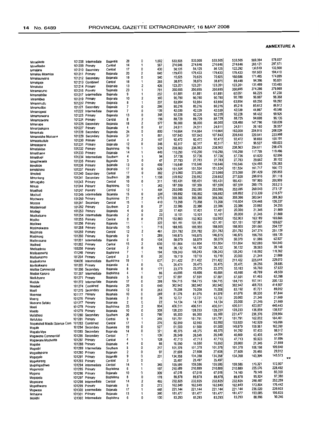|                               |                |                     |           |    |                |       |         |         |         |         | 569,394 | 578,037                    |
|-------------------------------|----------------|---------------------|-----------|----|----------------|-------|---------|---------|---------|---------|---------|----------------------------|
| Mmadikete                     | 101208         | Intermediate        | Bojanala  | 28 | 0              | 1.002 | 533.505 | 533,505 | 533,505 | 533,505 |         |                            |
| Mmadisebo                     | 101209         | Primary             | Central   | 14 | 1              | 567   | 274,646 | 274,646 | 274,646 | 274,646 | 293,121 | 297,571                    |
| Mmajane                       |                | 101210 Secondary    | Central   | 17 | 0              | 430   | 54,125  | 54,125  | 54,125  | 122,292 | 130,519 | 132,500                    |
|                               |                | 101211 Primary      | Bojanala  | 20 | 2              | 640   | 179,433 | 179,433 | 179,433 | 179,433 | 191,503 | 194,410                    |
| Mmakau Moemise                |                |                     |           | 19 | 0              | 540   | 70,625  | 70,625  | 70,625  | 160,686 | 171,495 | 174,099                    |
| Mmakaunyana                   |                | 101212 Secondary    | Bojanala  |    | 1              |       | 38,875  | 38,875  | 38,875  | 88,448  | 94,398  | 95,831                     |
| Mmakgaje                      | 101213         | Combined            | Central   | 18 |                | 265   |         |         |         | 123,201 | 131,489 | 133,485                    |
| Mmakuba                       |                | 101214 Primary      | Bojanala  | 13 | $\overline{c}$ | 426   | 123,201 | 123,201 | 123,201 |         |         |                            |
| Mmamarumo                     |                | 101216 Primary      | Bojanala  | 23 | 1              | 781   | 350,695 | 350,695 | 350.695 | 350,695 | 374,286 | 379,968                    |
| Mmamathibe                    | 101217         | Intermediate        | Bojanala  | 9  | 1              | 252   | 61,881  | 61,881  | 61,881  | 62,051  | 66,225  | 67,230                     |
| Mmamithya                     | 101219         | Primary             | Bojanala  | 10 | 2              | 360   | 90,780  | 90,780  | 90,780  | 90,780  | 96,887  | 98,358                     |
|                               |                |                     |           | 8  | 1              | 237   | 63,954  | 63,954  | 63,954  | 63,954  | 68,256  | 69,292                     |
| Mmammudu                      | 101220         | Primary             | Bojanala  |    |                |       |         |         | 80,216  | 80,216  | 85,612  | 86,912                     |
| Mmamodibo                     | 101221         | Secondary           | Bojanala  | 7  | 0              | 266   | 80,216  | 80,216  |         |         |         | 45,548                     |
| Mmamogwai                     | 101222         | Intermediate        | Bojanala  | 7  | 0              | 139   | 42,039  | 42,039  | 42,039  | 42,039  | 44,867  |                            |
| Mmamonwana                    | 101223         | Primary             | Bojanala  | 13 | 0              | 348   | 92,228  | 92,228  | 92,228  | 92,228  | 98,432  | 99,926                     |
| Mmamoswane                    | 101224         | Primary             | Central   | 8  | 2              | 156   | 88,729  | 88,729  | 88,729  | 88,729  | 94,698  | 96,135                     |
|                               | 101226         | Secondary           | Bojanala  | 18 | 2              | 577   | 56,000  | 56,000  | 56,000  | 138,480 | 147,796 | 150,039                    |
| Mmanape                       |                |                     | Bojanala  | 4  | 0              | 67    | 24,511  | 24,511  | 24,511  | 24,511  | 26,160  | 26,557                     |
| Mmanjaakgora                  | 101227         | Primary             |           |    |                |       |         | 114,664 | 114,664 | 192,000 | 204,916 | 208,026                    |
| Mmankala                      | 101228         | Secondary           | Bojanala  | 24 | 0              | 800   | 114,664 |         |         |         | 220,541 | 223,888                    |
| Mmanotshe Moduane             | 101229         | Secondary           | Bojanala  | 31 | 1              | 861   | 107.843 | 107,843 | 107,843 | 206,640 |         |                            |
| Mmasebudule                   | 101230         | Primary             | Central   | 4  | $\overline{c}$ | 167   | 92.472  | 92,472  | 92,472  | 92,472  | 98,693  | 100,191                    |
| Mmasepane                     | 101231         | Primary             | Bojanala  | 12 | 0              | 346   | 92,317  | 92,317  | 92,317  | 92,317  | 98,527  | 100,023                    |
| Mmatlakitso                   | 101232         | Primary             | Bophinma  | 16 | 1              | 524   | 238,563 | 238,563 | 238,563 | 238,563 | 254,611 | 258,476                    |
|                               |                |                     |           | 14 | 1              | 449   | 110,290 | 110,290 | 110,290 | 110,290 | 117,709 | 119,496                    |
| Mmatihame                     |                | 101233 Primary      | Bojanala  |    | 1              |       |         | 57,736  | 57,736  | 57,736  | 61,620  | 62.556                     |
| Mmathapi                      | 101234         | Intermediate        | Southern  | 4  |                | 94    | 57,736  |         |         |         | 29,652  | 30,102                     |
| Mmathwaela                    | 101235         | Primary             | Bojanala  | 3  | 0              | 47    | 27,783  | 27,783  | 27,783  | 27,783  |         |                            |
| Mmatope                       | 101236         | Primary             | Bojanala  | 13 | 0              | 409   | 116,646 | 116,646 | 116,646 | 116,646 | 124,493 | 126,383                    |
| Mmatsheko                     |                | 101237 Primary      | Bojanala  | 17 | 0              | 629   | 151,524 | 151,524 | 151,524 | 151,524 | 161,717 | 164,172                    |
| Mmoledi                       | 101240         | Secondary           | Central   | 17 | 0              | 382   | 273,060 | 273,060 | 273,060 | 273,060 | 291,429 | 295,853                    |
|                               |                |                     |           | 39 | 1              | 1,158 | 239,852 | 239,852 | 239,852 | 277,920 | 296,616 | 301,118                    |
| Mmonkeng                      | 101241         | Secondary           | Southern  |    |                |       |         |         | 185,431 | 185,431 | 197,905 | 200,909                    |
| Mmuagabo                      | 101243         | Primary             | Central   | 10 | 0              | 311   | 185,431 | 185,431 |         |         |         |                            |
| Mmusi                         |                | 101244 Primary      | Bophirima | 10 | 1              | 342   | 187,559 | 187,559 | 187,559 | 187,559 | 200,176 | 203,215                    |
| Moathodi                      | 101247         | Primary             | Central   | 12 | 1              | 404   | 252,085 | 252,085 | 252,085 | 252,085 | 269,043 | 273,127                    |
| Mochudi                       | 101249         | Intermediate        | Boianala  | 15 | 0              | 328   | 199,892 | 199,892 | 199,892 | 199,892 | 213,339 | 216,577                    |
|                               |                | Primary             | Bophinma  | 21 | 2              | 873   | 359,366 | 359,366 | 359,366 | 359,366 | 383,541 | 389,363                    |
| Mochware                      | 101250         |                     |           |    | 1              |       |         | 73,268  | 73,268  | 116,604 | 124,448 | 126,337                    |
| Mococe                        | 101251         | Secondary           | Central   | 15 |                | 410   | 73,268  |         |         |         |         | 24,255                     |
| Modderkraal                   | 101252         | Primary             | Southern  | 2  | 0              | 27    | 22,386  | 22,386  | 22,386  | 22,386  | 23,892  |                            |
| Modiegi                       | 101253         | Primary             | Bojanala  | 4  | 0              | 23    | 17,401  | 17,401  | 17,401  | 20,000  | 21,345  | 21,669                     |
| Modiketsane                   | 101254         | Intermediate        | Bojanala  | 2  | 0              | 23    | 10,101  | 10,101  | 10,101  | 20,000  | 21,345  | 21,669                     |
| Modiko                        | 101255         | Primary             | Central   | 8  | 0              | 278   | 152,903 | 152,903 | 152,903 | 152,903 | 163,189 | 165,666                    |
|                               |                | Primary             | Bojanala  | 11 | 1              | 322   | 101,181 | 101,181 | 101,181 | 101,181 | 107,987 | 109,627                    |
| Modikwe                       | 101256         |                     |           |    | 1              |       |         | 188,955 | 188,955 | 188,955 | 201,666 | 204,727                    |
| Modimokwane                   | 101258         | Primary             | Bojanala  | 15 |                | 716   | 188,955 |         |         |         |         | 251,129                    |
| Modimola                      | 101259         | Primary             | Central   | 12 | $\overline{2}$ | 461   | 231,782 | 231,782 | 231,782 | 231,782 | 247,374 |                            |
| Modimong                      | 101260         | Primary             | Bojanala  | 9  | 1              | 289   | 146,875 | 146,875 | 146,875 | 146,875 | 156,755 | 159,135                    |
| Modimosana                    | 101261         | Intermediate        | Bojanala  | 6  | 0              | 104   | 58,079  | 58,079  | 58,079  | 58,079  | 61,986  | 62,927                     |
|                               | 101262         | Primary             | Contral   | 15 | $\overline{2}$ | 630   | 151,864 | 151,864 | 151,864 | 151,864 | 162,080 | 164,540                    |
| Modiredi                      |                |                     |           | 2  | 0              | 59    | 36,132  | 36,132  | 36,132  | 36,132  | 38.563  | 39,148                     |
| Modisadinku                   | 103258         | Primary             | Central   |    |                |       |         |         |         | 109,243 | 116,592 | 118,362                    |
| Modisaemang                   | 101248         | Primary             | Bophirima | 7  | 1              | 194   | 109,243 | 109,243 | 109,243 |         |         |                            |
| Modisakgomo                   | 101264         | Primary             | Central   | 3  | 0              | 30    | 19,719  | 19,719  | 19,719  | 20,000  | 21,345  | 21,669                     |
| Modisakoma                    | 104006         | Intermediate        | Bophirima | 19 | 1              | 637   | 211,422 | 211,422 | 211,422 | 211,422 | 225,644 | 229,070                    |
| Modisakwano                   | 101265         | Primary             | Bojanala  | 4  | 0              | 75    | 26,475  | 26,475  | 26,475  | 26,475  | 28,256  | 28,685                     |
|                               | 101266         | Secondary           | Bojanala  | 8  | 0              | 177   | 23,375  | 23,375  | 23,375  | 53,183  | 56,760  | 57,622                     |
| Modise Commercial             |                |                     |           |    | 1              | 86    | 45,695  | 45,695  | 45,695  | 45,695  | 48,769  | 49,509                     |
| Modise Kanono                 | 101267         | Intermediate        | Bophinma  | 4  |                |       |         |         |         |         | 61,465  | 62,398                     |
| Modubyane                     | 101271         | Primary             | Bojanala  | 5  | 0              | 137   | 57,591  | 57,591  | 57,591  | 57,591  |         |                            |
| Module                        |                | 101272 Intermediate | Bojanala  | 17 | 0              | 399   | 184,715 | 184,715 | 184,715 | 184,715 | 197,141 | 200,133                    |
| Moedwil                       | 101274         | Combined            | Bojanala  | 29 | 0              | 640   | 382.942 | 382,942 | 382,942 | 382,942 | 408,703 | 414,907                    |
| Moefi                         | 101275         | Secondary           | Bojanala  | 12 | 0              | 263   | 70,208  | 70,208  | 70,208  | 82,192  | 87,721  | 89,052                     |
|                               |                | Primary             |           | 10 | 0              | 289   | 81,076  | 81,076  | 81,076  | 81,076  | 86,530  | 87,844                     |
| Moemise                       | 101177         |                     | Bojanala  | 3  | 0              | 39    | 12,721  | 12,721  | 12,721  | 20,000  | 21,345  | 21,669                     |
| Moeng                         | 101276 Primary |                     | Bojanala  |    |                |       |         |         |         |         | 21,345  | 21,669                     |
| Moerane Sefako                |                | 101277 Primary      | Bojanala  | 2  | 0              | 22    | 14,134  | 14,134  | 14,134  | 20,000  |         |                            |
| Moeti                         |                | 101278 Primary      | Bophinma  | 25 |                | 804   | 406,511 | 406,511 | 406,511 | 406,511 | 433,857 | 440,443                    |
| Moetlo                        |                | 101279 Primary      | Bojanala  | 10 | 0              | 308   | 128,233 | 128,233 | 128,233 | 128,233 | 136,859 | 138,937                    |
| Mofathosi                     |                | 101280 Secondary    | Southern  | 26 | 0              | 790   | 95,300  | 95,300  | 95,300  | 221,477 | 236,376 | 239,964                    |
| Mofufutso                     |                | 101281 Primary      | Central   | 9  | 1              | 345   | 151,791 | 151,791 | 151,791 | 151,791 | 162,002 | 164,461                    |
|                               |                | 101283 Combined     | Central   | 17 | 1              | 376   | 82,950  | 82,950  | 82,950  | 133,920 | 142,929 | 145,098                    |
| Mogakolodi Masibi Science Com |                |                     |           |    | 0              |       |         | 61,500  | 61,500  | 149,879 | 159,961 | 162,390                    |
| Mogale                        |                | 101284 Secondary    | Bojanala  | 19 |                | 527   | 61,500  |         |         |         |         |                            |
| Mogatla Mpe                   |                | 101285 Secondary    | Bojanala  | 14 | 0              | 321   | 48,375  | 48,375  | 48,375  | 91,292  | 97,433  | 98,912                     |
| Mogawane Commercial           |                | 101286 Secondary    | Central   | 7  | 1              | 139   | 26,549  | 26,549  | 26,549  | 40,669  | 43,405  | 44,064                     |
| Mogawane Moshoete             |                | 101287 Primary      | Central   | 4  | 1              | 128   | 47,713  | 47,713  | 47,713  | 47,713  | 50,923  | 51,696                     |
| Mogobe                        |                | 101288 Primary      | Bojanala  | 4  | 0              | 66    | 16,550  | 16,550  | 16,550  | 20,000  | 21,345  | 21,669                     |
|                               |                | 101289 Intermediate | Southern  | 8  | 0              | 217   | 101,378 | 101,378 | 101,378 | 101,378 | 108,198 | 109,840                    |
| Mogodin                       |                |                     |           |    |                |       |         |         |         |         | 29,465  | 29,912                     |
| Mogoditshane                  |                | 101290 Primary      | Bojanala  | 2  | 0              | 97    | 27,608  | 27,608  | 27,608  | 27,608  |         |                            |
| Mogogelo                      |                | 101291 Primary      | Bojanala  | 9  | 0              | 231   | 134,358 | 134,358 | 134,358 | 134,358 | 143,396 | 145,573<br>$\overline{15}$ |
| Mogokareng                    |                | 101293 Primary      | Central   | з  | 0              |       | 25,497  | 25,497  | 25,497  |         |         |                            |
| Mogologadikwe                 |                | 101294 Intermediate | Central   | 14 | 1              | 345   | 159,586 | 159,586 | 159,586 | 159,586 | 170,321 | 172,907                    |
|                               |                | 101295 Primary      | Bophinma  | 6  | 1              | 197   | 210,889 | 210,889 | 210,889 | 210,889 | 225,076 | 228,492                    |
| Mogomotsi                     |                |                     |           |    | 0              |       |         |         | 67,018  | 74,160  | 79,149  | 80,350                     |
| Mogono                        |                | 101296 Primary      | Bojanala  | 10 |                | 309   | 67,018  | 67,018  |         |         |         |                            |
| Mogopela                      |                | 101297 Primary      | Bophinma  | 8  | 0              | 178   | 89,878  | 89,878  | 89,878  | 89,878  | 95,924  | 97,380                     |
| Mogosane                      |                | 101298 Intermediate | Central   | 14 | 2              | 465   | 232,825 | 232,825 | 232,825 | 232,825 | 248,487 | 252,259                    |
| Mogothwane                    |                | 101299 Primary      | Bojanala  | 9  | 0              | 273   | 162,849 | 162,849 | 162,849 | 162,849 | 173,804 | 176,442                    |
| Mogwase                       |                | 101300 Intermediate | Bojanala  | 17 | 1              | 448   | 221,144 | 221,144 | 221,144 | 221,144 | 236,020 | 239,603                    |
|                               |                |                     | Bojanala  | 13 | 1              | 390   | 181,477 | 181,477 | 181,477 | 181,477 | 193,685 | 196,625                    |
| Mohajane                      |                | 101301 Primary      |           |    |                |       |         |         |         |         | 88,896  | 90,246                     |
| Mohitlhi                      |                | 101302 Intermediate | Bophinma  | 6  | 0              | 130   | 83,293  | 83,293  | 83,293  | 83,293  |         |                            |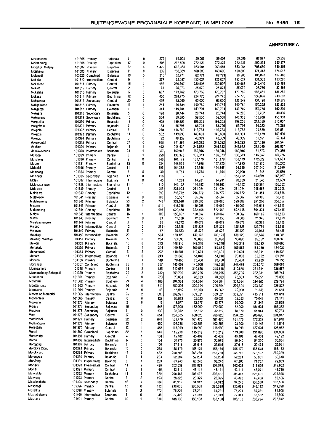×

| Moiletsoane              | 101305           | Primary                          | Bojanala             | 11                      | 0                   | 272        | 59,008             | 59,008             | 59,008             | 59,008             | 62,977             | 63,933             |
|--------------------------|------------------|----------------------------------|----------------------|-------------------------|---------------------|------------|--------------------|--------------------|--------------------|--------------------|--------------------|--------------------|
| Moitsemang               | 101306           | Primary                          | Bophirima            | 17                      | $\Omega$            | 596        | 272,529            | 272,529            | 272,529            | 272,529            | 290,862            | 295,277            |
| Moitshoki Mofenyi        |                  | 101307 Primary                   | Bojanala             | 37                      | 4                   | 1,472      | 663,984            | 663,984            | 663,984            | 663,984            | 708,650            | 719,408            |
| Mojabang                 |                  | 101308 Primary                   | Bojanala             | 11                      | 0                   | 332        | 160,609            | 160,609            | 160,609            | 160,609            | 171,413            | 174,015            |
| Mojagedi                 |                  | 103625 Combined                  | Bojanala             | 10                      | 0                   | 315        | 62,771             | 62,771             | 62,771             | 99,200             | 105,873            | 107,480            |
| Mokaila                  |                  | 101310 Intermediate              | Central              | 9                       | 1                   | 277        | 123,027            | 123,027            | 123,027            | 123,027            | 131,303            | 133,296            |
| Mokakana                 |                  | 101311 Primary                   | Central              | 15                      | 1                   | 457        | 230,907            | 230,907            | 230,907            | 230,907            | 246,440            | 250,181            |
| Mokala                   |                  | 101312 Primary                   | Central              | $\overline{\mathbf{2}}$ | 0                   | 73         | 25,073             | 25,073             | 25,073             | 25,073             | 26,760             | 27,166             |
| Mokalake                 |                  | 101313 Primary                   | Bojanala             | 17                      | 0                   | 687        | 173,762            | 173,762            | 173,762            | 173,762            | 185,451            | 188,266            |
| Mokasa                   |                  | 101314 Primary                   | Bophirima            | 12<br>20                | 0<br>$\overline{c}$ | 400        | 224,775            | 224,775            | 224,775            | 224,775            | 239,896            | 243,537<br>139,279 |
| Mokgakala                |                  | 101315 Secondary                 | Central              | 13                      | 1                   | 452        | 63,000             | 63,000             | 63,000             | 128,549<br>140,784 | 137,196<br>150,255 | 152,535            |
| Mokgalwana               |                  | 101316 Primary<br>101317 Primary | Bojanala<br>Bojanala | 11                      | 0                   | 284<br>344 | 140,784<br>149,704 | 140,784<br>149,704 | 140,784<br>149,704 | 149,704            | 159,775            | 162,200            |
| Mokgaotsi<br>Mokgara     |                  | 101318 Secondary                 | Bojanala             | 5                       | 0                   | 120        | 28,744             | 28,744             | 28,744             | 37,200             | 39,702             | 40,305             |
| Mokgareng                | 101319           | Secondary                        | Boohinma             | 15                      | 0                   | 504        | 59,500             | 59,500             | 59,500             | 143,338            | 152,980            | 155,303            |
| Mokgatiha                |                  | 101320 Primary                   | Bojanala             | 12                      | 0                   | 405        | 199,255            | 199,255            | 199,255            | 199,255            | 212,659            | 215,887            |
| Mokgobola                |                  | 101321 Primary                   | Bojanala             | 7                       | 0                   | 133        | 65,796             | 65,796             | 65,796             | 65,796             | 70,222             | 71,288             |
| Mokgola                  |                  | 101322 Primary                   | Central              | 6                       | 0                   | 238        | 116,783            | 116,783            | 116,783            | 116,783            | 124,639            | 126,531            |
| Mokgosi                  |                  | 101323 Primary                   | Bophirima            | 11                      | 0                   | 532        | 149,698            | 149,698            | 149,698            | 151,301            | 161,479            | 163,930            |
| Mokgosi                  |                  | 101324 Primary                   | Bophirima            | 3                       | 0                   | 92         | 48,339             | 48,339             | 48,339             | 48,339             | 51,591             | 52,374             |
| Mokgweetsi               | 101325           | Primary                          | Central              | 27                      | 0                   | 868        | 241,392            | 241,392            | 241,392            | 241,392            | 257,630            | 261,541            |
| Mokhine                  |                  | 101326 Primary                   | Bojanala             | 14                      | 1                   | 492        | 245,532            | 245,532            | 245,532            | 245,532            | 262,049            | 266,027            |
| Mokolokotoane            | 101328           | intermediate                     | Southern             | 23                      | 1                   | 657        | 160,946            | 160,946            | 160,946            | 160,946            | 171,773            | 174,380            |
| Mokope                   | 101329           | Primary                          | Central              | 8                       | 1                   | 250        | 136,373            | 136,373            | 136,373            | 136,373            | 145.547            | 147,756            |
| Mokutong                 |                  | 101330 Primary                   | Central              | 9                       | 0                   | 346        | 161,179            | 161,179            | 161,179            | 161,179            | 172,022            | 174,633            |
| Molale                   | 101331           | Primary                          | Bophirima            | 15                      | 0                   | 534        | 147,925            | 147,925            | 147,925            | 147,925            | 157,876            | 160,272            |
| Molapisi                 |                  | 104105 Primary                   | Central              | 11                      | 1                   | 393        | 194,365            | 194,365            | 194,365            | 194,365            | 207,440            | 210,589            |
| Molapong                 |                  | 101334 Primery                   | Central              | 3                       | 0                   | 30         | 11,754             | 11,754             | 11,754             | 20,000             | 21,345             | 21,669             |
| Molebatsi                |                  | 101335 Secondary                 | Bojanala             | 17                      | 0                   | 416        |                    |                    |                    | 153,292            | 163,604            | 166,087            |
| Molen                    | 101337           | Intermediate                     | Bojanala             | 4                       | Ω                   | 40         | 14,201             | 14,201             | 14,201             | 20,000             | 21,345             | 21,669             |
| Molehabangwe             | 101338           | Intermediate                     | Bophirima            | 11                      | 1                   | 310        | 146,162            | 146,152            | 146.162            | 146,162            | 155,994            | 158,362            |
| Molekane                 | 101339 Primary   |                                  | Cantral              | 9                       | 1                   | 453        | 231.024            | 231,024            | 231.024            | 231,024            | 246,565            | 250,308            |
| Molelema                 | 101340           | Primary                          | Bophirima            | 12                      | 1                   | 390        | 216,772            | 216,772            | 216,772            | 216,772            | 231,354            | 234,866            |
| Molelwane                | 101341           | Primary                          | Bojanala             | 6                       | 0                   | 103        | 55,567             | 55,567             | 55,567             | 55,567             | 59.305             | 60.205             |
| Molelwaneng              | 101342 Primary   |                                  | Bojanala             | 23                      | 2                   | 748        | 329,088            | 329,088            | 329,088            | 329,088            | 351,226            | 356,557            |
| Molema                   | 101343 Primary   |                                  | Central              | 25                      | 1                   | 814        | 415,095            | 415.095            | 415,095            | 415.095            | 443,018            | 449,743            |
| Molemoeng                | 101344           | Primary                          | Bophirima            | 19                      | 1<br>1              | 697        | 622,458            | 622,458            | 622,458            | 622,458            | 664,331            | 674.415            |
| Molete                   | 101345           | Intermediate                     | Central              | 16<br>2                 | 0                   | 303        | 150,067            | 150.067            | 150,067            | 150,067            | 160,162            | 162,593            |
| Moleti<br>Moletsamongwe  | 101346<br>101347 | Primary                          | Southern<br>Central  | 3                       | 1                   | 24         | 12,356             | 12,356             | 12,356             | 20,000             | 21,345             | 21,669             |
|                          | 101348           | Primary                          | Central              | 12                      | 0                   | 83<br>258  | 49,072             | 49,072             | 49,072             | 49,072<br>125,328  | 52,373             | 53,168<br>135,789  |
| Molopo<br>Molorwe        | 101349           | Intermediate<br>Primary          | Bojanala             | 5                       | 0                   | 57         | 125,328<br>35,523  | 125,328<br>35,523  | 125,328<br>35,523  | 35,523             | 133,759<br>37,913  | 38,488             |
| Moiotlegi                | 101350           | Intermediate                     | Bojanala             | 20                      | 0                   | 504        | 130,123            | 130,123            | 130,123            | 130,123            | 138,876            | 140,985            |
| Molotlegi Malebye        | 101351           | Primary                          | Bojanala             | 5                       | 0                   | 204        | 93,090             | 93,090             | 93,090             | 93,090             | 99 35 2            | 100,860            |
| Molotsi                  | 101352 Primary   |                                  | Bojanala             | 10                      | 0                   | 343        | 148.318            | 148,318            | 148,318            | 148,318            | 158,295            | 160,698            |
| Monakato                 | 101309           | Primary                          | Bojanala             | 12                      | 1                   | 324        | 169,854            | 169,854            | 169,854            | 169,854            | 181,280            | 184,032            |
| Monamaladi               | 101354 Primary   |                                  | Central              | 6                       | 3                   | 222        | 110,601            | 110,601            | 110,601            | 110,601            | 118,041            | 119,833            |
| Monato                   |                  | 101355 Intermediate              | Bojanala             | 11                      | 0                   | 243        | 51,040             | 51,040             | 51,040             | 76,880             | 82,052             | 83,297             |
| Moncho                   | 101356 Primary   |                                  | Bophirima            | 5                       | $\mathbf{1}$        | 149        | 70,468             | 70,468             | 70,468             | 70,468             | 75,208             | 76,350             |
| Monchusi                 |                  | 101357 Combined                  | Bophirima            | 25                      | 1                   | 867        | 145,058            | 145,058            | 145,058            | 247,428            | 264,072            | 268,081            |
| Monnaamere               | 101358 Primary   |                                  | Central              | 18                      | $\overline{2}$      | 735        | 310,656            | 310,656            | 310,656            | 310,656            | 331,554            | 336,587            |
| Monnaaphang Sebogodi     | 101359 Primary   |                                  | Bophirima            | 20                      | $\overline{2}$      | 732        | 358,795            | 358,795            | 358,795            | 358,795            | 382,931            | 388,744            |
| Mononono                 | 101361 Primary   |                                  | Bojanala             | 8                       | 0                   | 273        | 70,883             | 70,883             | 70,883             | 70,883             | 75.651             | 76,800             |
| Monthusi                 | 101362 Primary   |                                  | Southern             | 29                      | 4                   | 1,188      | 304,384            | 304.384            | 304.384            | 304,384            | 324,860            | 329,791            |
| Montsamaisa              | 101363 Primary   |                                  | Bojanala             | 16                      | 0                   | 511        | 209,394            | 209,394            | 209,394            | 209.394            | 223,480            | 226,872            |
| Montsana                 | 101364 Primary   |                                  | Bojanala             | 6                       | 0                   | 53         | 15,060             | 15,060             | 15,060             | 20,000             | 21,345             | 21,669             |
| Montshioa Memorial       | 101365           | Intermediate                     | Central              | 25                      | 2                   | 806        | 389,321            | 389,321            | 389.321            | 389,321            | 415,511            | 421,818            |
| Mooifontein              | 101368 Primary   |                                  | Central              | 6                       | 0                   | 129        | 65,633             | 65,633             | 65,633             | 65,633             | 70,048             | 71,111             |
| Mookane                  | 101370 Primary   |                                  | Bojanala             | 2                       | 0                   | 16         | 13,577             | 13,577             | 13,577             | 20,000             | 21,345             | 21,669             |
| Morare                   |                  | 101374 Secondary                 | Bojanara             | 16                      |                     | 547        | 172,900            | 172,900            | 172,900            | 172,900            | 104,531            | 187,332            |
| Moralwe                  |                  | 101375 Secondary                 | Bojanala             | 11                      | 0                   | 132        | 32,312             | 32,312             | 32,312             | 48,670             | 51,944             | 52,733             |
| More                     |                  | 101376 Secondary                 | Central              | 27                      | 5                   | 651        | 268.625            | 268,625            | 268,625            | 268,625            | 286,695            | 291,047            |
| Morekolodi               | 101377 Primary   |                                  | Bojanala             | 22                      | 2                   | 641        | 161,470            | 161,470            | 161,470            | 161,470            | 172,332            | 174,948            |
| Moremogolo<br>Moreotsile | 101378 Primary   |                                  | Bojanala             | 13                      | 1<br>1              | 430        | 102,285            | 102,285            | 102,285            | 103,200            | 110,142            | 111,814            |
| Moren                    | 101379 Primary   | 101380 Combined                  | Central              | 13                      | 1                   | 455        | 118,999            | 118,999            | 118,999            | 118,999            | 127,004            | 128,932            |
| Morgenster               | 101381 Primary   |                                  | Bophinma             | 22                      |                     | 549        | 115,219            | 115,219            | 115,219            | 179,800            | 191,895            | 194,808            |
| Morce                    |                  | 101382 Intermediate              | Central<br>Bophirima | 4<br>6                  | 1<br>0              | 104<br>164 | 45,402<br>30,975   | 45,402<br>30,975   | 45,402<br>30,975   | 45,402<br>50,840   | 48,456<br>54,260   | 49,192<br>55,084   |
| Morogong                 | 101383 Primary   |                                  | Bojanala             | 5                       | 0                   | 100        | 27,616             | 27,616             | 27,616             |                    | 29,474             | 29,921             |
| Morokwa Ditlou           | 101384 Primary   |                                  | Bojanala             | 10                      | 0                   | 278        | 155,179            | 155,179            | 155,179            | 27,616<br>155,179  | 165,618            | 168,132            |
| Morokweng                | 101385 Primary   |                                  | Bophirima            | 16                      | 1                   | 562        | 258,788            | 258,788            | 258,788            | 258,788            | 276,197            | 280,389            |
| Morongwa                 | 101386 Primary   |                                  | Bojanala             | 7                       | 1                   | 203        | 52,284             | 52,284             | 52,284             | 52,284             | 55,801             | 56,648             |
| Moruleng                 |                  | 101389 Intermediate              | Bojanala             | 8                       | 1                   | 280        | 63,243             | 63,243             | 63,243             | 67,200             | 71,721             | 72,809             |
| Morupisi                 |                  | 101390 Intermediate              | Central              | 11                      | 2                   | 480        | 202,038            | 202,038            | 202,038            | 202,038            | 215,629            | 218,902            |
| Moruti                   | 101391 Primary   |                                  | Central              | 3                       | 1                   | 65         | 43,111             | 43,111             | 43,111             | 43,111             | 46,011             | 46,710             |
| Morwalela                | 101392 Primary   |                                  | Bophirima            | 11                      | 1                   | 379        | 208,467            | 208,467            | 208,467            | 208,467            | 222,491            | 225,868            |
| Могмепд                  | 101393 Primary   |                                  | Central              | 7                       | 2                   | 193        | 28,325             | 28,325             | 28,325             | 46,320             | 49,436             | 50,186             |
| Mosekaphofu              |                  | 101395 Secondary                 | Central              | 15                      | 1                   | 304        | 81,912             | 81,912             | 81,912             | 94,240             | 100,580            | 102,106            |
| Mosenogi                 | 101396 Primary   |                                  | Central              | 13                      | 0                   | 412        | 230,638            | 230,638            | 230,638            | 230,638            | 246,153            | 249,890            |
| Mosellha                 | 101398 Primary   |                                  | Bojanala             | 9                       | 2                   | 272        | 75,221             | 75,221             | 75,221             | 75,221             | 80,281             | 81,500             |
| Moshabetsane             |                  | 101400 intermediate              | Southern             | 5                       | 0                   | 38         | 77,349             | 77,349             | 77,349             | 77,349             | 82,552             | 83,805             |
| Moshana                  | 101401 Primary   |                                  | Central              | 10                      | 1                   | 318        | 188,138            | 188,138            | 188,138            | 188,138            | 200,794            | 203,842            |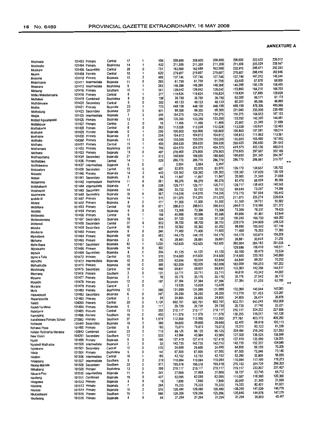| Moshoete                  |                | 101403 Primary      | Central          | 17                       | 1                       | 556   | 208,600           | 208,600 | 208,600           | 208,600           | 222,633 | 226,012        |
|---------------------------|----------------|---------------------|------------------|--------------------------|-------------------------|-------|-------------------|---------|-------------------|-------------------|---------|----------------|
| Moshosho                  |                | 101404 Primary      | Bophirima        | 14                       | 1                       | 432   | 211,309           | 211,309 | 211,309           | 211,309           | 225,524 | 228,947        |
|                           |                |                     | Central          | 28                       | 0                       | 751   | 162,588           | 162,588 | 162,588           | 232.810           | 248,471 | 252,243        |
| Mosikare                  |                | 101406 Secondary    |                  |                          |                         |       |                   |         |                   |                   | 298,416 | 302,946        |
| Mosita                    |                | 101408 Primary      | Central          | 18                       | 1                       | 620   | 279,607           | 279,607 | 279,607           | 279,607           |         |                |
| Mosome                    |                | 101410 Primary      | Bojanala         | 15                       | 2                       | 489   | 137,746           | 137,746 | 137,746           | 137,746           | 147,012 | 149,244        |
|                           |                | 101411 Intermediate | Bojanala         | 11                       | 0                       | 265   | 61,759            | 61,759  | 61,759            | 63,600            | 67,878  | 68,909         |
| Mosonyane                 |                |                     |                  |                          |                         |       |                   | 146,288 | 146,288           | 146,288           | 156.129 | 158,499        |
| Moswane                   |                | 101412 Intermediate | Bophinma         | 9                        | 1                       | 263   | 146,288           |         |                   |                   |         |                |
| Motaung                   |                | 101416 Primary      | Southem          | 15                       | 1                       | 541   | 139,042           | 139,042 | 139,042           | 153,860           | 164,210 | 166,703        |
| Moteu Makabanyane         |                | 101418 Primary      | Central          | 8                        | 1                       | 277   | 119,824           | 119,824 | 119,824           | 119,824           | 127,885 | 129,826        |
|                           |                |                     |                  | 8                        | 0                       | 198   | 36,750            | 36,750  | 36,750            | 62,000            | 66,171  | 67,175         |
| Mothelesi                 |                | 101419 Combined     | Bophinma         |                          |                         |       |                   |         |                   |                   |         | 86,895         |
| Mothibinyane              | 101420         | Secondary           | Central          | 9                        | 0                       | 282   | 40,133            | 40.133  | 40,133            | 80,201            | 85,596  |                |
| Mothle                    | 101421         | Primary             | Bojanala         | 23                       | 1                       | 723   | 448,158           | 448,158 | 448,158           | 448,158           | 478,306 | 485,566        |
|                           |                |                     |                  | 27                       | 0                       | 921   | 99,300            | 99,300  | 99,300            | 221,040           | 235,909 | 239,490        |
| Mothotlung                | 101423         | Secondary           | Bojanala         |                          |                         |       |                   |         |                   |                   | 164,653 | 167, 153       |
| Motiile                   |                | 101425 Intermediate | Bojanala         | $\overline{\phantom{a}}$ | 0                       | 244   | 154,275           | 154,275 | 154,275           | 154,275           |         |                |
| Motladi Kgoadigoadi       | 101426         | Primary             | Bojanala         | 12                       | 1                       | 396   | 133,350           | 133.350 | 133,350           | 133,350           | 142,320 | 144,481        |
|                           |                |                     |                  | 2                        | 0                       | 16    | 11,495            | 11,495  | 11,495            | 20,000            | 21,345  | 21,669         |
| Motlalepule               | 101427         | Primary             | Central          |                          |                         |       |                   |         |                   | 113,028           | 120,631 | 122,463        |
| Motlhabane                | 101428         | Primary             | Central          | 8                        | 0                       | 263   | 113,028           | 113,028 | 113,028           |                   |         |                |
| Mothabe                   | 101429 Primary |                     | Bojanala         | 9                        | 1                       | 256   | 100,800           | 100,800 | 100,800           | 100,800           | 107,581 | 109,214        |
| Mothajoe                  | 101430         | Primary             | Bojanala         | 5                        | 1                       | 254   | 104,812           | 104,812 | 104,812           | 104,812           | 111,863 | 113,561        |
|                           |                |                     |                  | 11                       | 0                       | 436   | 155,050           | 155,050 | 155,050           | 155,050           | 165,480 | 167,992        |
| Mothake                   |                | 104066 Primary      | Bojanala         |                          |                         |       |                   |         |                   |                   | 286,690 | 291,042        |
| Motlhako                  | 101431         | Primary             | Central          | 15                       | 1                       | 400   | 268,620           | 268,620 | 268,620           | 268,620           |         |                |
| Mothamare                 | 101432 Primary |                     | Bophirima        | 23                       | 1                       | 706   | 424,575           | 424,575 | 424,575           | 424,575           | 453,136 | 460,015        |
|                           | 101433 Primary |                     | Bojanala         | 15                       | 0                       | 407   | 278,905           | 278,905 | 278,905           | 278,905           | 297,667 | 302,186        |
| Mothana                   |                |                     |                  |                          |                         |       |                   | 188,650 | 188,650           | 188,650           | 201,340 | 204,397        |
| Mothaputseng              |                | 101434 Secondary    | Bojanala         | 21                       | 1                       | 573   | 188,650           |         |                   |                   |         |                |
| Mothatswa                 | 101436         | Primary             | Central          | 14                       | 1                       | 529   | 286,770           | 286,770 | 286,770           | 286,770           | 306,061 | 310,707<br>ππ  |
| Motihokwane               | 101437         | Intermediate        | Bojanala         | 5                        | 0                       |       | 5,954             | 5,954   | 5,954             |                   |         |                |
|                           |                |                     |                  |                          | 0                       | 407   | 83,970            | 83,970  | 83,970            | 126,170           | 134,657 | 136,702        |
| Motsaalore                | 101439         | Secondary           | Central          | 15                       |                         |       |                   |         |                   |                   |         |                |
| Motsatsi                  | 101440         | Primary             | Bojanala         | 14                       | $\overline{\mathbf{c}}$ | 452   | 128,392           | 128,392 | 128,392           | 128.392           | 137,029 | 139,109        |
| Motsei                    |                | 101441 Secondary    | Bojanala         | 3                        | 0                       | 54    | 11,847            | 11,847  | 11,847            | 20,000            | 21,345  | 21,669         |
|                           |                |                     |                  | 11                       | 0                       | 261   | 66,270            | 66,270  | 66,270            | 82,476            | 88,024  | 89,360         |
| Motsemme                  |                | 101442 Intermediate | Bophirima        |                          |                         |       |                   |         |                   |                   |         |                |
| Motshabaesi               | 101444         | intermediate        | Bojanala         | 7                        | 0                       | 238   | 129,717           | 129.717 | 129,717           | 129,717           | 138,443 | 140,545        |
| Motshegoa                 | 101445         | Secondary           | Bojanala         | 14                       | 1                       | 286   | 55,722            | 55,722  | 55,722            | 68,640            | 73,257  | 74,369         |
|                           |                |                     |                  | 19                       | 0                       | 567   | 114,018           | 114.018 | 114,018           | 175,770           | 187,594 | 190,442        |
| Motshwane                 | 101449         | Secondary           | Bojanala         |                          |                         |       |                   |         |                   |                   | 225,274 | 228,694        |
| Motsile III               | 101447         | Primary             | Bojanala         | 14                       | 1                       | 510   | 211,075           | 211,075 | 211,075           | 211,075           |         |                |
| Motsisi                   | 101452         | Primary             | Bojanala         | 8                        | 2                       | 171   | 51,300            | 51,300  | 51,300            | 51,300            | 54,751  | 55,582         |
|                           | 101453         | Primary             | Central          | 19                       | 0                       | 671   | 296,613           | 296,613 | 296,613           | 296,613           | 316,566 | 321,372        |
| Motsitlane                |                |                     |                  |                          |                         |       |                   |         | 73,306            | 73,306            | 78,237  | 79,425         |
| Motsitle                  | 101454         | Primary             | Bojanala         | 6                        | 0                       | 135   | 73,306            | 73,306  |                   |                   |         |                |
| Motswaiso                 | 101456 Primary |                     | Central          | 6                        | 1                       | 158   | 85,696            | 85,696  | 85,696            | 85,696            | 91,461  | 92,849         |
| Motswatemeng              | 101457         | Secondary           | Bojanala         | 18                       | 1                       | 504   | 97,125            | 97,125  | 97,125            | 156,240           | 166,750 | 169,282        |
|                           |                |                     |                  |                          | 6                       | 933   | 98,700            | 98,700  | 98,700            | 229,379           | 244,809 | 248,525        |
| Motswedi                  | 101458         | Secondary           | Central          | 37                       |                         |       |                   |         |                   |                   |         |                |
| Motuba                    | 101459         | Secondary           | Central          | 10                       | 1                       | 319   | 55,362            | 55,362  | 55,362            | 98,890            | 105,542 | 107,144        |
| Moubane                   | 101460         | Primary             | Bojanala         | 8                        | 0                       | 246   | 71,400            | 71,400  | 71,400            | 71,400            | 76,203  | 77,360         |
|                           |                |                     |                  |                          | 0                       | 562   | 144,175           | 144,175 | 144,175           | 144,175           | 153,874 | 156,209        |
| Mperebere                 | 101464         | Primary             | Bojanala         | 18                       |                         |       |                   |         |                   |                   |         |                |
| Mphame                    | 101465 Primary |                     | Bojanala         | 2                        | 0                       | 40    | 28,881            | 28,881  | 28,881            | 28,881            | 30,824  | 31,292         |
| Mphe Bana                 | 101467         | Secondary           | Bojanala         | 43                       | 1                       | 1,225 | 162,625           | 162,625 | 162,625           | 360,904           | 385,182 | 391,029        |
|                           |                |                     |                  | 14                       | 0                       | 432   |                   |         |                   | 129,686           | 138,410 | 140,511        |
| Mphebatho                 | 101466         | Primary             | Bojanala         |                          |                         |       |                   |         |                   |                   |         |                |
| Mphela                    | 101469         | Secondary           | Bojanala         | 8                        | 0                       | 204   | 41,125            | 41,125  | 41,125            | 65,100            | 69,479  | 70,534         |
| Mpho e Tsile              | 101472 Primary |                     | Central          | 15                       | 1                       | 515   | 314,600           | 314,600 | 314,600           | 314,600           | 335,763 | 340,860        |
|                           | 101473         |                     | Bojanala         | 10                       | 0                       | 205   | 62,654            | 62,654  | 62,654            | 64,840            | 69,201  | 70,252         |
| Mphotho                   |                | Intermediate        |                  |                          |                         |       |                   |         |                   |                   |         | 197,202        |
| Mphuphuthe                | 101474 Primary |                     | Bojanala         | 16                       | 0                       | 365   | 182,009           | 182,009 | 182,009           | 182,009           | 194,253 |                |
| Mpolokang                 | 101475         | Secondary           | Central          | 19                       | 0                       | 469   | 59,831            | 59,831  | 59,831            | 133,383           | 142,356 | 144,517        |
|                           | 101476         | Primary             | Southern         | 2                        | 0                       | 131   | 33,711            | 33,711  | 33,711            | 40,610            | 43,342  | 44,000         |
| Mponeng                   |                |                     |                  |                          |                         |       |                   |         |                   | 35,176            | 37,542  | 38,112         |
| Mpyane                    | 101477 Primary |                     | Bojanala         | 3                        | 1                       | 78    | 35,176            | 35,176  | 35,176            |                   |         |                |
| Mpyatilo                  | 101478         | Primary             | Bojanala         | 12                       | 0                       | 197   | 57,394            | 57,394  | 57,394            | 57,394            | 61,255  | 62,185         |
|                           | 101479         | Primary             | Central          | 3                        | 0                       |       | 15,029            | 15,029  | 15,029            |                   |         | $\overline{R}$ |
| Murasie                   |                |                     |                  |                          | 1                       |       |                   | 131,099 | 131,099           | 132,060           | 140,944 | 143,083        |
| Myra                      | 101480         | Primary             | Bophirima        | 12                       |                         | 389   | 131,099           |         |                   |                   |         |                |
| Naauwpoort                | 101482         | Secondary           | Bojanala         | 6                        | 0                       | 367   | 26,250            | 26,250  | 26,250            | 113,770           | 121,423 | 123,267        |
| Naganasentle              | 101483 Primary |                     | Central          | 2                        | 0                       | 34    | 24,805            | 24,805  | 24,805            | 24,805            | 26,474  | 26,876         |
| Naledi                    | 104095 Primary |                     | Central          | 30                       | 0                       | 1,124 | 602,701           | 602,701 | 602,701           | 602,701           | 643,245 | 653,009        |
|                           |                |                     |                  |                          |                         |       |                   |         |                   | 29,739            |         | 32,221         |
| Naledi Ya Masa            | 101484 Primary |                     | Bojanala         | 5                        | 0                       | 111   | 29,739            | 29,739  | 29,739            |                   | 31,740  |                |
| Naletsana                 | 101485 Primary |                     | Central          | 15                       | 1                       | 350   | 210,117           | 210,117 | 210,117           | 210,117           | 224,252 | 227,656        |
| Nanogang                  | 101488 Primary |                     | Southern         | 16                       | 2                       | 450   | 111,579           | 111,579 | 111,579           | 130,255           | 139,017 | 141,128        |
|                           |                |                     |                  | 37                       | 6                       | 1,574 | 112,500           | 112,500 | 112,500           | 377,760           | 403,172 | 409,292        |
| Nayaboswa Primary School  | 270983 Primary |                     | Southern         |                          |                         |       |                   |         |                   |                   | 98,616  | 100,113        |
| Nchaupe                   |                | 101489 Secondary    | Bojanala         | 19                       | 2                       | 385   | 39,600            | 39,600  | 39,600            | 92,400            |         |                |
| Nchawe Pooe               | 101490 Primary |                     | Central          | 6                        | 2                       | 160   | 75,073            | 75,073  | 75,073            | 75,073            | 80,123  | 81,339         |
| Nelson Rolihlahla Mandela |                | 100843 Combined     | Central          | 23                       | 0                       | 719   | 86,125            | 86,125  | 86,125            | 204,484           | 218,240 | 221,553        |
|                           |                |                     |                  |                          |                         |       |                   |         | 43,984            | 127,920           | 136,525 | 138,598        |
| New Vision                |                | 104291 Secondary    | Southem          | 12                       | 1                       | 533   | 43,984            | 43,984  |                   |                   |         |                |
| Ngobi                     | 101499 Primary |                     | Bojanala         | 9                        | 0                       | 194   | 127,419           | 127,419 | 127,419           | 127,419           | 135,990 | 138,055        |
| Ngopedi Matihatse         |                | 101500 Intermediate | Bojanala         | 3                        | 0                       | 32    | 142,735           | 142,735 | 142,735           | 142,735           | 152,337 | 154,649        |
|                           |                |                     | Central          | 12                       | 0                       | 270   | 24,600            | 24,600  | 24,600            | 64,800            | 69,159  | 70,209         |
| Ngotwane                  |                | 101501 Secondary    |                  |                          |                         |       |                   |         |                   |                   |         | 73,140         |
| Nhole                     | 101504 Primary |                     | <b>Bophirima</b> | 6                        | 0                       | 142   | 67,505            | 67,505  | 67,505            | 67,505            | 72,046  |                |
| Nkabari                   |                | 101506 Intermediate | Central          | 10                       | 1                       | 185   | 42,152            | 42,152  | 42,152            | 52,290            | 55,808  | 56,655         |
|                           |                | 101507 Intermediate | Southern         | 9                        | 2                       | 319   | 110,084           | 110,084 | 110,084           | 110,084           | 117,490 | 119,273        |
| Nkagisang                 |                |                     |                  |                          |                         |       |                   |         |                   |                   |         | 299,203        |
| Nkang-Mahlale             |                | 101508 Secondary    | Southem          | 33                       | 2                       | 971   | 195,518           | 195,518 | 195,518           | 276,152           | 294,729 |                |
| Nkhabang                  | 101509 Primary |                     | Bophinma         | 13                       | 0                       | 398   | 219,117           | 219,117 | 219,117           | 219,117           | 233,857 | 237,407        |
| Nkoana Poo                |                | 101510 Intermediate | Bojanala         | 11                       | 0                       | 241   | 37,869            | 37,869  | 37,869            | 59,727            | 63,745  | 64,712         |
|                           |                |                     |                  |                          |                         |       |                   |         |                   | 111,087           | 118,560 | 120,360        |
| Nkobong                   |                | 101511 Combined     | Bojanala         | 19                       | 0                       | 437   | 62,095            | 62,095  | 62,095            |                   |         |                |
| Nkogolwe                  | 101512 Primary |                     | Bojanala         | 4                        | 0                       | 19    | 7,850             | 7,850   | 7,850             | 20,000            | 21,345  | 21,569         |
| Nkukime                   | 101513 Primary |                     | Bojanala         | 7                        | 0                       | 294   | 75,333            | 75,333  | 75,333            | 75,333            | 80,401  | 81,621         |
|                           | 101514 Primary |                     | Bojanala         | 15                       | 2                       | 576   | 129,480           | 129,480 | 129,480           | 138,240           | 147,539 | 149,779        |
| Nkukise                   |                |                     |                  |                          |                         |       |                   |         |                   |                   | 144,978 | 147,179        |
| Nkululekweni              | 101515 Primary |                     | Southem          | 15                       | 1                       | 566   | 129,356<br>37,294 | 129,356 | 129,356<br>37,294 | 135,840<br>37,294 | 39,803  | 40,407         |
| Nkuthveng                 | 101516 Primary |                     | Bojanala         | 4                        | 0                       | 54    |                   | 37,294  |                   |                   |         |                |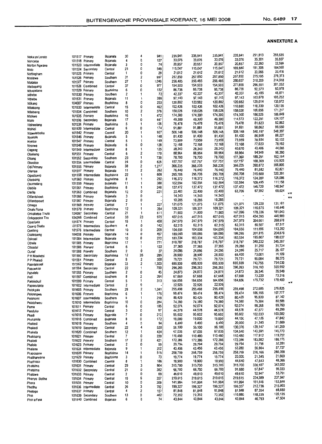| Noka ya Lorato       | 101517 Primary                      | Bojanala             | 30             | 4                       | 941       | 235,941          | 235,941          | 235,941          | 235.941           | 251,813           | 255,635           |
|----------------------|-------------------------------------|----------------------|----------------|-------------------------|-----------|------------------|------------------|------------------|-------------------|-------------------|-------------------|
| Nonceba              | 101518 Primary                      | Bojanala             | 4              | 0                       | 127       | 33,076           | 33,076           | 33,076           | 33,076            | 35,301            | 35,837            |
|                      | 101523<br>Intermediate              | Bojanala             | 3              | 0                       | 74        | 20,857           | 20,857           | 20,857           | 20,857            | 22,260            | 22,598            |
| Norton Ngwane        |                                     |                      | 23             | 0                       | 548       | 115,047          | 115,047          | 115,047          | 169,880           | 181,308           | 184,060           |
| Noto                 | Secondary<br>101524                 | Central              |                |                         |           |                  |                  |                  |                   | 23,066            | 23,416            |
| Nottingham           | 101525 Primary                      | Central              | 1              | 0                       | 28        | 21,612           | 21,612           | 21,612           | 21,612            |                   |                   |
| Nozizwe              | 101526 Primary                      | Southem              | 31             | 2                       | 997       | 257,850          | 257,850          | 257,850          | 257,850           | 275,195           | 279,373           |
| Ntataise             | 101527<br>Primary                   | Southern             | 27             | 1                       | 1,046     | 256,485          | 256,485          | 256,485          | 290,657           | 310,209           | 314,918           |
|                      | Combined                            | Central              | 37             | 0                       | 977       | 154,503          | 154,503          | 154,503          | 277,859           | 296,551           | 301,052           |
| Ntebogang            | 101528                              |                      |                |                         |           |                  | 86,738           | 86,738           | 86,738            | 92,573            | 93,978            |
| Nthapelane           | 101529<br>Primary                   | Bophirima            | 6              | 0                       | 132       | 86,738           |                  |                  |                   |                   | 45,871            |
| Nthebe               | 101530 Primary                      | Southern             | 2              | 1                       | 72        | 42,337           | 42,337           | 42,337           | 42,337            | 45,185            |                   |
| Nthebe               | 101531<br>Primary                   | Bojanala             | 11             | 1                       | 386       | 97,143           | 97,143           | 97,143           | 97,143            | 103,678           | 105,252           |
|                      | 104007<br>Primary                   | Bophinma             | 8              | 0                       | 253       | 120,882          | 120,882          | 120,882          | 120,882           | 129,014           | 130,972           |
| Ntikang              |                                     |                      | 15             | 0                       | 462       | 102,426          | 102,426          | 102,426          | 110,880           | 118,339           | 120,135           |
| Ntlatsang            | 101533<br>Intermediate              | Central              |                |                         |           |                  |                  | 158,026          | 158,026           | 168.656           | 171,217           |
| Ntlatseng            | Combined<br>101534                  | Southern             | 10             | 2                       | 376       | 158,026          | 158,026          |                  |                   |                   | 188,849           |
| Ntokwe               | 101535<br>Primary                   | Bophinma             | 16             | 1                       | 472       | 174,300          | 174,300          | 174,300          | 174,300           | 186,025           |                   |
| Ntolo                | 101536<br>Secondary                 | Bojanala             | 17             | 0                       | 447       | 49,300           | 49,300           | 49,300           | 114,573           | 122,281           | 124,137           |
| Ntsheelang           | 101538<br>Primary                   | Bophirima            | 5              | 1                       | 136       | 76,478           | 76,478           | 76,478           | 76,478            | 81,623            | 82,862            |
|                      |                                     |                      | 6              | 0                       | 174       | 91,881           | 91,881           | 91,881           | 91,881            | 98,062            | 99,550            |
| Ntshidi              | 101539 Intermediate                 | Central              |                |                         |           |                  | 506.148          | 506,148          | 506,148           | 540,197           | 548,397           |
| Ntsweletsoku         | 101542<br>Primary                   | Central              | 20             | 1                       | 927       | 506,148          |                  |                  |                   |                   | 88,227            |
| Nyakale              | 101546<br>Primary                   | Bojanala             | 5              | 1                       | 148       | 81,430           | 81,430           | 81,430           | 81,430            | 86,908            |                   |
| Nyetse               | 101547<br>Primary                   | Central              | 5              | -1                      | 149       | 73,959           | 73,959           | 73,959           | 73,959            | 78,934            | 80,132            |
| Nyorwe               | Primary<br>101548                   | Bojanala             | 6              | 0                       | 128       | 72,168           | 72,168           | 72,168           | 72,168            | 77,023            | 78,192            |
|                      |                                     | Central              | 8              | 1                       | 125       | 28,343           | 28,343           | 28,343           | 40,670            | 43,406            | 44,065            |
| Oageng               | 101549<br>Intermediate              |                      |                |                         |           |                  | 88,964           | 88,964           | 88,964            | 94,949            | 96,390            |
| Obakeng              | Primary<br>101551                   | Central              | 6              | 2                       | 170       | 88,964           |                  |                  |                   |                   | 192,164           |
| Obang                | 101552<br>Secondary                 | Southern             | 23             | 1                       | 739       | 78,700           | 78,700           | 78,700           | 177,360           | 189,291           |                   |
| Obusitse             | 101554<br>Intermediate              | Central              | 24             | 0                       | 628       | 157,757          | 157,757          | 157,757          | 157,757           | 168,369           | 170,925           |
| Odi Primary          | Primary<br>101555                   | Bojanala             | 38             | 2                       | 1,277     | 366,235          | 366,235          | 366.235          | 366,235           | 390,872           | 396,805           |
|                      |                                     |                      | 11             | 2                       | 262       | 76,440           | 76,440           | 76,440           | 76,440            | 81,582            | 82,821            |
| Ofentse              | 101557<br>Primary                   | Bojanala             |                |                         |           |                  |                  |                  | 295,708           | 315,600           | 320,391           |
| Ogodiseng            | 101558<br>Intermediate              | Bophirima            | 22             | 1                       | 608       | 295,708          | 295,708          | 295,708          |                   |                   |                   |
| Oketsang             | 101560<br>Primary                   | Bophirima            | 8              | 1                       | 292       | 116,372          | 116,372          | 116,372          | 116,372           | 124,200           | 126,086           |
| Okomelang            | 101559 Primary                      | Bojanala             | 11             | 1                       | 388       | 102,594          | 102,594          | 102,594          | 102,594           | 109,495           | 111,158           |
|                      | 101561 Primary                      |                      | 8              | 1                       | 248       | 137,472          | 137,472          | 137,472          | 137,472           | 146,720           | 148,947           |
| Olebile              |                                     | Bophirima            |                |                         |           |                  |                  |                  | 63,706            | 67,992            | 69,024            |
| Olefile              | 101563<br>Combined                  | Bojanala             | 12             | 0                       | 221       | 22,400           | 22,400           | 22,400           |                   |                   | 77                |
| Olifantshoek         | Primary<br>101566                   | Bojanala             | 3              | 0                       |           | 14,343           | 14,343           | 14,343           |                   |                   | $\pi\pi$          |
| Olifantspoort        | 101567<br>Primary                   | Bojanala             | $\overline{2}$ | 0                       |           | 10,285           | 10,285           | 10,285           |                   |                   |                   |
|                      | 101569<br>Primary                   | Central              | $\overline{7}$ | 1                       | 227       | 121,075          | 121,075          | 121,075          | 121,075           | 129,220           | 131,181           |
| Omega                |                                     |                      |                | 1                       | 394       | 109,321          | 109,321          | 109,321          | 109,321           | 116,675           | 118,446           |
| Onale Rona           | 101570 Primary                      | Bophirima            | 12             |                         |           |                  |                  |                  |                   |                   | 181,043           |
| Onkabetse Thuto      | 104097<br>Secondary                 | Central              | 21             | 1                       | 611       | 71,900           | 71,900           | 71,900           | 167,096           | 178,336           |                   |
| Onkgopotse Tiro      | 104266<br>Combined                  | Central              | 33             | 23                      | 975       | 407,015          | 407,015          | 407,015          | 407,015           | 434,395           | 440,989           |
| Opadiatla            | 101574 Primary                      | Central              | 15             | -1                      | 458       | 247,979          | 247,979          | 247,979          | 247,979           | 264,661           | 268,678           |
|                      | 101575 Intermediate                 | Southern             | 4              | 0                       | 142       | 62,315           | 62,315           | 62,315           | 62,315            | 66,507            | 67,517            |
| Opang Diatla         |                                     |                      |                | 0                       | 209       | 104,656          | 104,656          | 104,656          | 104,656           | 111,696           | 113,392           |
| Opelang              | 101576<br>Intermediate              | Central              | 10             |                         |           |                  |                  |                  |                   | 201,815           | 204,879           |
| Osaletseng           | 104038<br>Primary                   | Bojanala             | 14             | 0                       | 457       | 189,095          | 189,095          | 189,095          | 189,095           |                   |                   |
| Oskraal              | 101584<br>Intermediate              | Bojanala             | 10             | 0                       | 272       | 183,334          | 183,334          | 183,334          | 183,334           | 195,667           | 198,637           |
| Othaile              | 101585<br>Primary                   | Bophirima            | 17             | 1                       | 771       | 318,787          | 318,787          | 318,787          | 318,787           | 340,232           | 345,397           |
|                      |                                     |                      | 6              | 1                       | 122       | 27,365           | 27,365           | 27,365           | 29,280            | 31,250            | 31,724            |
| Ottosdal             | 101586<br>Primary                   | Central              |                |                         |           |                  |                  |                  | 24,096            | 25,717            | 26,107            |
| Ourief               | 101588<br>Primary                   | Southern             | 2              | 0                       | 37        | 24,096           | 24,096           | 24,096           |                   |                   |                   |
| P H Moeketsi         | 101590<br>Secondary                 | Bophinma             | 12             | 35                      | 285       | 28,900           | 28,900           | 28,900           | 68,400            | 73,001            | 74,109            |
| P P Phaladi          | Primary<br>101591                   | Central              | 8              | $\overline{\mathbf{2}}$ | 300       | 79,721           | 79,721           | 79,721           | 79,721            | 85,084            | 86,375            |
| Paardekraal          | 101592<br>Primary                   | Bojanala             | 33             | 2                       | 1,303     | 695,939          | 695,939          | 695,939          | 695,939           | 742,755           | 754,030           |
|                      |                                     |                      |                | 1                       | 700       | 296,263          | 296,263          | 296,263          | 296,263           | 316,193           | 320,992           |
| Paauwkop             | 101594<br>Secondary                 | Central              | 22             |                         |           |                  |                  |                  |                   |                   | 26,949            |
| Pabalelo             | 101595<br>Primary                   | Southern             | 2              | 0                       | 45        | 24,873           | 24,873           | 24,873           | 24,873            | 26,546            |                   |
| Padi                 | 101597<br>Combined                  | Southern             | 8              | 2                       | 264       | 67,668           | 67,668           | 67,668           | 67,668            | 72,220            | 73,316            |
| Palmietkuil          | 101599<br>Primary                   | Central              | 5              | 1                       | 313       | 164,656          | 164,656          | 164,656          | 164,656           | 175,732           | 178,400           |
|                      | 101602<br>Intermediate              | Central              | 2              | 0                       |           | 22,926           | 22,926           | 22,926           |                   |                   | 77                |
| Papiesvlakte         |                                     |                      |                |                         |           |                  | 255,498          | 255,498          | 255.498           | 272,685           | 276,825           |
| Pelokgale            | 101605<br>Primary                   | Southern             | 29             | 2                       | 1,041     | 255,498          |                  |                  |                   |                   |                   |
| Pelonngwe            | 101606<br>Primary                   | Bophirima            | 6              | 1                       | 176       | 99,474           | 99,474           | 99,474           | 99,474            | 106,166           | 107,777           |
| Pelonomi             | 101607 Intermediate                 | Southern             | 5              | $\mathbf{1}$            | 218       | 80,429           | 80,429           | 80,429           | 80,429            | 85,839            | 87,142            |
| Pelotshweu           | 101610 Intermediate                 | Bophirima            | 10             | 0                       | 284       | 74,380           | 74,380           | 74,380           | 74.380            | 79,384            | 80,589            |
|                      | 101611 Primary                      | Central              | 6              | 0                       | 185       | 92,074           | 92,074           | 92,074           | 92,074            | 98,268            | 99,760            |
| Peme                 |                                     |                      |                |                         |           |                  |                  | 44,578           | 44,578            | 47,577            | 48,299            |
| Penduka              | 101612 Primary                      | Central              | 3              | 0                       | 87        | 44,578           | 44,578           |                  |                   |                   | 103,582           |
| Phadi                | 101615 Primary                      | Bojanala             | 7              | 0                       | 212       | 95,602           | 95,602           | 95,602           | 95,602            | 102,033           |                   |
| Phakamile            | 101616 Combined                     | Bojanala             | 8              | 0                       | 172       | 19,000           | 19,000           | 19,000           | 44,156            | 47,126            | 47,842            |
| Phakedi              | 101618 Primary                      | Southern             | 4              | 0                       | 94        | 6,400            | 6,400            | 6,400            | 20,000            | 21,345            | 21,669            |
| Phakedi              | 101619 Secondary                    | Central              | 22             | 4                       | 520       | 56,100           | 56,100           | 56,100           | 130,376           | 139,147           | 141,259           |
|                      |                                     |                      |                |                         |           |                  | 67,035           | 67,035           | 134,540           | 143,591           | 145,770           |
| Phakela              | 101620 Combined                     | Southern             | 12             | 1                       | 424       | 67,035           |                  |                  |                   |                   |                   |
| Phakisang            | 101621 Primary                      | Central              | 7              | 0                       | 220       | 110,480          | 110,480          | 110,480          | 110,480           | 117,912           | 119,702           |
| Phaladi              | 101622 Primary                      | Southern             | 17             | 2                       | 421       | 172,386          | 172,386          | 172,386          | 172,386           | 183,982           | 186,775           |
| Phalaio              | 101623 Primary                      | Central              | 2              | 0                       | 59        | 29,794           | 29,794           | 29,794           | 29,794            | 31,798            | 32,281            |
|                      | 101624 Intermediate                 | Bojanala             | 9              | 1                       | 222       | 43,456           | 43,456           | 43,456           | 53,280            | 56,864            | 57,727            |
| Phalane              |                                     |                      |                |                         |           |                  |                  |                  | 258,759           | 276,166           | 280,358           |
| Phaposane            | 101628 Primary                      | Bophinma             | 14             | 1                       | 519       | 258,759          | 258,759          | 258,759          |                   |                   |                   |
| Phatihanyane         | 101629 Primary                      | Bophinma             | 3              | 0                       | 73        | 19,774           | 19,774           | 19,774           | 20,000            | 21,345            | 21,669            |
| Phathoso             | 101630 Combined                     | Central              | 8              | 1                       | 186       | 18,900           | 18,900           | 18,900           | 44,640            | 47,643            | 48,366            |
| Phatsima             | 101631 Primary                      | Central              | 29             | 3                       | 904       | 315,700          | 315,700          | 315,700          | 315,700           | 336,937           | 342,052           |
|                      |                                     |                      |                |                         |           |                  | 66,700           | 66,700           | 91,680            | 97,847            | 99,333            |
| Phatsima             | 101632 Secondary                    | Central              | 21             | 0                       | 382       | 66,700           |                  |                  |                   |                   | 53,751            |
| Phatswe              |                                     |                      | 2              | 0                       | 69        | 49,610           | 49,610           | 49,610           | 49,610            | 52,947            |                   |
|                      | 101633 Primary                      | Central              |                |                         |           |                  |                  |                  |                   |                   |                   |
|                      | 101634 Primary                      | Central              | 10             | 6                       | 357       | 219,615          | 219,615          | 219,615          | 219,615           | 234,389           | 237,947           |
| Phenyo Botihe        |                                     |                      |                | 0                       |           |                  |                  |                  | 141,994           | 151,546           | 153,846           |
| Phera                | 101635 Primary                      | Central              | 10             |                         | 309       | 141,994          | 141,994          | 141,994          |                   |                   |                   |
| Phethu               | 101636 Intermediate                 | Central              | 26             | 3                       | 782       | 199,327          | 199,327          | 199,327          | 199,327           | 212,736           | 215,965           |
| Phetogo              | 101637 Primary                      | Central              | 4              | 2                       | 157       | 81,848           | 81,848           | 81,848           | 81,848            | 87,354            | 88,680            |
| Phin<br>Phiri a Feta | 101639 Secondary<br>101640 Combined | Southern<br>Bojanala | 13<br>6        | 0<br>0                  | 462<br>74 | 72,352<br>43,844 | 72,352<br>43,844 | 72,352<br>43,844 | 110,880<br>43,844 | 118,339<br>46,793 | 120,135<br>47,504 |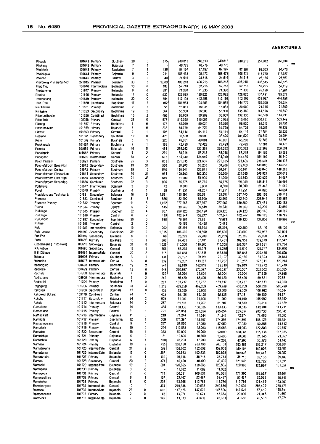| Phogole                  |                | 101641 Primary      | Southern             | 28             | 3              | 875        | 240,813          | 240,813          | 240,813          | 240,813          | 257,012          | 260,914          | 77                                              |
|--------------------------|----------------|---------------------|----------------------|----------------|----------------|------------|------------------|------------------|------------------|------------------|------------------|------------------|-------------------------------------------------|
| Phokeng                  |                | 101642 Primary      | Bojanala             | 7              | 1              |            | 48,776           | 48,776           | 48,776           |                  |                  |                  |                                                 |
| Photoholo                |                | 101643 Primary      | Bophirima            | 7              | 1              | 136        | 87,197           | 87,197           | 87,197           | 87,197           | 93.063           | 94.476           |                                                 |
| Pholokgolo               |                | 101644 Primary      | Bojanala             | 9              | O              | 211        | 108,473          | 108,473          | 108,473          | 108,473          | 115,770          | 117,527          |                                                 |
| Pholoso                  |                | 101645 Primary      | Central              | 3              | 0              | 40         | 24,516           | 24,516           | 24,516           | 24,516           | 26,165           | 26,562           |                                                 |
| Phororong Primary School |                | 271015 Primary      | Southern             | 33             | 5              | 1,080      | 406.218          | 406,218          | 406,218          | 406,218          | 433,545          | 440,126          |                                                 |
| Photi Tlou               | 101646         | Intermediate        | Bojanala             | 10             | 0              | 183        | 52,718           | 52,718           | 52,718           | 52,718           | 56,265           | 57,119           |                                                 |
| Photsaneng               |                | 101647 Primary      | Bojanala             | 9              | 0              | 291        | 71,330           | 71,330           | 71,330           | 71,330           | 76,128           | 77,284           |                                                 |
|                          |                |                     |                      |                |                |            |                  |                  |                  | 128,825          | 137,491          | 139,578          |                                                 |
| Phutha                   |                | 101648 Primary      | Bojanala             | 14             | 0              | 530        | 128.825          | 128,825          | 128,825          |                  |                  |                  |                                                 |
| Phuthanang               |                | 101649 Primary      | Bojanala             | 20             | 0              | 594        | 412.198          | 412,198          | 412,198          | 412,198          | 439.927          | 446,605          |                                                 |
| Pica Pau                 |                | 101650 Combined     | Bophinma             | 17             | 2              | 462        | 104,953          | 104,953          | 104,953          | 144,770          | 154,509          | 156,854          |                                                 |
| <b>Piet Plessis</b>      |                | 101651 Primary      | Bophirima            | 2              | 2              | 55         | 15.031           | 15,031           | 15,031           | 20,000           | 21,345           | 21,669           |                                                 |
| Pinagare                 |                | 101653 Secondary    | Bophinma             | 19             | 2              | 564        | 56,900           | 56,900           | 56,900           | 135,360          | 144,466          | 146,659          |                                                 |
| Pitso Letthogile         |                | 101656 Combined     | Bophirima            | 15             | 2              | 402        | 88,909           | 88,909           | 88,909           | 137,330          | 146,568          | 148,793          |                                                 |
| Pitso Tolo               | 105056         | Primary             | Central              | 23             | 0              | <b>B73</b> | 516,065          | 516,065          | 516,065          | 516,065          | 550,781          | 559,142          |                                                 |
| Pilsong                  | 101657 Primary |                     | <b>Bophirima</b>     | 8              | 0              | 173        | 89,020           | 89,020           | 89,020           | 89,020           | 95,008           | 96,451           |                                                 |
| Platinum Mine            | 101659 Primary |                     | Bojanala             | 8              | 0              | 238        | 64,729           | 64,729           | 64,729           | 64,729           | 69,083           | 70,132           |                                                 |
| Platvlei                 | 101660 Primary |                     | Central              | 2              | 1              | 105        | 54,114           | 54,114           | 54,114           | 54,114           | 57,754           | 58.631           |                                                 |
| Poelano                  | 101661         | Secondary           | Southern             | 12             | 0              | 423        | 38,500           | 38,500           | 38,500           | 101,520          | 108,349          | 109,994          |                                                 |
|                          |                |                     | Bojanala             | 5              | 1              | 220        | 49,081           | 49,081           | 49,081           | 68,200           | 72,788           | 73,893           |                                                 |
| Poifo                    | 101662 Primary |                     |                      | 7              | 1              |            |                  |                  |                  | 72,429           | 77,301           | 78,475           |                                                 |
| Polokoatsile             | 101664 Primary |                     | Bophinma             |                |                | 183        | 72,429           | 72.429           | 72,429           |                  |                  |                  |                                                 |
| Polonia                  | 101665 Primary |                     | Bojanala             | 16             | 0              | 461        | 236,362          | 236,362          | 236.362          | 236,362          | 252,262          | 256,091          |                                                 |
| Ponelopele               | 101667 Primary |                     | Central              | 9              | $\overline{2}$ | 239        | 88,218           | 88,218           | 88,218           | 88,218           | 94,152           | 95,582           |                                                 |
| Popagano                 |                | 101669 Intermediate | Central              | 18             | 2              | 602        | 134,940          | 134,940          | 134,940          | 144,480          | 154,199          | 156,540          |                                                 |
| Potch Primary            | 103621         | Primary             | Southern             | 25             | 3              | 853        | 221,635          | 221,635          | 221,635          | 221,635          | 236,544          | 240,135          |                                                 |
| Potchefstroom Boys High  |                | 101672 Secondary    | Southern             | 19             | 31             | 550        | 58,200           | 58,200           | 58,200           | 132,000          | 140,880          | 143,018          |                                                 |
| Potchefstroom Central    | 101673         | Primary             | Southern             | 19             | 16             | 540        | 136,841          | 136,841          | 136,841          | 136,841          | 146,046          | 148,263          |                                                 |
| Potchefstroom Gimnasium  | 101674         | Secondary           | Southern             | 40             | 21             | 964        | 100,300          | 100,300          | 100,300          | 231,360          | 246,924          | 250,672          |                                                 |
| Potchefstroom Girls High | 101675         | Secondary           | Southern             | 21             | 33             | 519        | 51,900           | 51,900           | 51,900           | 124,560          | 132,939          | 134,957          |                                                 |
| Potchefstroom Secondary  | 101676         | Combined            | Southern             | 22             | 3              | 896        | 65,775           | 65,775           | 65,775           | 139,059          | 148,413          | 150.666          |                                                 |
|                          |                |                     |                      |                | 0              |            |                  |                  |                  | 20,000           | 21,345           | 21,669           |                                                 |
| Pollakang                | 101677         | Intermediate        | Bojanala             | 3              |                | 72         | 8,800            | 8,800            | 8,800            |                  |                  |                  |                                                 |
| Poval                    | 101679         | Primary             | Bophinma             | 4              | 1              | 88         | 41,251           | 41,251           | 41,251           | 41,251           | 44,026           | 44,694           |                                                 |
| Pres Mangope Technical & | 101681         | Secondary           | Bojanala             | 40             | B              | 1,531      | 155,591          | 155,591          | 155,591          | 367,440          | 392,158          | 398,111          |                                                 |
| Promosa                  | 101683         | Combined            | Southern             | 31             | 15             | 886        | 82,900           | 82,900           | 82,900           | 212,640          | 226,944          | 230,389          |                                                 |
| Promosa Primary          | 101682 Primary |                     | Southern             | 41             | 5              | 1,462      | 277,967          | 277,967          | 277,967          | 350,880          | 374,484          | 380,168          |                                                 |
| Puana                    | 101684 Primary |                     | Central              | 5              | 2              | 145        | 39.549           | 39,549           | 39,549           | 39,549           | 42,209           | 42,850           |                                                 |
| Pudulogo                 | 101685         | Primary             | Southern             | 32             | 4              | 957        | 268,128          | 268,128          | 268,128          | 268.128          | 286,165          | 290,509          |                                                 |
| Pudulogo                 | 101686         | Primary             | Central              | 6              | 2              | 195        | 102,247          | 102,247          | 102,247          | 102,247          | 109,125          | 110,782          |                                                 |
| Pudumong                 | 101687         | Secondary           | Bophinma             | 20             | 0              | 538        | 75,561           | 75,561           | 75,561           | 129,120          | 137,806          | 139,898          |                                                 |
| Pulane                   | 101688         | Primary             | Central              | 2              | 0              |            | 10,455           | 10,455           | 10,455           |                  |                  |                  | $x \times$                                      |
| Pule                     | 101689         | Intermediate        | Bojanala             | 10             | $\Omega$       | 262        | 55,394           | 55,394           | 55,394           | 62,880           | 67,110           | 68,129           |                                                 |
|                          | 101690         |                     |                      | 39             | 2              | 1,015      |                  | 108,500          | 108,500          | 243,600          | 259,987          | 263,934          |                                                 |
| Pule Leeuw               |                | Secondary           | Bophirima            |                | 0              |            | 108,500          |                  |                  |                  |                  |                  |                                                 |
| Puo Pha                  |                | 101692 Secondary    | <b>Bojanala</b>      | 6              |                | 69         | 25,289           | 25,289           | 25,289           | 25,289           | 26,990           | 27,400           |                                                 |
| Puso                     | 101693 Primary |                     | Bojanala             | 10             | 1              | 362        | 87,481           | 87,481           | 87,481           | 102,953          | 109,879          | 111,547          |                                                 |
| Qobosheane (Thuto-Pele)  |                | 103615 Secondary    | Bojanala             | 31             | 0              | 1.025      | 110,300          | 110,300          | 110,300          | 256,337          | 273,581          | 277,734          |                                                 |
| R A Kobue                | 101695         | Secondary           | Central              | 15             | 1              | 356        | 65,275           | 65,275           | 65,275           | 115,010          | 122,747          | 124,610          |                                                 |
| R B Dithupe              | 101694         | Intermediate        | Central              | 20             | 2              | 715        | 187,848          | 187,848          | 187,848          | 187,848          | 200,485          | 203,528          |                                                 |
| Rabana                   | 101696 Primary |                     | Southern             | 3              | 1              | 134        | 29,197           | 29,197           | 29,197           | 32,160           | 34,323           | 34,844           |                                                 |
| Rabodiba                 |                | 101697 Intermediate | Central              | 8              | 0              | 232        | 119,287          | 119,287          | 119,287          | 119,287          | 127,311          | 129,244          |                                                 |
| Rabodinelo               | 101698         | Primary             | Bophinma             | 19             | 2              | 544        | 162,819          | 162,819          | 162,819          | 162.819          | 173,772          | 176,410          |                                                 |
| Rabotsile                | 101699 Primary |                     | Central              | 13             | 0              | 448        | 236,587          | 236.587          | 236,587          | 236,587          | 252,502          | 256,335          |                                                 |
| Rachele                  |                | 101700 Intermediate | Bojanala             | 7              | 0              | 139        | 35,004           | 35,004           | 35,004           | 35,004           | 37,359           | 37,926           |                                                 |
| Raditshane               | 103605         | Intermediate        | Bophinma             | 9              | $\overline{2}$ | 242        | 65,420           | 65,420           | 65,420           | 65,420           | 69,821           | 70,881           |                                                 |
|                          |                |                     |                      | $\overline{7}$ | 0              |            |                  |                  |                  |                  | 142,733          | 144,900          |                                                 |
| Raditshidi               | 101704         | Primary             | Bophirima            |                |                | 263        | 133,737          | 133,737          | 133,737          | 133,737          |                  |                  |                                                 |
| Ragogang                 | 101706         | Primary             | Southern             | 34             | 4              | 1,213      | 469,259          | 469,259          | 469,259          | 469,259          | 500,826          | 508,429          |                                                 |
| Rakgatla                 |                | 101708 Secondary    | Bojanala             | 12             | 0              | 425        | 33,000           | 33,000           | 33,000           | 102,000          | 108,862          | 110,514          |                                                 |
| Rakgwedi Bokang          | 100170         | Combined            | Central              | 24             | 1              | 623        | 85,125           | 85,125           | 85,125           | 177,181          | 189,100          | 191,971          |                                                 |
| Rakoko                   |                | 101711 Secondary    | Bojanala             | 24             | 2              | 609        | 71,900           | 71,900           | 71,900           | 146,160          | 155,992          | 158,360          |                                                 |
| Rakoto                   |                | 101712 intermediate | Bojanala             | 14             | 0              | 287        | 61,707           | 61,707           | 61,707           | 68,880           | 73,514           | 74,629           |                                                 |
| Ramabesa                 | 101714 Primary |                     | Central              | 14             | 1              | 484        | 130,336          | 130,336          | 130,336          | 130,336          | 139,104          | 141,215          |                                                 |
| Ramadiane                | 101715 Primary |                     | Central              | 21             | 1              | 721        | 265,854          | 265,854          | 265,854          | 265,854          | 283,738          | 288,045          |                                                 |
| Ramadikela               |                | 101716 Intermediate | Bojanaia             | 11             | 0              | 219        | 71,244           | 71,244           | 71,244           | 72,974           | 77,883           | 79,065           |                                                 |
| Ramadile                 | 101717 Primary |                     | Bophirima            | 12             | 1              | 360        | 174,397          | 174,397          | 174,397          | 174.397          | 186,129          | 188,954          |                                                 |
| Ramadingwana             | 101718 Primary |                     | Central              | 9              | 1              | 217        | 57,050           | 57,050           | 57,050           | 57,050           | 60,888           | 61,812           |                                                 |
| Ramaifala                | 101719 Primary |                     | Bojanala             | 10             | 1              | 224        | 115,063          | 115,063          | 115,063          | 115,063          | 122,803          | 124,667          |                                                 |
| Ramaine                  |                | 101720 Secondary    | Central              | 19             | 1              | 363        | 50,000           | 50,000           | 50,000           | 108,066          | 115,336          | 117,086          |                                                 |
|                          |                |                     |                      |                |                |            |                  |                  |                  |                  |                  |                  |                                                 |
| Ramalebya                | 101721 Primary |                     | Bojanala             | 5              | 0              | 31         | 10,600           | 10,600           | 10,600           | 20,000           | 21,345           | 21,669           |                                                 |
| Ramashita                | 101723 Primary |                     | Bojanala             | 6              | 1              | 180        | 47,203           | 47,203           | 47,203           | 47,203           | 50,378           | 51,143           |                                                 |
| Ramatla                  | 101724 Primary |                     | Bojanala             | 18             | 2              | 498        | 283,168          | 283,168          | 283,168          | 283,168          | 302,217          | 306,804          |                                                 |
| Ramatlakana              |                | 101725 Intermediate | Central              | 21             | 2              | 582        | 152,602          | 152,602          | 152,602          | 159,194          | 169,903          | 172,482          |                                                 |
| Ramatlama                |                | 101726 Intermediate | Bojanala             | 13             | 0              | 387        | 100,833          | 100,833          | 100,833          | 100,833          | 107,616          | 109,250          |                                                 |
| Ramatshaba               | 101727 Primary |                     | Bojanala             | 4              | 1              | 132        | 36,718           | 36,718           | 36,718           | 36,718           | 39,188           | 39,783           |                                                 |
| Ramatu                   |                | 101728 Secondary    | Central              | 20             | 2              | 474        | 40,400           | 40,400           | 40,400           | 121,545          | 129,722          | 131,691          |                                                 |
| Ramoabi                  |                | 101729 Intermediate | Bojanala             | 19             | 2              | 504        | 120,865          | 120,865          | 120,865          | 120,960          | 129,097          | 131,057          |                                                 |
| Ramogatla                | 101730 Primary |                     | Bojanala             | 3              | 0              |            | 11,082           | 11,082           | 11,082           |                  |                  |                  | $\overline{\mathbf{x}}$ $\overline{\mathbf{x}}$ |
| Ramogopa                 | 101731 Primary |                     | Central              | 7              | 0              | 714        | 106,531          | 106,531          | 106,531          | 171,360          | 182,887          | 185,664          |                                                 |
| Ramokgethwa              | 101732 Primary |                     | Central              | 6              | 1              | 157        | 52,467           | 52,467           | 52,467           | 52,467           | 55,996           | 56,846           |                                                 |
| R <b>amok</b> oka        | 101733 Primary |                     | Bojanala             | 8              | O              | 203        | 113,766          | 113,766          | 113,766          | 113,766          | 121,419          | 123,262          |                                                 |
| Ramokonyane              |                |                     |                      |                |                |            |                  |                  |                  |                  |                  |                  |                                                 |
|                          |                |                     |                      |                |                |            |                  |                  |                  |                  |                  |                  |                                                 |
|                          |                | 101734 Intermediate | Central              | 19             | 1              | 474        | 249,636          | 249,636          | 249,636          | 249,636          | 266,429          | 270,473          |                                                 |
| Ramono                   |                | 101736 Intermediate | Bojanala             | 22             | 0              | 502        | 147,526          | 147,526          | 147,526          | 147,526          | 157,450          | 159,840          |                                                 |
| Ramonotwana<br>Ramoroko  | 101737 Primary | 101738 Intermediate | Bojanala<br>Bojanala | 2<br>7         | 0<br>o         | 42<br>142  | 13,674<br>43,633 | 13,674<br>43,633 | 13,674<br>43,633 | 20,000<br>43,633 | 21,345<br>46,568 | 21,669<br>47,275 |                                                 |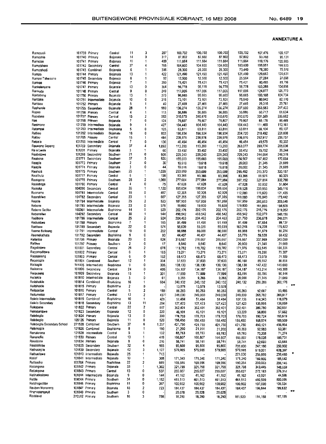| Ramosadi                    |                  | 101739 Primary       | Central              | 11                       | 3              | 207   | 100,702           | 100,702           | 100,702       | 100,702  | 107,476 | 109.107      |
|-----------------------------|------------------|----------------------|----------------------|--------------------------|----------------|-------|-------------------|-------------------|---------------|----------|---------|--------------|
| Ramoshie                    |                  | 101740 Primary       | Bojanala             | 14                       | 0              | 317   | 87,802            | 87,802            | 87,802        | 87,802   | 93,708  | 95.131       |
| Ramotse                     |                  | 101741 Primary       | Bojanala             | 11                       | 1              | 409   | 111,664           | 111,664           | 111,664       | 111,664  | 119,176 | 120,985      |
| Ramotshere                  |                  | 101742 Secondary     | Central              | 37                       | 4              | 765   | 104,600           | 104.600           | 104,600       | 183,600  | 195,951 | 198.925      |
| Ramotshodi                  |                  | 101743 Combined      | Bojanala             | 6                        | 1              | 306   | 28,300            | 28,300            | 28,300        | 73,440   | 78,380  | 79,570       |
| Rampa                       |                  | 101744 Primary       | Bojanala             | 13                       | 1              | 422   | 121,490           | 121,490           | 121,490       | 121,490  | 129,663 | 131,631      |
| Rampei Tshwaane             |                  | 101745 Secondary     | Bojanala             | 6                        | 1              | 92    | 12,500            | 12,500            | 12,500        | 25,564   | 27,284  | 27,698       |
| Rankae                      |                  | 101746 Primary       | Bojanaia             | 7                        | 1              | 250   | 75,421            | 75,421            | 75,421        | 75,421   | 80,495  | 81,716       |
| Rankelenyane                |                  | 101747 Primary       | Bojanala             | 13                       | 0              | 364   | 96,778            | 96,778            | 96,778        | 96,77B   | 103,288 | 104,856      |
| Rankudu                     | 101748           | Primary              | Central              | 9                        | 0              | 249   | 117,006           | 117,006           | 117,006       | 117,006  | 124,877 | 126,773      |
| Rantebeng                   | 101750           | Primary              | Bojanala             | 13                       | 1              | 273   | 96,665            | 96,665            | 96,665        | 96,665   | 103,168 | 104,734      |
|                             |                  |                      |                      | 10                       | 0              | 316   | 73,101            | 73,101            | 73,101        | 75,840   | 80,942  | 82,170       |
| Rantlaka                    | 101751           | Intermediate         | Bojanala             |                          | 1              |       |                   |                   |               |          |         | 29,761       |
| Rantsou                     | 101752           | Primary              | Bojanala             | 5                        |                | 40    | 27,469            | 27,469            | 27,469        | 27,469   | 29,316  |              |
| Raphurele                   | 101755           | Secondary            | Bojanala             | 28                       | ŧ              | 990   | 136,274           | 136,274           | 136,274       | 237,600  | 253,583 | 257,433      |
| Rapoo                       | 101756           | Primary              | Central              | 4                        | 1              | 113   | 56,886            | 56,886            | 56,886        | 56,886   | 60,713  | 61,634       |
| Rapulana                    | 101757           | Primary              | Central              | 15                       | 2              | 553   | 310,670           | 310,670           | 310,670       | 310,670  | 331,569 | 336,602      |
| Ras                         | 101758           | Primary              | Bojanala             | 7                        | 0              | 124   | 79,807            | 79,807            | 79,807        | 79,807   | 85,176  | 86,469       |
| Rasimone                    | 101759           | Intermediate         | Bojanala             | 9                        | 1              | 427   | 104,443           | 104,443           | 104,443       | 104,443  | 111,469 | 113,161      |
| Ratampai                    | 101760           | Intermediate         | Bophinma             | 5                        | 0              | 125   | 63,811            | 63,811            | 63,811        | 63,811   | 68,104  | 69,137       |
| Ratheo                      | 101762           | Intermediate         | Bojanala             | 18                       | 0              | 853   | 196,934           | 196,934           | 196,934       | 204,720  | 218,492 | 221,808      |
| Rallou                      | 101765           | Primary              | Central              | 15                       | 1              | 464   | 235,976           | 236,976           | 236,976       | 236,976  | 252,917 | 256,757      |
| Ratsola                     | 101766           | intermediate         | Central              | 7                        | 0              | 130   | 46,454            | 46,454            | 46,454        | 46,454   | 49,579  | 50,332       |
| Rauwane Sepeng              | 101769           | Secondary            | Bojanala             | 37                       | 4              | 1,092 | 113,200           | 113,200           | 113,200       | 263,077  | 280,774 | 285,036      |
|                             |                  |                      |                      | 3                        | 1              | 60    |                   |                   | 33,452        | 33,452   | 35,702  | 36,244       |
| Re e Lwele<br>Reabetswe     | 101201<br>104268 | Primary<br>Secondary | Bojanala<br>Southern | 21                       | 0              | 905   | 33,452<br>229,243 | 33,452<br>229,243 | 229,243       | 229,243  | 244,664 | 248,378      |
|                             |                  |                      |                      |                          |                |       |                   |                   |               |          |         |              |
| Reabona                     | 101771           | Secondary            | Southern             | 37                       | 5              | 920   | 155,003           | 155,003           | 155,003       | 156,907  | 167,462 | 170,004      |
| Reagile                     | 101773           | Primary              | Southern             | 2                        | 0              | 30    | 19,618            | 19,618            | 19,618        | 20,000   | 21,345  | 21,669       |
| Reagile                     | 101774           | Primary              | Bojanala             | з                        | 0              | 44    | 19,618            | 19,618            | 19,618        | 20,000   | 21,345  | 21,669       |
| Reahola                     | 101775           | Primary              | Southern             | 25                       | 1              | 1,039 | 253,699           | 253,699           | 253,699       | 295,492  | 315,370 | 320, 157     |
| Reaithuta                   | 101777           | Primary              | Central              | 6                        | 1              | 156   | 83.366            | 83,366            | <b>B3,366</b> | 83,366   | 88,974  | 90,325       |
| Reakgona                    | 101778           | Primary              | Southern             | 28                       | 2              | 1,068 | 277,084           | 277,084           | 277,084       | 307,152  | 327,814 | 332,790      |
| Realeboga                   |                  | 101780 Primary       | Central              | 4                        | 0              | 75    | 47.628            | 47,628            | 47,628        | 47,628   | 50.832  | 51,604       |
| Realeka                     |                  | 104096 Secondary     | Central              | 35                       | 1              | 1,120 | 199,634           | 199,634           | 199.634       | 318,528  | 339,955 | 345,116      |
| Reaname                     |                  | 101781 Intermediate  | Central              | 15                       | O              | 467   | 92,305            | 92,305            | 92,305        | 112,080  | 119,620 | 121,435      |
| Rearabilwe                  |                  | 101782 Secondary     | Central              | 23                       | 1              | 667   | 127,395           | 127,395           | 127,395       | 160,080  | 170,849 | 173,442      |
| Reatile                     |                  | 101784 Intermediate  |                      | 25                       | 2              | 523   | 187,959           | 187,959           |               | 187,959  | 200,603 | 203,648      |
|                             |                  |                      | Bojanala             |                          |                |       |                   |                   | 187,959       |          |         |              |
| Rebone                      |                  | 101785 Intermediate  | Bojanala             | 23                       | 0              | 578   | 19,600            | 19,600            | 19,600        | 179,BDO  | 191,895 | 194,808      |
| Rebone Sediba               |                  | 100361 Intermediate  | Bophirima            | 14                       | 0              | 529   | 202,176           | 202,176           | 202,176       | 202,176  | 215,776 | 219,052      |
| Reboneilwe                  |                  | 104292 Secondary     | Central              | 30                       | 1              | 944   | 498,542           | 498,542           | 498,542       | 498,542  | 532,079 | 540,156      |
| Redibone                    | 101786           | Intermediate         | Central              | 25                       | 2              | 924   | 204,463           | 204,463           | 204,463       | 221,760  | 236,678 | 240,271      |
| Reduetswe                   |                  | 101788 Primary       | Bophirima            | $\overline{\mathcal{L}}$ | ŧ              | 165   | 91,499            | 91,499            | 91,499        | 91,499   | 97,654  | 99,137       |
| Reebone                     | 101789           | Secondary            | Bojanala             | 22                       | 0              | 574   | 55,039            | 55,039            | 55,039        | 163,246  | 174,228 | 176,872      |
| Reeme Batloung              | 101791           | intermediate         | Central              | 10                       | 0              | 202   | 86,088            | 86,088            | 86,088        | 86,088   | 91,879  | 93,274       |
| Reemekathata                |                  | 101792 Secondary     | Bophinma             | 9                        | 0              | 80    | 44,407            | 44,407            | 44,407        | 55,776   | 59,528  | 60,432       |
| Refentse                    |                  | 101796 Primary       | Bojanala             | 20                       | O              | 624   | 316,667           | 316,667           | 316,667       | 316,667  | 337,969 | 343.099      |
| Refilwe                     |                  | 101797 Primary       | Southern             | 2                        | 0              | 17    | 8,640             | 8,640             | 8,640         | 20,000   | 21,345  | 21,669       |
| Regolotswe                  | 101801           | Secondary            | Central              | 26                       | 2              | 678   | 119,782           | 119,782           | 119,782       | 171,976  | 183,545 | 186,331      |
|                             |                  | 101802 Primary       |                      | 6                        | 1              | 183   |                   |                   |               |          |         | 79,387       |
| Regomoditswe                |                  |                      | Central              | 6                        | 0              |       | 73,271            | 73,271            | 73,271        | 73,271   | 78,200  |              |
| Regopoleng                  |                  | 101803 Primary       | Central              |                          |                | 152   | 68,473            | 68,473            | 68,473        | 68,473   | 73,079  | 74,189       |
| Regorogile                  |                  | 101804 Combined      | Southern             | 12                       | 1              | 334   | 37,633            | 37,633            | 37,633        | 80,160   | 85,552  | 86,851       |
| Reikagile                   |                  | 101805 Intermediate  | <b>Bophirima</b>     | 9                        | 0              | 335   | 138,130           | 138,130           | 138,130       | 138,130  | 147,422 | 149,660      |
| Reikanne                    |                  | 101806 Secondary     | Central              | 24                       | 0              | 405   | 134,187           | 134,187           | 134,187       | 134,187  | 143,214 | 145,388      |
| Reipuseng                   |                  | 101809 Secondary     | Bojanala             | 15                       | 1              | 331   | 77,999            | 77,999            | 77,999        | 83,199   | 88,796  | 90,144       |
| Reitekije                   | 101810           | Intermediate         | Bojanala             | 3                        | 0              | 61    | 9.265             | 9,265             | 9,265         | 20,000   | 21,345  | 21,669       |
| Reitshokile                 |                  | 101814 Combined      | Bophinma             | 16                       | 1              | 604   | 240,132           | 240,132           | 240,132       | 240, 132 | 256,286 | 260,176      |
| Reitshokile                 |                  | 101815 Primary       | Bophinma             | 2                        | 0              |       | 13,578            | 13,578            | 13,578        |          |         | $\mathbf{x}$ |
| Reitsositse                 |                  | 101816 Primary       | Central              | 5                        | 2              | 180   | 86,283            | 86,283            | 86,283        | 86,283   | 92,087  | 93,485       |
| Reitumetse                  |                  | 101817 Primary       | Central              | 13                       | 2              | 437   | 249.030           | 249,030           | 249.030       | 249,030  | 265,782 | 269,817      |
| Raivilo Intermediate        |                  | 101819 Combined      | Bophinma             | 10                       | 1              | 429   | 51,484            | 51.484            | 51,484        | 107,136  | 114,343 | 116,079      |
| Reivilo Secondary           |                  | 101818 Secondary     | Bophirima            | 13                       | 11             | 204   | 127,423           | 127,423           | 127,423       | 127,423  | 135,995 | 138,059      |
|                             |                  |                      |                      |                          | $\overline{c}$ |       |                   |                   |               |          |         |              |
| Rekopane                    |                  | 101822 Primary       | Cantral              | 22                       |                | 807   | 362,401           | 362,401           | 362,401       | 362,401  | 386,780 | 392,651      |
| Rekopantswe                 |                  | 101823 Secondary     | Bojanala             | 12                       | 0              | 220   | 46,101            | 46,101            | 46,101        | 53,220   | 56,800  | 57,662       |
| Relebogile                  |                  | 101824 Primary       | Bojanala             | 13                       | 0              | 390   | 178,703           | 178,703           | 178,703       | 178,703  | 190,724 | 193,619      |
| Relebogile                  |                  | 105126 Primary       | Bojanala             | 11                       | 0              | 520   | 156,450           | 156,450           | 156,450       | 156,450  | 166,974 | 169,509      |
| Relebogile Secondary School |                  | 271528 Combined      | Southern             | 37                       | 6              | 1,257 | 421,750           | 421,750           | 421,750       | 421,750  | 450,121 | 456,954      |
| Relemogile                  |                  | 101826 Combined      | Bophirima            | 8                        | 1              | 190   | 21,200            | 21,200            | 21,200        | 49,269   | 52,583  | 53,381       |
| Renalerona                  |                  | 101828 Intermediate  | Central              | 5                        | 1              | 132   | 65,783            | 65,783            | 65,783        | 65,783   | 70,208  | 71,274       |
| Renonofile                  | 101830 Primary   |                      | Central              | 13                       | 1              | 419   | 166,807           | 166,807           | 166,807       | 166,807  | 178,028 | 180,731      |
| Resebone                    | 101834 Primary   |                      | Bojanala             | В                        | 0              | 216   | 58,741            | 58,741            | 58,741        | 58,741   | 62,693  | 63,644       |
| Resolofetse                 |                  | 101835 Secondary     | Southern             | 32                       | 4              | 965   | 95,800            | 95,800            | 95,800        | 231,600  | 247,180 | 250,932      |
| Rethusegile                 |                  | 101839 Secondary     | Bojanala             | 42                       | 3              | 1,127 | 579,985           | 579,985           | 579,985       | 579,985  | 619,001 | 628,397      |
| Rethusitswe                 |                  | 101840 intermediate  | Bojanala             | 25                       | 1              | 713   |                   |                   |               | 221,030  | 235,899 | 239,480      |
| Retief                      |                  | 101841 Intermediate  |                      |                          | 1              |       |                   |                   |               |          |         |              |
|                             |                  |                      | Bojanala             | 10                       |                | 308   | 171,340           | 171,340           | 171,340       | 171,340  | 182,866 | 185,642      |
| Retlaadira                  | 101764 Primary   |                      | Bophirima            | 22                       | 2              | 669   | 169,596           | 169,596           | 169,596       | 190,264  | 203,063 | 206,146      |
| Retlakgona                  | 101842 Primary   |                      | Bojanala             | 33                       | 1              | 1,302 | 321,798           | 321,798           | 321,798       | 321,798  | 343,445 | 348,659      |
| Retlakgona                  | 101843 Primary   |                      | Central              | 13                       | 0              | 537   | 255,027           | 255,027           | 255,027       | 255,027  | 272,183 | 276,314      |
| Retihatiositswe             |                  | 101844 Intermediate  | Bojanala             | 9                        | 0              | 144   | 41,162            | 41,162            | 41,162        | 41,162   | 43,931  | 44,598       |
| Retlile                     | 104044 Primary   |                      | Southern             | 34                       | o              | 1,152 | 461,513           | 461,513           | 461,513       | 461,513  | 492,559 | 500,036      |
| Reishegeditse               | 101846 Primary   |                      | Bophirima            | 11                       | 0              | 357   | 100,902           | 100,902           | 100,902       | 100,902  | 107,690 | 109,324      |
| Reuben Monareng             | 101847 Primary   |                      | Bojanala             | 18                       | 2              | 723   | 184,437           | 184,437           | 184,437       | 184,437  | 196,844 | 199,832      |
| Rhenosterspruit             | 101848 Primary   |                      | Southern             | з                        | 0              |       | 25,628            | 25,628            | 25,628        |          |         | हत्न         |
| Rockland                    | 270512 Primary   |                      | Southern             | 16                       | 3              | 758   | 18,250            | 18,250            | 18,250        | 181,920  | 194,158 | 197,105      |
|                             |                  |                      |                      |                          |                |       |                   |                   |               |          |         |              |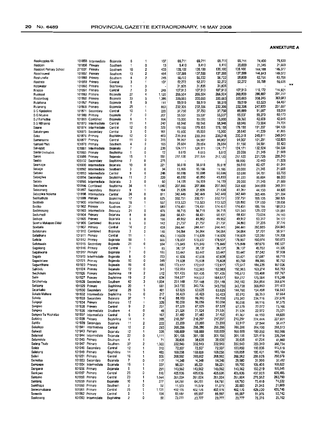$\overline{a}$ 

|                         |                |                     |                     |    |                         |       |         |         |         | 69,711  | 74,400  | 75,530                            |
|-------------------------|----------------|---------------------|---------------------|----|-------------------------|-------|---------|---------|---------|---------|---------|-----------------------------------|
| Rooikoppies 44          |                | 101855 Intermediate | Bojanala            | 6  | 1                       | 107   | 69,711  | 69,711  | 69,711  |         | 21,345  | 21,669                            |
| Rooipan                 | 101856         | Primary             | Southem             | 1  | 0                       | 13    | 9,410   | 9,410   | 9,410   | 20,000  |         |                                   |
| Rooiport Primary School | 271031         | Primary             | Southem             | 10 | 2                       | 433   | 135,100 | 135,100 | 135,100 | 135,100 | 144,188 | 146,377                           |
| Roosheuwel              | 101857         | Primary             | Southem             | 13 | 2                       | 484   | 137,588 | 137,588 | 137,588 | 137,588 | 146,843 | 149.072                           |
| Roshunville             | 101889         | Primary             | Southern            | 8  | 2                       | 245   | 56,722  | 56,722  | 56,722  | 58,800  | 62,755  | 63,708                            |
| Rostrata                |                | 101859 Primary      | Central             | 3  | 1                       | 107   | 52,272  | 52,272  | 52,272  | 52,272  | 55,788  | 56,635<br>$\overline{\mathbf{x}}$ |
| Rotswater               | 101860         | Primary             | Bophirima           | 1  | 0                       |       | 31,835  | 31,835  | 31,835  |         |         |                                   |
| Rrapoo                  | 101861         | Primary             | Central             | 7  | 0                       | 248   | 107,913 | 107,913 | 107,913 | 107,913 | 115,172 | 116,921                           |
| Ruskraal                | 101863         | Primary             | Bojanala            | 27 | 4                       | 1,120 | 266,504 | 266,504 | 266,504 | 268,800 | 286,882 | 291,237                           |
| Rustenburg              | 101865         | Primary             | Bojanala            | 33 | 5                       | 1,386 | 335,665 | 335,665 | 335,665 | 335,665 | 358,245 | 363,683                           |
| Rutabana                | 101867         | Primary             | Bojanala            | 6  | 0                       | 111   | 59,519  | 59,519  | 59,519  | 59,519  | 63,523  | 64,487                            |
| Rutanang                |                | 101868 Primary      | Bojanala            | 25 | 1                       | 863   | 232,306 | 232,306 | 232,306 | 232,306 | 247,933 | 251,697                           |
| S C Kgobokoe            | 101871         |                     | Central             | 10 | 1                       | 220   | 37,750  | 37,750  | 37,750  | 85,889  | 91,667  | 93,058                            |
|                         |                | Secondary           |                     | 7  | 0                       | 207   |         | 55,537  | 55,537  | 55,537  | 59,273  | 60,173                            |
| S G Ntuane              |                | 101988 Primary      | Bojanala            |    |                         |       | 55,537  |         |         |         |         | 42,645                            |
| S J Ramutioa            | 101869         | Combined            | Bojanala            | 6  | 1                       | 164   | 15,000  | 15,000  | 15,000  | 39,360  | 42,008  |                                   |
| S S Nuhaeng             | 101870         | Intermediate        | Central             | 11 | 1                       | 242   | 68,946  | 68,946  | 68,946  | 68,946  | 73,584  | 74,701                            |
| Saane                   | 101874         | Intermediate        | Central             | 12 | 0                       | 329   | 179.155 | 179,155 | 179,155 | 179,155 | 191,207 | 194,109                           |
| Sakalengwe              | 101875         | Secondary           | Central             | 3  | 0                       | 161   | 15,900  | 15,900  | 15,900  | 38,640  | 41,239  | 41,865                            |
| Saku                    | 101876         | Primary             | Bophinma            | 12 | 0                       | 463   | 230.318 | 230.318 | 230,318 | 230,318 | 245,811 | 249,543                           |
| Samenyane               | 101877         | Primary             | Central             | 11 | 0                       | 319   | 94,907  | 94,907  | 94,907  | 94,907  | 101,291 | 102,829                           |
| Samuel Phin             | 101878         | Primary             | Southem             | 4  | 0                       | 165   | 28,654  | 28,654  | 28,654  | 51,150  | 54,591  | 55,420                            |
| Sanddrift               | 101881         | Intermediate        | Bojanala            | 7  | 2                       | 239   | 124,171 | 124,171 | 124,171 | 124,171 | 132,524 | 134,536                           |
| Santa Gertrudes         | 101885         | Primary             | Bophirima           | 1  | 0                       | 12    | 8,615   | 8,615   | 8,615   | 20,000  | 21,345  | 21,669                            |
| Saron                   | 101886         | Primary             | Bojanala            | 15 | 1                       | 551   | 217,120 | 217,120 | 217,120 | 217,120 | 231,726 | 235,243                           |
| Seabo                   | 105132         | Secondary           | Bophirima           | 7  | 0                       | 275   |         |         |         | 66,000  | 70,440  | 71,509                            |
| Seamoge                 |                | 101890 intermediate | Bojanala            | 10 | 0                       | 221   | 56,618  | 56,618  | 56,618  | 56,618  | 60,427  | 61,344                            |
|                         |                | 101892 Intermediate | Southern            | 3  | 0                       | 34    | 15,166  | 15,166  | 15,166  | 20,000  | 21,345  | 21,669                            |
| Sebage                  |                |                     |                     | 9  | 0                       |       |         |         |         |         | 64,781  | 65,765                            |
| Sebako                  | 101893         | Intermediate        | Central             |    |                         | 246   | 60,698  | 60,698  | 60,698  | 60,698  |         | 88,000                            |
| Sebegilwe               |                | 101894 Secondary    | Bophirima           | 11 | 2                       | 220   | 45,850  | 45,850  | 45,850  | 81,220  | 86,684  |                                   |
| Sebele                  |                | 101895 Intermediate | Bojanala            | 3  | 0                       | 60    | 14,159  | 14,159  | 14,159  | 20,000  | 21,345  | 21,669                            |
| Sebatwane               | 101896         | Combined            | Bophinma            | 34 | 1                       | 1,040 | 207,866 | 207.866 | 207,866 | 322,400 | 344,088 | 349,311                           |
| Seboaneng               | 101897         | Secondary           | Bojanala            | 9  | 1                       | 164   | 21,639  | 21,639  | 21,639  | 41,367  | 44,150  | 44,820                            |
| Sebopiwa Molema         | 101898         | Intermediate        | Central             | 24 | 0                       | 811   | 342,449 | 342,449 | 342,449 | 342.449 | 365.486 | 371,034                           |
| Sedibathuto             | 101899         | Primary             | Bophirima           | 17 | 0                       | 625   | 332,751 | 332,751 | 332,751 | 332,751 | 355,135 | 360,526                           |
| Sedibelo                | 101900         | intermediate        | Bojanala            | 16 | 1                       | 537   | 113,523 | 113,523 | 113.523 | 128,880 | 137,550 | 139,638                           |
| Sediko                  |                | 101902 Primary      | Southern            | 21 | 1                       | 680   | 174,451 | 174,451 | 174,451 | 174,451 | 186.186 | 189,013                           |
| Sedimosang              | 101903         | Intermediate        | Bojanala            | 21 | 0                       | 476   | 56,715  | 56,715  | 56,715  | 121.545 | 129,722 | 131,691                           |
| Sedumedi                | 101904         | Primary             | Bojanala            | 8  | 0                       | 268   | 68,431  | 68,431  | 68,431  | 68,431  | 73,034  | 74,143                            |
| Sedupe                  | 101905         | Primary             | Bojanala            | 6  | 0                       | 166   | 49,952  | 49,952  | 49,952  | 49,952  | 53,312  | 54,122                            |
| Seema Makapan Didol     | 101906         | Combined            | Bojanala            | 6  | 0                       | 142   | 21,757  | 21,757  | 21,757  | 34,860  | 37,205  | 37,770                            |
|                         |                | 101907 Primary      |                     | 14 | 2                       | 459   |         | 244,441 | 244,441 | 244,441 | 260,885 | 264,845                           |
| Seetsele                |                |                     | Central             |    |                         |       | 244,441 |         |         |         |         | 58,577                            |
| Sefatanare              | 101910         | Combined            | Bojanala            | 3  | 0                       | 146   | 54,064  | 54,064  | 54,064  | 54,064  | 57,701  |                                   |
| Sefatihane              |                | 101911 Primary      | Central             | 11 | 1                       | 406   | 114,639 | 114,639 | 114,639 | 114,639 | 122,351 | 124,208                           |
| Sefikile                |                | 101912 Primary      | Bojanala            | 18 | 1                       | 666   | 178,937 | 178,937 | 178,937 | 178,937 | 190,974 | 193,873                           |
| Sefutswelo              |                | 101915 Secondary    | <b>Bojanala</b>     | 21 | 0                       | 594   | 175,849 | 175,849 | 175,849 | 175,849 | 187,678 | 190,527                           |
| Segakeng                |                | 101916 Primary      | Central             | 1  | 1                       | 85    | 38,137  | 38,137  | 38,137  | 38,137  | 40,702  | 41,320                            |
| Segakwana               |                | 101917 Primary      | Bojanala            | 7  | 0                       | 188   | 53,447  | 53,447  | 53,447  | 53,447  | 57,042  | 57,908                            |
| Segale                  |                | 101918 Intermediate | Bojanala            | 8  | 0                       | 223   | 47,608  | 47,608  | 47,608  | 63,421  | 67,687  | 68,715                            |
| Segwaelane              | 101921         | Primary             | Bojanala            | 10 | 0                       | 349   | 75,608  | 75,608  | 75,608  | 83,760  | 89,395  | 90,752                            |
| Segwethane              |                | 101923 Primary      | Bojanala            | 19 | 0                       | 685   | 172,617 | 172,617 | 172,617 | 172,617 | 184,229 | 187.026                           |
| Sehibidu                |                | 101924 Primary      | Bojanala            | 12 | 0                       | 341   | 152,983 | 152,983 | 152,983 | 152,983 | 163,274 | 165,753                           |
| Seichokelo              | 101926 Primary |                     | Bophinma            | 19 | $\overline{\mathbf{2}}$ | 512   | 101.435 | 101,435 | 101,435 | 145,613 | 155,408 | 157,767                           |
|                         |                |                     |                     | 19 | 2                       | 634   |         |         |         |         | 175,584 | 178,249                           |
| Seile                   | 101927 Primary |                     | Bophirima           |    |                         |       | 164,517 | 164,517 | 164,517 | 164,517 |         |                                   |
| Seiphemelo              | 101928         | Secondary           | Southern            | 42 | 3                       | 1.034 | 231,148 | 231,148 | 231.148 | 248,160 | 264,854 | 268,874                           |
| Seitsang                | 101929 Primary |                     | Bophirima           | 20 | 1                       | 681   | 343,730 | 343,730 | 343,730 | 343,730 | 366,853 | 372,422                           |
| Sejankabo               | 101930         | Secondary           | Central             | 29 | 5                       | 401   | 63,625  | 63,625  | 63,625  | 144,760 | 154,498 | 156,843                           |
| Sekate Mahura           | 101932         | Intermediate        | Bophirima           | 15 | 0                       | 217   | 50,423  | 50,423  | 50.423  | 80.910  | 86,353  | 87,664                            |
| Sekele                  | 101933         | Secondary           | Bojanala            | 32 | 1                       | 914   | 88,200  | 88,200  | 88,200  | 219,360 | 234,116 | 237,670                           |
| Sekgopi                 | 101934 Primary |                     | Bojanala            | 12 | 1                       | 328   | 90,058  | 90,058  | 90,058  | 90,058  | 96,116  | 97,575                            |
| Sekgoro                 | 101935 Primary |                     | Central             | 9  | $\overline{c}$          | 251   | 67,529  | 67,529  | 67,529  | 67,529  | 72,072  | 73,166                            |
| Sekowa                  |                | 101936 Intermediate | Southern            | 4  | 0                       | 48    | 21,524  | 21,524  | 21,524  | 21,524  | 22,972  | 23,321                            |
| Sekgwa Sa Mophatso      |                | 101937 Intermediate | Central             | 6  | 2                       | 167   | 37,482  | 37,482  | 37,482  | 41,367  | 44.150  | 44,820                            |
| Sekhing                 | 101938 Primary |                     | Bophirima           | 14 | 1                       | 395   | 210,297 | 210,297 | 210,297 | 210,297 | 224,444 | 227,851                           |
| Sekitla                 |                | 101939 Secondary    | Bojanala            | 11 | 2                       | 222   | 23,200  | 23,200  | 23,200  | 53,917  | 57.544  | 58,417                            |
| Sekolopo                |                | 101941 intermediate | Central             | 10 | 2                       | 293   | 266,286 | 266,286 | 266,286 | 266,286 | 284,199 | 288,513                           |
| Sekwati                 | 101943 Primary |                     | Bojanala            | 12 | 1                       | 33B   | 168,889 | 168,889 | 168,889 | 168,889 | 180,250 | 182,986                           |
| Selamodi                |                | 101944 Intermediate |                     | 22 | 0                       |       | 301,156 | 301,156 | 301,156 | 301,156 | 321,415 | 326,294                           |
| Selamolela              |                |                     | Bojanala            | 4  | 1                       | 1,111 |         |         | 38,635  |         | 41,234  | 41,860                            |
|                         | 101945 Primary |                     | Southern            |    |                         | 71    | 38,635  | 38,635  |         | 38,635  |         | 360,734                           |
| Selang Thuto            | 101947 Primary |                     | Southern            | 37 | 2                       | 1,300 | 332,943 | 332,943 | 332,943 | 332,943 | 355,340 |                                   |
| Seleje                  |                | 101948 Secondary    | Central             | 12 | 1                       | 310   | 72,507  | 72,507  | 72,507  | 103,850 | 110,836 | 112,518                           |
| Selekeng                | 101949 Primary |                     | Bophirima           | 14 | 1                       | 465   | 169,058 | 169,058 | 169,058 | 169,058 | 180,431 | 183,169                           |
| Seleri                  | 101951 Primary |                     | Central             | 16 | 1                       | 506   | 268,562 | 268,562 | 268,562 | 268,562 | 286,628 | 290,979                           |
| Semetsa                 |                | 101953 Secondary    | Bojanala            | 7  | 0                       | 117   | 14,348  | 14,348  | 14,348  | 29,980  | 31,996  | 32,482                            |
| Sempapa                 |                | 101954 Intermediate | Bojanala            | 16 | 1                       | 337   | 98,221  | 98,221  | 98,221  | 99,700  | 106,406 | 108,022                           |
| Sengana                 | 101956 Primary |                     | Bojanala            | 8  | 1                       | 291   | 143,562 | 143,562 | 143,562 | 143,562 | 153,219 | 155,545                           |
| Senkgwe                 | 101957 Primary |                     | Central             | 25 | 0                       | 816   | 405,636 | 405,636 | 405,636 | 405,636 | 432,923 | 439,495                           |
| Sensako                 | 101958 Primary |                     | Central             | 23 | 1                       | 1,044 | 261,004 | 261,004 | 261,004 | 261,004 | 278,562 | 282,790                           |
| Senteng                 | 101959 Primary |                     | Bojanala            | 10 | 1                       | 277   | 64,781  | 64,781  | 64,781  | 68,790  | 73,418  | 74,532                            |
|                         | 101960 Primary |                     |                     | 3  | 0                       |       |         | 11,579  | 11,579  | 20,000  | 21,345  | 21,669                            |
| Sentihaga               |                |                     | Southern<br>Central |    | 1                       | 52    | 11,579  |         |         |         |         | 435,746                           |
| Senwamatsana            | 101961 Primary |                     |                     | 25 |                         | 1,131 | 402,176 | 402,176 | 402,176 | 402,176 | 429,230 |                                   |
| Senwelo                 | 101962 Primary |                     | Central             | 5  | 1                       | 154   | 85,597  | 65,597  | 85,597  | 85,597  | 91,355  | 92,742                            |
| Seoleseng               |                | 101963 Intermediate | Bophirima           | 2  | 0                       | 58    | 23,777  | 23,777  | 23,777  | 23,777  | 25,376  | 25,762                            |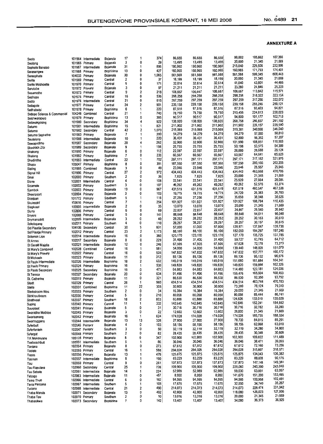| Seolo                        |                | 101964 Intermediate | Bojanala  | 17 | 1                       | 374   | 86,655  | 86,655  | 86,655  | 99,002  | 105,662           | 107,266           |
|------------------------------|----------------|---------------------|-----------|----|-------------------------|-------|---------|---------|---------|---------|-------------------|-------------------|
| Seolong                      | 101965         | Primary             | Bojanala  | 3  | 0                       | 29    | 13,495  | 13,495  | 13,495  | 20,000  | 21,345            | 21,669            |
| Sephola Banatso              | 101967         | Intermediate        | Bojanala  | 31 | 1                       | 896   | 190,960 | 190,960 | 190,960 | 215,040 | 229,506           | 232,990           |
| Serasengwe                   | 101968         | Primary             | Bophirima | 13 | 0                       | 427   | 160,965 | 160,965 | 160,965 | 160,965 | 171,793           | 174,401           |
|                              | 104033         | Primary             | Bojanala  | 30 | 0                       | 1,065 | 561,568 | 561,568 | 561,568 | 561,568 | 599,345           | 608,443           |
| Sereophate                   | 101969         | Primary             | Central   | 2  | 0                       | 37    | 18,199  | 18,199  | 18,199  | 20,000  | 21,345            | 21,669            |
| Serite                       | 101970         | Primary             | Central   | 9  | 0                       | 171   | 32,614  | 32,614  | 32,614  | 41,040  | 43,801            | 44,466            |
| Serite Moshoette             |                |                     | Bojanala  | 3  | 0                       | 97    | 21,211  | 21,211  | 21,211  | 23,280  | 24,846            | 25,223            |
| Serutube                     | 101972         | Primary             |           | 9  | 2                       | 218   | 106,667 | 106,667 | 106,667 | 106,667 | 113,842           | 115,571           |
| Sesamotho                    | 101973         | Primary             | Central   | 16 | 0                       | 536   | 298,258 | 298,258 | 298,258 | 298,258 | 318,322           | 323.154           |
| Seshupo                      | 101975 Primary |                     | Central   | 21 | 0                       | 615   | 297,259 | 297,259 | 297,259 | 297,259 | 317,256           | 322,072           |
| Setilo                       | 101976         | tntermediate        | Central   |    | $\overline{2}$          | 901   | 239,158 | 239,158 | 239,158 | 239,158 | 255,246           | 259,121           |
| Setlagole                    | 101977         | Primary             | Central   | 24 |                         | 220   |         | 87,516  | 87,516  | 87,516  | 93,403            | 94,821            |
| Sethabetsi                   | 101978         | Primary             | Bophinma  | 6  | 1                       |       | 87,516  | 78,750  | 78,750  | 210,456 | 224,613           | 228,023           |
| Setlopo Science & Commercial | 104248         | Combined            | Central   | 21 | 1                       | 740   | 78,750  |         | 90,517  | 94,800  | 101,177           | 102,713           |
| Setshwarapelo                | 101979         | Primary             | Bophirima | 13 | 0                       | 395   | 90,517  | 90,517  | 138,920 | 268.758 | 286,837           | 291,192           |
| Setswakgosing                | 101980         | Secondary           | Bophinma  | 34 | 4                       | 922   | 138,920 | 138,920 |         |         | 226,157           | 229,590           |
| Setumo                       | 101981         | tntermediate        | Bophirima | 15 | 1                       | 821   | 211,902 | 211,902 | 211,902 | 211,902 | 340,866           | 346,040           |
| Setumo                       | 101982         | Secondary           | Central   | 42 | 2                       | 1.070 | 215,069 | 215,069 | 215,069 | 319,381 |                   | 58,810            |
| Setumo Sephethe              | 101983         | Primary             | Bojanala  | 7  | 1                       | 200   | 54,279  | 54,279  | 54,279  | 54,279  | 57,930            | 57,207            |
| Seutelong                    | 101986         | Intermediate        | Bojanala  | 10 | 1                       | 220   | 36,431  | 36,431  | 36,431  | 52,800  | 56,352            |                   |
| Sewagodimo                   | 101987         | Secondary           | Bojanala  | 20 | 4                       | 262   | 32,900  | 32,900  | 32,900  | 101,990 | 108,851           | 110,503           |
| Shadrack Zibi                | 101989         | Secondary           | Bojanala  | 9  | 1                       | 156   | 25,755  | 25,755  | 25,755  | 50,198  | 53,575            | 54,389            |
| Shakung                      | 101990         | Primary             | Bojanala  | 6  | 0                       | 112   | 22,597  | 22,597  | 22,597  | 26,880  | 28,688            | 29,124            |
| Shaleng                      | 101992         | Primary             | Bophinma  | 7  | 0                       | 233   | 60,567  | 60,567  | 60,567  | 60,567  | 64,641            | 65,623            |
| Shudintihe                   | 101993         | Intermediate        | Central   | 22 | 1                       | 702   | 297,171 | 297,171 | 297,171 | 297,171 | 317,162           | 321,976           |
| Shupu                        | 105047         | Primary             | Bophinma  | 8  | 0                       | 391   | 187,550 | 187,550 | 187,550 | 187,550 | 200,166           | 203,205           |
| Sieling                      | 101995         | Combined            | Bojanala  | 3  | 0                       | 49    | 23,946  | 23,946  | 23,946  | 23,946  | 25,557            | 25,945            |
|                              | 101996         | Primary             | Central   | 27 | 2                       | 972   | 434,443 | 434,443 | 434,443 | 434,443 | 463,668           | 470,706           |
| Signal Hill                  | 102000         | Primary             | Southem   | 2  | 0                       | 36    | 7,825   | 7,825   | 7,825   | 20,000  | 21,345            | 21,669            |
| Sinai                        |                |                     | Central   | 4  | 0                       | 108   | 22,541  | 22,541  | 22,541  | 25,920  | 27,664            | 28,084            |
| Sione                        | 102001         | Intermediate        |           | 3  | 0                       | 107   | 49,262  | 49,262  | 49,262  | 49.262  | 52,576            | 53,374            |
| Sizamele                     | 102002         | Primary             | Southern  | 19 | 0                       | 967   | 431,519 | 431,519 | 431,519 | 431,519 | 460,547           | 467,538           |
| Sjambok                      | 102003         | Primary             | Bojanala  |    | 0                       |       | 19,775  | 19,775  | 19,775  | 24,720  | 26,383            | 26,783            |
| Skeerpoort                   | 102004         | Primary             | Bojanala  | 3  |                         | 103   |         |         | 27,256  | 35,650  | 38,048            | 38,626            |
| Skietpan                     | 101772         | Primary             | Southern  | 5  | 1                       | 116   | 27,256  | 27,256  |         | 101,927 | 108,784           | 110,435           |
| Skuinsdrif                   | 103616         | Primary             | Central   | 7  | 1                       | 254   | 101,927 | 101,927 | 101,927 |         | 21,345            | 21,669            |
| Slagkraal                    | 102005         | Intermediate        | Bojanala  | 2  | 0                       | 35    | 13,070  | 13,070  | 13,070  | 20,000  |                   | 26,942            |
| Slumy                        | 102006         | Primary             | Central   | 6  | 0                       | 69    | 22,837  | 22,837  | 22,837  | 24,867  | 26,540            |                   |
| Snyers                       | 102008         | Primary             | Central   | 5  | 0                       | 141   | 88,648  | 88,648  | 88,648  | 88,648  | 94,611            | 96,048            |
| Snymansdrift                 | 102009         | Intermediate        | Bojanala  | 3  | 0                       | 40    | 28,252  | 28,252  | 28,252  | 28,252  | 30,153            | 30,610            |
| Sokologang                   | 102011         | Primary             | Southern  | 4  | 0                       | 110   | 28,257  | 28,257  | 28,257  | 28,257  | 30,157            | 30,615            |
| Sol Plaatije Secondary       | 104106         | Secondary           | Central   | 30 | 5                       | 831   | 57,000  | 57,000  | 57,000  | 128,971 | 137,647           | 139,736           |
| Sol Plaatie Primary          | 102012 Primary |                     | Central   | 23 | 2                       | 1,173 | 86,100  | 86,100  | 86,100  | 182,050 | 194,297           | 197,246           |
| Solomon Lion                 | 102014         | Intermediate        | Bojanala  | 16 | 0                       | 380   | 123,170 | 123,170 | 123,170 | 127,170 | 135,725           | 137,785           |
| <b>St Annes</b>              | 102017         | Secondary           | Bojanala  | 8  | 0                       | 229   | 31,400  | 31,400  | 31,400  | 59,727  | 63,745            | 64,712            |
| St Gerald Majella            | 102021         | intermediate        | Bojanala  | 12 | 0                       | 246   | 67,505  | 67,505  | 67,505  | 67,628  | 72,178            | 73,273            |
| St Mary's Combined           | 102028         | Combined            | Central   | 16 | 1                       | 581   | 54,000  | 54,000  | 54,000  | 139,440 | 148,820           | 151,079           |
| St Mary's Primary            | 102022         | Primary             | Central   | 16 | 0                       | 525   | 147,832 | 147,832 | 147,832 | 147,832 | 157,777           | 160,172           |
|                              | 102023         | Primary             | Bojanala  | 11 | 0                       | 312   | 89,136  | 89,136  | 89,136  | 89,136  | 95,132            | 96,576            |
| <b>St Michaels</b>           | 102026         | Intermediate        | Bophirima | 18 | $\overline{\mathbf{c}}$ | 632   | 145,019 | 145,019 | 145,019 | 151,680 | 161,884           | 164,341           |
| St Pauls Intermediate        | 102024         |                     | Bophinma  | 16 | 1                       | 530   | 149,820 | 149,820 | 149,820 | 149,820 | 159,898           | 162,326           |
| St Pauls Primary             |                | Primary             |           | 19 | 0                       | 477   | 64,683  | 64,683  | 64,683  | 114,480 | 122,181           | 124,036           |
| <b>St Pauls Secondary</b>    | 102025         | Secondary           | Bophirima | 20 | 0                       | 634   | 91,496  | 91,496  | 91,496  | 155,476 | 165,934           | 168,453           |
| <b>St Teresa</b>             | 102027         | Secondary           | Bojanala  |    | 0                       | 321   | 86,530  | 86,530  | 86,530  | 86,530  | 92,350            | 93,752            |
| St. Catherine                | 102019         | Primary             | Bojanala  | 11 |                         |       |         | 434,514 | 434,514 | 434,514 | 463,744           | 470.783           |
| Stadt                        | 102029         | Primary             | Central   | 26 | 1                       | 960   | 434,514 |         | 30,900  | 73,200  | 78,124            | 79,310            |
| Stella                       | 102031         | Combined            | Bophirima | 11 | 22                      | 305   | 30,900  | 30,900  |         |         | 21,345            | 21,669            |
| Sterkstroom Wes              | 102033         | Primary             | Southern  | 2  | 0                       | 34    | 16,384  | 16,384  | 16,384  | 20,000  |                   |                   |
| Stinkhoutboom                | 102036         | Primary             | Central   | 5  | 0                       | 210   | 80,058  | 80,058  | 80,058  | 80,058  | 85,444<br>133,010 | 86,741<br>135,029 |
| Strathvaal                   | 102037 Primary |                     | Southern  | 18 | 2                       | 803   | 65,888  | 65,888  | 65,888  | 124,626 |                   |                   |
| Suping                       | 102040 Primary |                     | Central   | 11 | 1                       | 332   | 142,645 | 142,645 | 142,645 | 142,645 | 152,241           | 154,552<br>33.280 |
| Suurplaat                    |                | 102041 Primary      | Bojanala  | 5  |                         | 31    | 30,716  | 30,716  | 30,716  | 30,716  | 32,782            |                   |
| Swaratlhe Mathibe            |                | 102045 Primary      | Bojanala  | 3  | 0                       | 22    | 12,602  | 12,602  | 12,602  | 20,000  | 21,345            | 21,669            |
| Swarisanang                  |                | 102042 Primary      | Bojanala  | 16 | 1                       | 624   | 174,028 | 174,028 | 174,028 | 174,028 | 185,735           | 188,554           |
| Swartruggens                 |                | 102044 Intermediate | Bojanala  | 13 | 13                      | 328   | 27,900  | 27,900  | 27,900  | 78,720  | 84,015            | 85,291            |
| Syferbult                    |                | 102046 Primary      | Bojanala  | 4  | 0                       | 103   | 58,156  | 58,156  | 58,156  | 58,156  | 62,068            | 63,010            |
| Syferfontein                 |                | 102047 Primary      | Southern  | 3  | 0                       | 50    | 32,119  | 32,119  | 32,119  | 32,119  | 34,280            | 34,800            |
| Syfergat                     | 102048 Primary |                     | Southern  | 2  | 0                       | 82    | 28,435  | 28,435  | 28,435  | 28,435  | 30,348            | 30,809            |
| T.K Mokonyane                | 105128 Primary |                     | Bojanala  | 8  | 0                       | 347   | 102,900 | 102,900 | 102,900 | 102,900 | 109,822           | 111,489           |
| Taaiboschbuit                | 102051         | Intermediate        | Southern  | 5  | 1                       | 86    | 36,046  | 36,046  | 36,046  | 36,046  | 38,471            | 39,055            |
| Tantana                      |                | 102054 Primary      | Bojanala  | 8  | 0                       | 273   | 67,612  | 67,612  | 67,612  | 67,612  | 72,160            | 73,256            |
| Taolelo                      |                | 102055 Primary      | Central   | 16 | 1                       | 588   | 294,028 | 294,028 | 294,028 | 294,028 | 313,807           | 318,571           |
|                              |                | 102056 Primary      | Bojanala  | 13 | 1                       | 479   | 125,875 | 125,875 | 125,875 | 125,875 | 134,343           | 136,382           |
| Tapos                        |                | 102057 Intermediate | Bophirima | 8  | 1                       | 190   | 83,229  | 83,229  | 83,229  | 83,229  | 88,828            | 90,176            |
| Tasman                       |                |                     |           | 9  | 0                       | 261   | 137,873 | 137,873 | 137,873 | 137,873 | 147,148           | 149,381           |
| Tau                          |                | 102059 Primary      | Central   |    | 1                       | 726   | 109,900 | 109,900 | 109,900 | 225,060 | 240,200           | 243,846           |
| Tau Rapulana                 |                | 102060 Secondary    | Central   | 25 | 1                       |       | 52,989  | 52,989  | 52,989  | 59,030  | 63,001            | 63,957            |
| Tau Sebele                   |                | 102061 Intermediate | Bojanala  | 14 |                         | 224   |         | 8,950   | 8,950   | 141,670 | 151,200           | 153,495           |
| Tebogo                       |                | 102063 Intermediate | Bojanala  | 11 | 0                       | 457   | 8,950   |         |         | 94,595  | 100,958           | 102,491           |
| Temo Thuo                    |                | 102066 Intermediate | Central   | 6  | 0                       | 162   | 94,595  | 94,595  | 94,595  |         |                   | 35,267            |
| Terra Peccana                |                | 102067 Intermediate | Southem   | 5  | 1                       | 105   | 17,675  | 17,675  | 17,675  | 32,550  | 34,740            | 231,942           |
| Tetlano                      |                | 102068 Intermediate | Central   | 21 | 2                       | 490   | 214,073 | 214,073 | 214,073 | 214,073 | 228,474           |                   |
| Thaba Marula                 |                | 102071 Secondary    | Bojanala  | 13 | 0                       | 492   | 42,800  | 42,800  | 42,800  | 118,080 | 126,023           | 127,936           |
| Thaba Tau                    |                | 102070 Primary      | Southern  | 2  | 0                       | 10    | 13,016  | 13,016  | 13,016  | 20,000  | 21,345            | 21,669            |
| Thabasikwa                   |                | 102073 Secondary    | Bophirima | 7  | 0                       | 142   | 13,407  | 13,407  | 13,407  | 34,080  | 36,373            | 36,925            |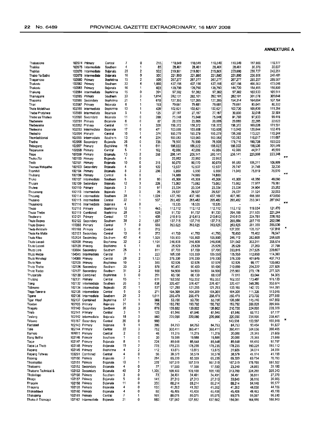| Thabasione           |                | 102074 Primary      | Central         | 7  | 0                       | 215   | 110,549 | 110,549 | 110,549 | 110,549 | 117,986 | 119,777      |
|----------------------|----------------|---------------------|-----------------|----|-------------------------|-------|---------|---------|---------|---------|---------|--------------|
| Thabiso              |                | 102075 Intermediate | Southern        | 4  | 1                       | 85    | 28,461  | 28,461  | 28,461  | 28,461  | 30,376  | 30,837       |
|                      |                |                     |                 |    | 2                       |       |         |         |         |         |         |              |
| Thabiso              |                | 102076 Intermediate | Bojanala        | 25 |                         | 932   | 219,801 | 219,801 | 219,801 | 223,680 | 238,727 | 242,351      |
| Thabo Ya Batho       |                | 102078 Intermediate | Bojanala        | 16 | 0                       | 500   | 221,880 | 221,880 | 221,880 | 221,880 | 236.806 | 240,401      |
| Thagamoso            |                | 102080 Primary      | Bophinma        | 15 | 2                       | 509   | 267,277 | 267,277 | 267,277 | 267,277 | 285,257 | 289,587      |
| Thakadu              |                | 102082 Primary      | Southern        | 32 | 4                       | 1,060 | 437,156 | 437,156 | 437,156 | 437,156 | 466,563 | 473,646      |
| Thakadu              |                | 102083 Primary      | Boinnala        | 16 | 1                       | 603   | 139,790 | 139,790 | 139,790 | 144,720 | 154,455 | 156,800      |
| Thakung              |                | 102084 Intermediate | Bophirima       | 15 | 0                       | 391   | 97,382  | 97,382  | 97,382  | 97,382  | 103,933 | 105,511      |
| Thamagane            | 102085         | Primary             | Southern        | 33 | 3                       | 1,014 | 282,101 | 282,101 | 282,101 | 282,101 | 301,078 | 305,648      |
| Thapama              | 102086         | Secondary           | Bophirima       | 21 | 1                       | 610   | 127,395 | 127,395 | 127,395 | 154,314 | 164,694 | 167,194      |
| Than                 | 102087         | Primary             | Bojanala        | 6  | 1                       | 193   | 79,681  | 79,681  | 79,681  | 79,681  | 85,041  | 86,332       |
|                      |                |                     |                 |    |                         |       |         |         |         |         |         |              |
| Thate Molatihwa      | 102088         | Intermediate        | Bophirima       | 13 | 1                       | 428   | 102,621 | 102,621 | 102,621 | 102,720 | 109,630 | 111,294      |
| Thebe Phatshwa       | 102089         | Intermediate        | <b>Bojanala</b> | 5  | 1                       | 125   | 27,187  | 27,187  | 27,187  | 30,000  | 32,018  | 32,504       |
| Thebe ya Tihaiwa     | 102090         | Secondary           | Bojanala        | 11 | 0                       | 288   | 75,048  | 75,048  | 75,048  | 91,760  | 97,933  | 99,419       |
| Thebenare            | 102091         | Primary             | Bojanala        | 6  | 0                       | 87    | 20,005  | 20,005  | 20,005  | 20,880  | 22,285  | 22,623       |
| Thebeyame            |                | 102092 Primary      | Central         | 11 | 1                       | 328   | 158,372 | 158,372 | 158,372 | 158,372 | 169,026 | 171,591      |
| Thekwana             |                | 102093 Intermediate | Bojanala        | 17 | 0                       | 471   | 103,608 | 103,608 | 103,608 | 113,040 | 120,644 | 122,476      |
| Thelesho             |                | 102094 Primary      | Central         | 10 | 1                       | 374   | 195,279 | 195,279 | 195,279 | 106,366 | 113,521 | 115,244      |
| Thembalidanisi       | 102095         | Intermediate        | Southern        | 13 | 4                       | 224   | 103,083 | 103,083 | 103,083 | 103,083 | 110,017 | 111,687      |
|                      |                |                     |                 |    | 0                       |       |         |         |         |         |         |              |
| Thethe               | 102096         | Secondary           | Bojanala        | 26 |                         | 736   | 76,900  | 76,900  | 76,900  | 178,716 | 190,738 | 193,633      |
| Thibogang            | 102097         | Primary             | Bophirima       | 15 | 1                       | 611   | 186,022 | 186,022 | 186,022 | 186,022 | 198,536 | 201,549      |
| Thipanyane           | 102098         | Primary             | Central         | 5  | 1                       | 162   | 42,086  | 42,086  | 42,086  | 42,086  | 44,917  | 45,599       |
| Thipe                |                | 102099 Primary      | Bojanala        | 13 | 2                       | 388   | 206,141 | 206,141 | 206,141 | 206,141 | 220,008 | 223,348      |
| Thoko Zibi           | 102100         | Primary             | Bojanala        | 4  | 0                       |       | 22,992  | 22,992  | 22,992  |         |         | $\pi\pi$     |
| Tholo                | 102101         | Primary             | Bojanala        | 10 | 0                       | 318   | 80,070  | 80,070  | 80,070  | 98.580  | 105,211 | 106,809      |
| Thomas Makgatho      | 102103         | Secondary           | Bojanala        | 4  | 0                       | 122   | 12,937  | 12,937  | 12,937  | 29,747  | 31,748  | 32,230       |
|                      |                |                     |                 | 8  | $\overline{\mathbf{r}}$ |       |         |         |         |         |         | 76,970       |
| Thomhill             |                | 102104 Primary      | Bojanala        |    |                         | 296   | 6,950   | 6,950   | 6,950   | 71.040  | 75,819  | $x +$        |
| Thubang              |                | 102106 Primary      | Central         | 6  | 0                       |       | 74,889  | 74,889  | 74,889  |         |         |              |
| Thuka                |                | 102107 Intermediate | Southern        | 6  | 0                       | 90    | 45,308  | 45,308  | 45,308  | 45.308  | 48,356  | 49,090       |
| Thulare              |                | 102109 Secondary    | Bojanala        | 12 | 3                       | 226   | 73,062  | 73,062  | 73,062  | 73,062  | 77,977  | 79,161       |
| Thulwe               |                | 102110 Primary      | Bojanala        | э  | 0                       | 97    | 23,334  | 23,334  | 23,334  | 23,334  | 24,904  | 25,282       |
| Thusanang            |                | 102113 Intermediate | Bojanala        | 7  | 0                       | 26    | 29,537  | 29,537  | 29,537  | 29,537  | 31,524  | 32,003       |
| Thusang              |                | 102114 intermediate | Southern        | 28 | 1                       | 1,024 | 437,160 | 437,160 | 437,160 | 437,160 | 466,568 | 473,650      |
| Thusano              |                | 102115 Intermediate | Central         | 22 | 1                       | 537   | 265,482 | 265,482 | 265,482 | 265,482 | 283,341 | 287.642      |
|                      |                |                     |                 | 4  | 0                       |       |         |         |         |         |         | $x -$        |
| Thusanong            |                | 102116 Intermediate | Bojanala        |    |                         |       | 18,535  | 18,535  | 18,535  |         |         |              |
| Thuso                | 102118         | Primary             | Bophirima       | 12 | 1                       | 443   | 112,112 | 112,112 | 112,112 | 112,112 | 119,654 | 121,470      |
| Thuso Thebe          |                | 102119 Combined     | Bophirima       | 28 | 1                       | 628   | 91,732  | 91,732  | 91,732  | 204.199 | 217,935 | 221,244      |
| Thutwane             | 102121 Primary |                     | Central         | 12 | 1                       | 439   | 210,613 | 210,613 | 210,613 | 210,613 | 224,781 | 228,193      |
| Thuto Boswa          |                | 102122 Secondary    | Southern        | 38 | $\overline{c}$          | 1,057 | 137,715 | 137,715 | 137,715 | 269,584 | 287,719 | 292,086      |
| Thuto Boswa          | 105068 Primary |                     | Central         | 7  | 0                       | 556   | 263,625 | 263,625 | 263,625 | 263,625 | 281,359 | 285,630      |
| Thuto Botshelo       | 105168 Primary |                     | Central         | 5  | 0                       | 215   |         |         |         | 127,200 | 135,757 | π<br>137,818 |
| ⊺huto Ke Matla       |                | 102123 Secondary    | Central         | 13 | C                       | 272   | 41.750  | 41,750  | 41,750  | 70,650  | 75,402  | 76,547       |
|                      |                |                     |                 |    | 4                       |       |         |         |         |         |         |              |
| Thuto Kitso          |                | 102124 Secondary    | Southern        | 42 |                         | 1,029 | 105,900 | 105,900 | 105,900 | 246,112 | 262,668 | 266,655      |
| Thuto Lesedi         | 102128 Primary |                     | Bophirima       | 32 | 2                       | 1,164 | 246,808 | 246,808 | 246,808 | 331,042 | 353,311 | 358,674      |
| Thuto Lesedi         | 102129 Primary |                     | Bophinma        | 6  | 1                       | 89    | 25,629  | 25,629  | 25,629  | 25,629  | 27,353  | 27,768       |
| Thuto Lore           |                | 103604 Secondary    | Southern        | 25 | 1                       | 811   | 87,700  | 87,700  | 87,700  | 203,815 | 217,525 | 220,827      |
| Thuto Metse          |                | 104045 Intermediate | Central         | 7  | 1                       | 223   | 105,550 | 105,550 | 105,550 | 105,550 | 112,650 | 114,360      |
| Thuto Mmelegi        | 104088         | Primary             | Central         | 28 | 2                       | 1,123 | 376,330 | 376,330 | 376,330 | 376,330 | 401,646 | 407,743      |
| Thuto Neo            | 102125         | Primary             | Bophirima       | 10 | 1                       | 365   | 92,926  | 92,926  | 92,926  | 92,926  | 99,177  | 100,683      |
|                      |                | 102126 Secondary    |                 | 33 | 2                       | 870   |         | 90,400  | 90,400  | 210,090 | 224,222 | 227,626      |
| Thuto Thebe          |                |                     | Southern        |    |                         |       | 90,400  |         |         |         |         |              |
| Thuto Tsebo          | 102127         | Secondary           | Southern        | 31 | 2                       | 900   | 94,900  | 94,900  | 94,900  | 255,960 | 273,178 | 277,325      |
| Thutoetsile          | 102120         | Combined            | Bophirima       | 9  | 0                       | 251   | 60,130  | 60,130  | 60,130  | 77,810  | 83,044  | 84,305       |
| Thutona              | 102131 Primary |                     | Central         | 15 | 1                       | 611   | 162,552 | 162,552 | 162,552 | 162,552 | 173,487 | 176,120      |
| Tiang                |                | 102132 Intermediate | Southern        | 26 | 5                       | 838   | 326,427 | 326,427 | 326,427 | 326,427 | 348,386 | 353,674      |
| Tidimane             |                | 102134 Intermediate | Bojanala        | 20 | 1                       | 537   | 121,293 | 121,293 | 121,293 | 133,165 | 142,123 | 144,281      |
| Tiego Tawana         |                | 102135 Intermediate | Central         | 9  | 0                       | 271   | 104.309 | 104,309 | 104,309 | 104,309 | 111,326 | 113,016      |
| Tigane               |                | 102136 Intermediate | Southern        | 29 | 3                       | 1,011 | 256.479 | 256,479 | 256,479 | 256,479 | 273,732 | 277,888      |
| Tiger Kloof          |                | 102137 Combined     | Bophinma        | 17 | 1                       | 569   | 53,700  | 53,700  | 53,700  | 136,560 | 145,746 | 147,959      |
|                      |                |                     |                 | 21 |                         |       |         |         |         |         |         | 209.968      |
| Tisetso              | 102105 Primary |                     | Bojanala        |    | 0                       | 735   | 193,792 | 193,792 | 193,792 | 193,792 | 206,828 |              |
| Tiragalo             |                | 102140 Secondary    | Southern        | 35 | з                       | 878   | 139,802 | 139,802 | 139,802 | 210,720 | 224,895 | 228,309      |
| Tirelo               | 102141 Primary |                     | Central         | з  | 1                       | 123   | 61,946  | 61,946  | 61,946  | 61,946  | 66,113  | 67,117       |
| Tirelong             |                | 102142 Intermediate | Bojanala        | 18 | 0                       | 560   | 220,090 | 220,090 | 220,090 | 220,090 | 234,895 | 238,461      |
| Tirisano             |                | 105167 Secondary    | Central         | 20 | 0                       | 500   |         |         |         | 143,906 | 153,587 | π<br>155,918 |
| Tladistad            | 102143 Primary |                     | Bojanala        | 9  | 1                       | 206   | 84,753  | 84,753  | 84,753  | 84,753  | 90,454  | 91,827       |
| Tiale                | 102144 Primary |                     | Central         | 22 | 3                       | 752   | 360,411 | 360,411 | 360,411 |         | 384,656 | 390,495      |
|                      |                |                     |                 |    |                         |       |         |         |         | 360,411 |         |              |
| Tlamelo              | 104011 Primary |                     | Central         | 2  | 0                       | 46    | 11,275  | 11,275  | 11,275  | 20,000  | 21,345  | 21,669       |
| <b>Tlang Botthe</b>  | 102146 Primary |                     | Southern        | 1  | 0                       | 30    | 19,555  | 19,555  | 19,555  | 20,000  | 21,345  | 21,669       |
| Tlapa                | 102147 Primary |                     | Bojanala        | 8  | 1                       | 224   | 85,648  | 85,648  | 85,648  | 85,648  | 91,410  | 92,797       |
| Tiapa La Thuto       | 102148 Primary |                     | Bojanala        | 19 | 2                       | 778   | 178,235 | 178,235 | 178,235 | 178,235 | 190,225 | 193,112      |
| Tlapeng              | 102149 Primary |                     | Bophirima       | 4  | 2                       | 112   | 13,875  | 13,875  | 13,875  | 31,926  | 34,074  | 34,591       |
| Tlapeng Tshweu       |                | 103261 Combined     | Central         | 4  | 0                       | 56    | 38,579  | 38,579  | 38,579  | 38,579  | 41,174  | 41,799       |
| Tlaseng              | 102150 Primary |                     | Bojanala        | 7  | 1                       | 264   | 65,339  | 65,339  | 65,339  | 65,339  | 69.734  | 70,793       |
|                      |                |                     |                 |    |                         |       |         |         |         |         |         |              |
| Tihaalapitse         | 102151 Primary |                     | Bojanala        | 10 | 1                       | 378   | 167,519 | 167,519 | 167,519 | 167,519 | 178,788 | 181,502      |
| Tihabaeno            |                | 102152 Secondary    | Bojanala        | 4  | 0                       | 77    | 17,500  | 17,500  | 17.500  | 23,240  | 24,803  | 25,180       |
| Tihabane Technical & |                | 102153 Secondary    | Bojanala        | 40 | 2                       | 1,305 | 109,100 | 109,100 | 109,100 | 313,200 | 334,269 | 339,343      |
| Tihabologo           | 102156 Primary |                     | Southern        | 3  | 0                       | 73    | 34,491  | 34,491  | 34,491  | 34,491  | 36,811  | 37,370       |
| Tihage               | 102157 Primary |                     | Bojanata        | 5  | 0                       | 141   | 27,313  | 27,313  | 27,313  | 33,840  | 36,116  | 36,665       |
| Tihagele             | 102158 Primary |                     | Bojanala        | 11 | 0                       | 300   | 88,214  | 88,214  | 88,214  | 88,214  | 94,148  | 95,577       |
| Tihageng             | 102159 Primary |                     | Bojanala        | 4  | 0                       | 150   | 41,262  | 41,262  | 41,262  | 41,262  | 44,038  | 44,706       |
| Tihakadiawa          | 102160 Primary |                     |                 | 4  | 0                       | 88    | 45,408  | 45,408  | 45,408  |         |         | 49,198       |
|                      |                |                     | Bojanala        |    |                         |       |         |         |         | 45,408  | 48,463  |              |
| Tihakajeng           | 102161 Primary |                     | Central         | 7  | 1                       | 161   | 89,075  | 89,075  | 89,075  | 89,075  | 95,067  | 96,510       |
| Tihako A Thamaga     |                | 102162 Intermediate | Bojanala        | 21 | 0                       | 580   | 137,582 | 137,582 | 137,582 | 154,081 | 164,446 | 166,943      |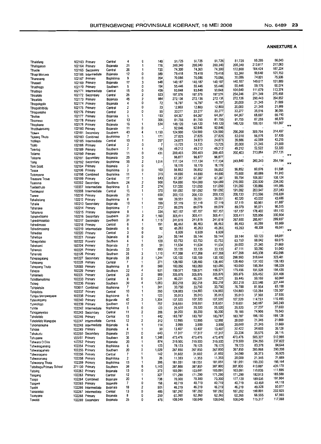| Tihalefang                       |                | 102163 Primary      | Central              | 4       | 0              | 149            | 51,725            | 51,725            | 51,725            | 51,725            | 55,205            | 56,043                    |
|----------------------------------|----------------|---------------------|----------------------|---------|----------------|----------------|-------------------|-------------------|-------------------|-------------------|-------------------|---------------------------|
| Tihaloganyo                      |                | 102164 Primary      | Bojanala             | 21      | 1              | 776            | 200,340           | 200,340           | 200,340           | 200,340           | 213,817           | 217,063                   |
| Thaole                           |                | 102165 Secondary    | Central              | 26      | 1              | 720            | 74,300            | 74,300            | 74,300            | 172,800           | 184,424           | 187,224                   |
|                                  |                | 102166 Intermediate | Bojanala             | 12      | 0              | 389            | 79,418            | 79,418            | 79,418            | 93,360            | 99,640            | 101,153                   |
| Tihapi Moruwe                    |                |                     |                      |         | 0              | 264            | 70,086            | 70,086            | 70,086            | 70,086            | 74,801            | 75,936                    |
| Thareseng                        | 102167         | Primary             | Bophirima            | 9       |                |                |                   |                   |                   |                   | 149,617           | 151,889                   |
| Thasedi                          |                | 102169 Primary      | Bojanala             | 17      | 3              | 548            | 140,187           | 140,187           | 140,187           | 140,187           |                   |                           |
| Tihatihogo                       |                | 102170 Primary      | Southern             | 5       | 0              | 104            | 55,446            | 55,446            | 55,446            | 55,446            | 59,176            | 60,074                    |
| Thatlogo                         |                | 102171 Intermediate | Central              | 15      | 0              | 436            | 93,848            | 93,848            | 93,848            | 104,640           | 111,679           | 113,374                   |
| Tihoafalo                        |                | 102172 Secondary    | Central              | 25      | $\overline{2}$ | 523            | 197,576           | 197,576           | 197,576           | 254,246           | 271,349           | 275,468                   |
|                                  |                |                     |                      | 45      | $\overline{2}$ | 984            | 272,136           | 272,136           | 272.136           | 272,136           | 290,443           | 294,852                   |
| Tihoafalo                        |                | 102173 Primary      | Bojanala             |         |                |                |                   |                   |                   | 20,000            | 21,345            | 21,669                    |
| Tihogokgolo                      |                | 102174 Primary      | Bojanala             | 4       | 0              | 72             | 16,797            | 16,797            | 16,797            |                   |                   |                           |
| Tihogokhibidu                    |                | 102175 Primary      | Central              | 2       | 0              | 23             | 12,803            | 12,803            | 12,803            | 20,000            | 21,345            | 21,669                    |
| Tihogontsho                      |                | 102176 Primary      | Central              | 3       | 0              | 55             | 33,277            | 33,277            | 33,277            | 33,277            | 35,516            | 36,055                    |
| Tiholoa                          |                | 102177 Primary      | Bojanala             | 5       | 1              | 153            | 64,367            | 64,367            | 64,367            | 64,367            | 68,697            | 69,740                    |
|                                  |                | 102178 Primary      |                      | 13      | 1              | 306            | 81,755            | 81,755            | 81,755            | 81,755            | 87,255            | 88,579                    |
| Thomeso                          |                |                     | Central              |         |                |                |                   | 149.120           | 149,120           | 149,120           | 159,151           | 161,567                   |
| Tihophane                        |                | 102179 Primary      | Bojanala             | 16      | 1              | 534            | 149,120           |                   |                   |                   |                   | $\overline{R}$            |
| Tihotiheletsang                  |                | 102180 Primary      | Bojanala             | 11      | 0              |                | 92,846            | 92,846            | 92,846            |                   |                   |                           |
| Tlokwe                           |                | 102181 Secondary    | Southern             | 43      | 4              | 1,150          | 124,900           | 124,900           | 124,900           | 290,268           | 309,794           | 314,497                   |
| <b>Tiotlang Thuto</b>            |                | 102183 Combined     | Bophinma             | 7       | 1              | 171            | 27,825            | 27,825            | 27,825            | 53,010            | 56,576            | 57,435                    |
| Tiotiego                         |                | 102185 Intermediate | Central              | 10      | 1              | 257            | 24,873            | 24,873            | 24,873            | 39,886            | 42,569            | 43,215                    |
|                                  |                |                     |                      | 2       | 0              | $\overline{7}$ | 13,725            | 13,725            | 13,725            | 20,000            | 21,345            | 21,669                    |
| Tiotio                           |                | 102186 Primary      | Central              |         |                |                |                   |                   | 49,212            | 49,212            | 52,522            | 53,320                    |
| Toevlug                          |                | 102189 Primary      | Southern             | 7       | 1              | 135            | 49,212            | 49,212            |                   |                   |                   |                           |
| Tolamo                           |                | 102190 Primary      | Bojanala             | 11      | 0              | 431            | 200,403           | 200,403           | 200,403           | 200,403           | 213,884           | 217,131<br>$\overline{K}$ |
| Toloane                          |                | 102191 Secondary    | Bojanala             | 25      | 0              |                | 96,877            | 96,877            | 96,877            |                   |                   |                           |
| Tong                             |                | 102192 Secondary    | Bophinma             | 35      | 2              | 1,016          | 117,134           | 117,134           | 117,134           | 243,840           | 260,243           | 264,194                   |
|                                  | 102194 Primary |                     | Bojanala             | 3       | 0              |                | 18,170            | 18,170            | 18,170            |                   |                   | $\mathbf{x}$              |
| Toni Scott                       |                |                     |                      |         |                |                |                   |                   | 56,852            | 56,852            | 60,676            | 61,598                    |
| Tosca                            | 102196 Primary |                     | Bophinma             | 3       | 0              | 103            | 56,852            | 56,852            |                   |                   |                   | 81,910                    |
| Totonyane                        |                | 102198 Combined     | Bophirima            | 11      | 1              | 315            | 44,690            | 44,690            | 44,690            | 75,600            | 80,686            |                           |
| Treasure Trove                   |                | 102199 Primary      | Central              | 17      | $\mathbf{1}$   | 643            | 67,387            | 67,387            | 67,387            | 99.794            | 106,507           | 108,124                   |
| Tsamma                           |                | 102202 Secondary    | Southern             | 24      | 2              | 900            | 104,080           | 104,080           | 104,080           | 216,000           | 230,530           | 234,030                   |
|                                  |                | 102207 Intermediate | Bophirima            | 5       | 2              | 274            | 131,050           | 131,050           | 131,050           | 131,050           | 139,866           | 141,989                   |
| Tselaathuto                      |                |                     |                      |         |                |                |                   |                   | 191,092           | 191,092           | 203,947           | 207,043                   |
| Tselakgosi                       | 102208         | Intermediate        | Central              | 15      | 1              | 370            | 191,092           | 191,092           |                   |                   |                   |                           |
| Tsewe                            |                | 102210 Primary      | Bojanala             | 21      | $\mathbf{1}$   | 658            | 200,133           | 200,133           | 200,133           | 200,133           | 213,596           | 216,838                   |
| Tshabelang                       | 102212 Primary |                     | Bophirima            | 6       | 1              | 168            | 39,551            | 39,551            | 39,551            | 40,320            | 43,032            | 43,686                    |
| Tshaile                          |                | 102213 Secondary    | Bojanala             | 10      | 1              | 159            | 57,119            | 57,119            | 57,119            | 57,119            | 60,961            | 61,887                    |
|                                  |                | 102214 Primary      | Bophirima            | 7       | 1              | 273            | 89,079            | 89,079            | 89,079            | 89,079            | 95,071            | 96,515                    |
| Tshanake                         |                |                     |                      |         | 1              | 334            |                   | 167,157           | 167,157           | 167,157           | 178,402           | 181,110                   |
| Tshaneng                         | 102215 Primary |                     | Bophirima            | 9       |                |                | 167,157           |                   |                   |                   |                   | 330,904                   |
| Tshebedisano                     |                | 102216 Secondary    | Southern             | 31      | 2              | 1,160          | 305,411           | 305,411           | 305,411           | 305,411           | 325,956           |                           |
| Tshedimosetso                    |                | 102217 Secondary    | Southern             | 31      | 4              | 1.115          | 241,619           | 241,619           | 241,619           | 267,600           | 285,601           | 289,937                   |
| Tshedimoso                       | 102218 Primary |                     | Central              | 6       | 1              | 191            | 86,453            | 86,453            | 86,453            | 86,453            | 92,269            | 93,669                    |
| Tshedimosong                     |                | 102219 Intermediate | Bojanala             | 6       | 0              | 92             | 45,263            | 45,263            | 45,263            | 45,263            | 48,308            | 49,041                    |
|                                  | 102220 Primary |                     | Central              | 3       | 0              |                | 6,939             | 6,939             | 6,939             |                   |                   | $\times n$                |
| Tshedisa                         |                |                     |                      |         | 0              |                |                   |                   | 59,144            | 59,144            | 63,123            | 64,081                    |
| Tshefoge                         |                | 102221 Primary      | Bojanala             | 8       |                | 224            | 59,144            | 59,144            |                   |                   |                   |                           |
| Tshegofatso                      | 102222 Primary |                     | Southern             | 4       | 1              | 120            | 63,753            | 63,753            | 63,753            | 63,753            | 68,042            | 69,075                    |
| Tshekami                         | 102224 Primary |                     | Bojanala             | 2       | 0              | 50             | 11,634            | 11,634            | 11,634            | 20,000            | 21,345            | 21,669                    |
|                                  |                |                     | Bojanala             | 33      | 1              | 893            | 33,135            | 33,135            | 33,135            | 47,111            | 50,280            | 51,043                    |
|                                  |                |                     |                      |         |                |                |                   |                   |                   | 417,268           | 445,338           | 452,098                   |
| Tshenolo                         | 102225 Primary |                     |                      |         |                |                |                   |                   |                   |                   |                   |                           |
| Tshenolo                         | 102226 Primary |                     | Southern             | 25      | 3              | 1,110          | 417,268           | 417,268           | 417,268           |                   |                   |                           |
| Tshepagalang                     | 102227         | Secondary           | Bojanala             | 35      | 2              | 1,244          | 120,100           | 120,100           | 120,100           | 298,560           | 318,644           | 323,481                   |
| Tshepang                         | 102228         | Primary             | Central              | 7       | 1              | 271            | 128,460           | 128,460           | 128,460           | 128,460           | 137,102           | 139,183                   |
|                                  |                |                     |                      | 8       | $\Omega$       | 560            | 183,050           | 183,050           | 183,050           | 183,050           | 195,364           | 198,329                   |
| Tshepang Thuto                   | 105065 Primary |                     | Bophirima            |         | 4              |                |                   |                   |                   |                   | 191,528           | 194,435                   |
| Tshepo                           | 102229         | Primary             | Southern             | 22      |                | 631            | 159,571           | 159,571           | 159,571           | 179,456           |                   |                           |
| Tshiamelo                        | 102231 Primary |                     | Central              | 25      | $\overline{c}$ | 989            | 305.876           | 305,876           | 305,876           | 305,876           | 326.452           | 331,408                   |
| Tshidilamolomo                   | 102233 Primary |                     | Central              | 8       | 0              | 231            | 46,231            | 46,231            | 46,231            | 55,440            | 59,169            | 60,068                    |
| Tshing                           | 102236 Primary |                     | Southern             | 30      | 4              | 1,083          | 302,218           | 302,218           | 302,218           | 302,218           | 322,548           | 327,444                   |
|                                  | 103611         |                     | Bophirima            | 7       | 1              | 241            | 33,750            | 33,750            | 33,750            | 76,788            | 81,954            | 83,198                    |
| Tshipietsile                     |                | Combined            |                      |         | 1              |                |                   |                   |                   |                   | 133,284           | 135,307                   |
| Tshipitota                       | 102237 Primary |                     | Central              | 10      |                | 260            | 124,883           | 124,883           | 124,883           | 124,883           |                   |                           |
| Tshipo Mangwegape                | 102238 Primary |                     | Bophirima            | 6       | 1              | 123            | 35,013            | 35,013            | 35,013            | 35,013            | 37,368            | 37,936                    |
| Tshirologang                     | 102240 Primary |                     | Bojanala             | 40      | 3              | 1,304          | 107,520           | 107,520           | 107,520           | 107,520           | 114,753           | 116,495                   |
| Tshirologo                       | 102239 Primary |                     | Southern             | 17      | 1              | 757            | 318,651           | 318,651           | 318,651           | 318,651           | 340,087           | 345,249                   |
| Tshite                           |                | 102242 Intermediate | Bophinma             | 5       | 0              | 123            | 25,520            | 25,520            | 25,520            | 25,520            | 27,237            | 27,650                    |
|                                  |                |                     |                      | 11      | 2              | 269            | 30,200            | 30,200            | 30,200            | 70,185            | 74,906            | 76,043                    |
| Tshoganyetso                     |                | 102243 Secondary    | Central              |         |                |                |                   |                   |                   |                   |                   | 199,128                   |
| Tsholofelo                       | 102246 Primary |                     | Central              | 13      | 1              | 442            | 183,787           | 183,787           | 183,787           | 183,787           | 196,150           |                           |
| Tsholofelo Mangope               |                | 102247 Intermediate | Central              | 12      | 2              | 312            | 12,995            | 12,995            | 12,995            | 20,000            | 21,345            | 21,669                    |
| Tshomankane                      |                | 102248 Intermediate | Bojanala             | 6       | 1              | 114            | 3,999             | 3,999             | 3,999             | 20,000            | 21,345            | 21,669                    |
| Tshose                           | 102249 Primary |                     | Bojanala             | 4       | 1              | 93             | 13,407            | 13,407            | 13,407            | 32,422            | 34,603            | 35,128                    |
|                                  |                |                     | Bojanala             | 21      | 0              | 643            | 17,317            | 17,317            | 17,317            | 33,334            | 35,576            | 36,116                    |
| Tshukudu                         |                | 102250 Secondary    |                      |         |                |                |                   |                   |                   | 473,476           | 505,327           | 512,998                   |
| Tshupane                         | 102251         | Primary             | Southern             | 36      | 6              | 1,348          | 473,476           | 473,476           | 473,476           |                   |                   |                           |
| Tshwara O Dire                   | 102252 Primary |                     | Bojanala             | 20      | 1              | 874            | 219,500           | 219,500           | 219,500           | 219,500           | 234,266           | 237,822                   |
| Tshwaraganang                    | 102254 Primary |                     | Bophirima            | 6       | 1              | 123            | 78,123            | 78,123            | 78,123            | 78,123            | 83,378            | 84,644                    |
| Tshwaraganelo                    | 102255 Primary |                     | Southern             | 20      | 2              | 1,029          | 267,850           | 267,850           | 267,850           | 267,850           | 285,868           | 290,208                   |
| Tshwaragano                      | 102256 Primary |                     | Central              | 7       | 1              | 142            | 31,602            | 31,602            | 31,602            | 34,080            | 36,373            | 36,925                    |
|                                  |                |                     |                      | 2       | 0              | 26             |                   |                   | 11,353            | 20,000            | 21,345            | 21,669                    |
| Tshwaranang                      | 102258 Primary |                     | Bophinma             |         |                |                | 11,353            | 11,353            |                   |                   |                   |                           |
| Tshwarang Thata                  | 102259 Primary |                     | Bophirima            | 13      | 1              | 386            | 181,051           | 181,051           | 181,051           | 181,051           | 193,230           | 196,164                   |
| <b>Tsitsiboga Primary School</b> | 271130 Primary |                     | Southern             | 28      | 6              | 1,143          | 387,800           | 387,800           | 387,800           | 387,800           | 413,887           | 420,170                   |
| Tsitsing                         | 102262 Primary |                     | Bojanala             | 13      | 0              | 373            | 103,091           | 103,091           | 103,091           | 103,091           | 110,026           | 111,696                   |
| Tsogang                          | 102263 Primary |                     | Central              | 12      | 1              | 327            | 171,290           | 171,290           | 171,290           | 171,290           | 182,813           | 185,588                   |
|                                  |                |                     |                      | 20      | 1              | 738            | 70,300            | 70,300            | 70,300            | 177.120           | 189,035           | 191,904                   |
| Tsogo                            |                | 102264 Combined     | Bojanala             |         |                |                |                   |                   |                   |                   |                   | 44,118                    |
| Tsogwe                           | 102265 Primary |                     | Bojanala             | 7       | 0              | 168            | 40,719            | 40,719            | 40,719            | 40,719            | 43,458            |                           |
| Tsope                            |                | 102266 Intermediate | Bojanala             | 18      | 2              | 501            | 46,219            | 46,219            | 46,219            | 46,219            | 49,328            | 50,077                    |
| Tsoseletso                       |                | 102267 Intermediate | Central              | 13      | 0              | 485            | 187,292           | 187,292           | 187,292           | 187,292           | 199,891           | 202,925                   |
| Tsunyane                         | 102268 Primary | 102269 Secondary    | Bojanala<br>Bojanala | 8<br>25 | 0<br>0         | 259<br>476     | 62,360<br>108,049 | 62,360<br>108,049 | 62,360<br>108,049 | 62,360<br>108,049 | 66,555<br>115,317 | 67,565<br>117,068         |